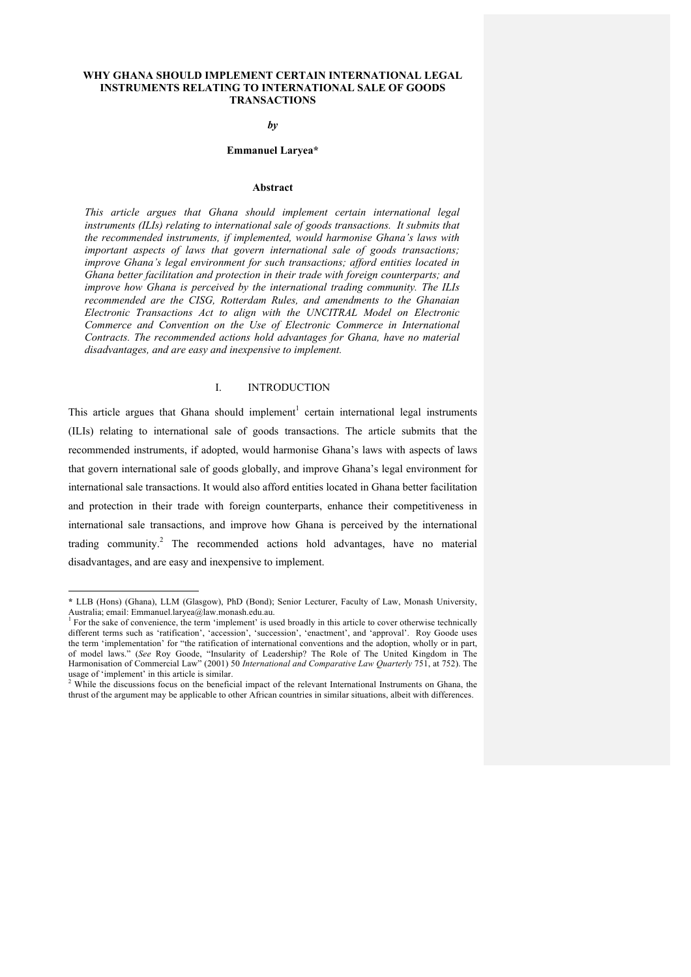#### **WHY GHANA SHOULD IMPLEMENT CERTAIN INTERNATIONAL LEGAL INSTRUMENTS RELATING TO INTERNATIONAL SALE OF GOODS TRANSACTIONS**

#### *by*

#### **Emmanuel Laryea\***

#### **Abstract**

*This article argues that Ghana should implement certain international legal instruments (ILIs) relating to international sale of goods transactions. It submits that the recommended instruments, if implemented, would harmonise Ghana's laws with important aspects of laws that govern international sale of goods transactions; improve Ghana's legal environment for such transactions; afford entities located in Ghana better facilitation and protection in their trade with foreign counterparts; and improve how Ghana is perceived by the international trading community. The ILIs recommended are the CISG, Rotterdam Rules, and amendments to the Ghanaian Electronic Transactions Act to align with the UNCITRAL Model on Electronic Commerce and Convention on the Use of Electronic Commerce in International Contracts. The recommended actions hold advantages for Ghana, have no material disadvantages, and are easy and inexpensive to implement.*

# I. INTRODUCTION

This article argues that Ghana should implement<sup>1</sup> certain international legal instruments (ILIs) relating to international sale of goods transactions. The article submits that the recommended instruments, if adopted, would harmonise Ghana's laws with aspects of laws that govern international sale of goods globally, and improve Ghana's legal environment for international sale transactions. It would also afford entities located in Ghana better facilitation and protection in their trade with foreign counterparts, enhance their competitiveness in international sale transactions, and improve how Ghana is perceived by the international trading community. <sup>2</sup> The recommended actions hold advantages, have no material disadvantages, and are easy and inexpensive to implement.

-

**<sup>\*</sup>** LLB (Hons) (Ghana), LLM (Glasgow), PhD (Bond); Senior Lecturer, Faculty of Law, Monash University, Australia; email: Emmanuel.laryea@law.monash.edu.au.<br><sup>1</sup> For the sake of convenience, the term 'implement' is used broadly in this article to cover otherwise technically

different terms such as 'ratification', 'accession', 'succession', 'enactment', and 'approval'. Roy Goode uses the term 'implementation' for "the ratification of international conventions and the adoption, wholly or in part, of model laws." (*See* Roy Goode, "Insularity of Leadership? The Role of The United Kingdom in The Harmonisation of Commercial Law" (2001) 50 *International and Comparative Law Quarterly* 751, at 752). The usage of 'implement' in this article is similar.<br> $\frac{2 \text{ While}}{4 \pi}$ 

<sup>2</sup> While the discussions focus on the beneficial impact of the relevant International Instruments on Ghana, the thrust of the argument may be applicable to other African countries in similar situations, albeit with differences.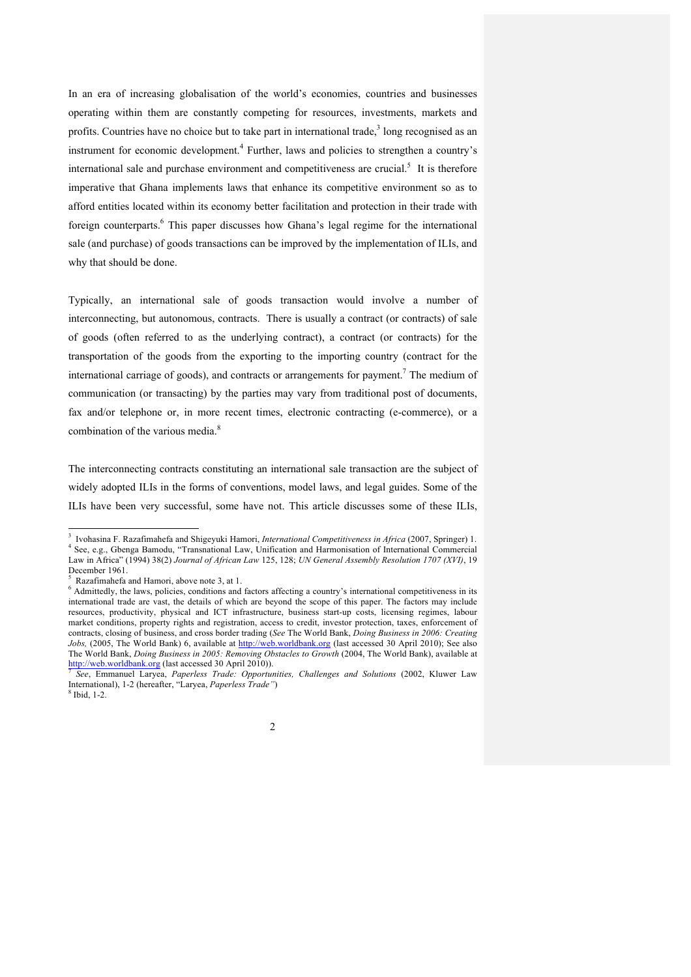In an era of increasing globalisation of the world's economies, countries and businesses operating within them are constantly competing for resources, investments, markets and profits. Countries have no choice but to take part in international trade,<sup>3</sup> long recognised as an instrument for economic development.<sup>4</sup> Further, laws and policies to strengthen a country's international sale and purchase environment and competitiveness are crucial.<sup>5</sup> It is therefore imperative that Ghana implements laws that enhance its competitive environment so as to afford entities located within its economy better facilitation and protection in their trade with foreign counterparts.<sup>6</sup> This paper discusses how Ghana's legal regime for the international sale (and purchase) of goods transactions can be improved by the implementation of ILIs, and why that should be done.

Typically, an international sale of goods transaction would involve a number of interconnecting, but autonomous, contracts. There is usually a contract (or contracts) of sale of goods (often referred to as the underlying contract), a contract (or contracts) for the transportation of the goods from the exporting to the importing country (contract for the international carriage of goods), and contracts or arrangements for payment.<sup>7</sup> The medium of communication (or transacting) by the parties may vary from traditional post of documents, fax and/or telephone or, in more recent times, electronic contracting (e-commerce), or a combination of the various media.<sup>8</sup>

The interconnecting contracts constituting an international sale transaction are the subject of widely adopted ILIs in the forms of conventions, model laws, and legal guides. Some of the ILIs have been very successful, some have not. This article discusses some of these ILIs,

 $\frac{1}{3}$  Ivohasina F. Razafimahefa and Shigeyuki Hamori, *International Competitiveness in Africa* (2007, Springer) 1. 4 See, e.g., Gbenga Bamodu, "Transnational Law, Unification and Harmonisation of International Commercial Law in Africa" (1994) 38(2) *Journal of African Law* 125, 128; *UN General Assembly Resolution 1707 (XVI)*, 19 December 1961.<br> $5$  Razafimahefa and Hamori, above note 3, at 1.

<sup>5</sup>

 $6$  Admittedly, the laws, policies, conditions and factors affecting a country's international competitiveness in its international trade are vast, the details of which are beyond the scope of this paper. The factors may include resources, productivity, physical and ICT infrastructure, business start-up costs, licensing regimes, labour market conditions, property rights and registration, access to credit, investor protection, taxes, enforcement of contracts, closing of business, and cross border trading (*See* The World Bank, *Doing Business in 2006: Creating Jobs,* (2005, The World Bank) 6, available at http://web.worldbank.org (last accessed 30 April 2010); See also The World Bank, *Doing Business in 2005: Removing Obstacles to Growth* (2004, The World Bank), available at http://web.worldbank.org (last accessed 30 April 2010)). <sup>7</sup> *See*, Emmanuel Laryea, *Paperless Trade: Opportunities, Challenges and Solutions* (2002, Kluwer Law

International), 1-2 (hereafter, "Laryea, *Paperless Trade"*)<sup>8</sup> Ibid, 1-2.

<sup>2</sup>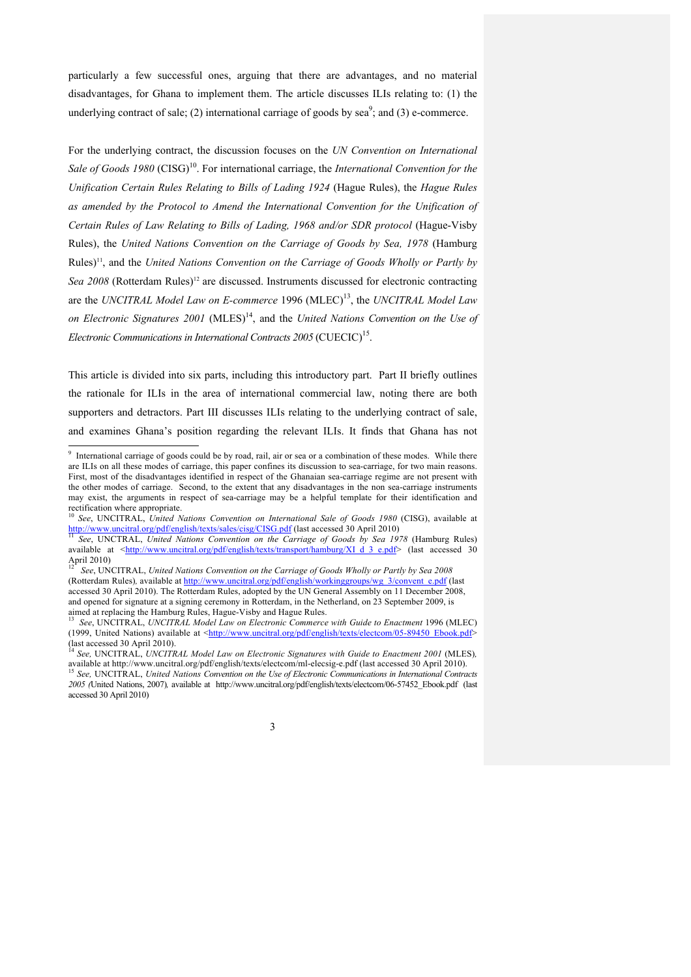particularly a few successful ones, arguing that there are advantages, and no material disadvantages, for Ghana to implement them. The article discusses ILIs relating to: (1) the underlying contract of sale; (2) international carriage of goods by sea<sup>9</sup>; and (3) e-commerce.

For the underlying contract, the discussion focuses on the *UN Convention on International*  Sale of Goods 1980 (CISG)<sup>10</sup>. For international carriage, the *International Convention for the Unification Certain Rules Relating to Bills of Lading 1924* (Hague Rules), the *Hague Rules as amended by the Protocol to Amend the International Convention for the Unification of Certain Rules of Law Relating to Bills of Lading, 1968 and/or SDR protocol* (Hague-Visby Rules), the *United Nations Convention on the Carriage of Goods by Sea, 1978* (Hamburg Rules)<sup>11</sup>, and the *United Nations Convention on the Carriage of Goods Wholly or Partly by* Sea 2008 (Rotterdam Rules)<sup>12</sup> are discussed. Instruments discussed for electronic contracting are the *UNCITRAL Model Law on E-commerce* 1996 (MLEC) 13, the *UNCITRAL Model Law on Electronic Signatures 2001* (MLES)<sup>14</sup>, and the *United Nations Convention on the Use of Electronic Communications in International Contracts 2005* (CUECIC) 15.

This article is divided into six parts, including this introductory part. Part II briefly outlines the rationale for ILIs in the area of international commercial law, noting there are both supporters and detractors. Part III discusses ILIs relating to the underlying contract of sale, and examines Ghana's position regarding the relevant ILIs. It finds that Ghana has not

<sup>(</sup>last accessed 30 April 2010). <sup>14</sup> *See,* UNCITRAL, *UNCITRAL Model Law on Electronic Signatures with Guide to Enactment 2001* (MLES)*,* available at http://www.uncitral.org/pdf/english/texts/electcom/ml-elecsig-e.pdf (last accessed 30 April 2010).<br><sup>15</sup> See, UNCITRAL, United Nations Convention on the Use of Electronic Communications in International Contrac *2005 (*United Nations, 2007)*,* available at http://www.uncitral.org/pdf/english/texts/electcom/06-57452\_Ebook.pdf (last accessed 30 April 2010)



<sup>-&</sup>lt;br>9 <sup>9</sup> International carriage of goods could be by road, rail, air or sea or a combination of these modes. While there are ILIs on all these modes of carriage, this paper confines its discussion to sea-carriage, for two main reasons. First, most of the disadvantages identified in respect of the Ghanaian sea-carriage regime are not present with the other modes of carriage. Second, to the extent that any disadvantages in the non sea-carriage instruments may exist, the arguments in respect of sea-carriage may be a helpful template for their identification and rectification where appropriate.<br><sup>10</sup> *See*, UNCITRAL, *United Nations Convention on International Sale of Goods 1980* (CISG), available at

http://www.uncitral.org/pdf/english/texts/sales/cisg/CISG.pdf (last accessed 30 April 2010) <sup>11</sup> *See*, UNCTRAL, *United Nations Convention on the Carriage of Goods by Sea 1978* (Hamburg Rules)

available at  $\frac{\text{http://www.uncittal.org/pdf/english/texts/transport/hamburg/XI d_3e.pdf}}{19}$  (last accessed 30<br>19pril 2010)

April 2010) <sup>12</sup>*See*, UNCITRAL, *United Nations Convention on the Carriage of Goods Wholly or Partly by Sea <sup>2008</sup>* (Rotterdam Rules)*,* available at http://www.uncitral.org/pdf/english/workinggroups/wg\_3/convent\_e.pdf (last accessed 30 April 2010). The Rotterdam Rules, adopted by the UN General Assembly on 11 December 2008, and opened for signature at a signing ceremony in Rotterdam, in the Netherland, on 23 September 2009, is aimed at replacing the Hamburg Rules, Hague-Visby and Hague Rules. <sup>13</sup>*See*, UNCITRAL, *UNCITRAL Model Law on Electronic Commerce with Guide to Enactment* 1996 (MLEC)

<sup>(1999,</sup> United Nations) available at <http://www.uncitral.org/pdf/english/texts/electcom/05-89450\_Ebook.pdf><br>(last accessed 30 April 2010).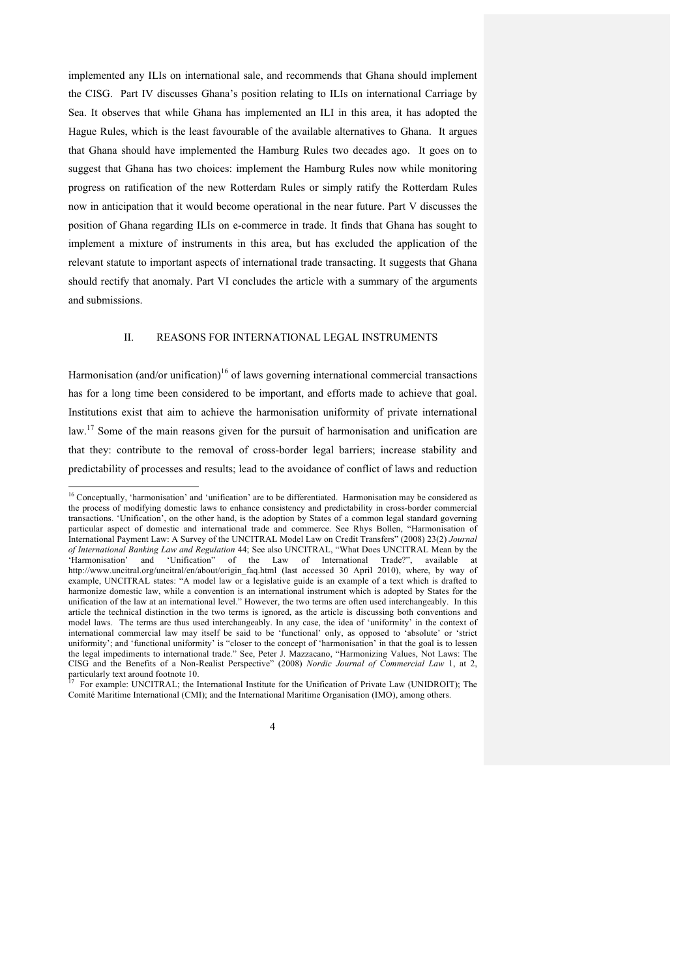implemented any ILIs on international sale, and recommends that Ghana should implement the CISG. Part IV discusses Ghana's position relating to ILIs on international Carriage by Sea. It observes that while Ghana has implemented an ILI in this area, it has adopted the Hague Rules, which is the least favourable of the available alternatives to Ghana. It argues that Ghana should have implemented the Hamburg Rules two decades ago. It goes on to suggest that Ghana has two choices: implement the Hamburg Rules now while monitoring progress on ratification of the new Rotterdam Rules or simply ratify the Rotterdam Rules now in anticipation that it would become operational in the near future. Part V discusses the position of Ghana regarding ILIs on e-commerce in trade. It finds that Ghana has sought to implement a mixture of instruments in this area, but has excluded the application of the relevant statute to important aspects of international trade transacting. It suggests that Ghana should rectify that anomaly. Part VI concludes the article with a summary of the arguments and submissions.

### II. REASONS FOR INTERNATIONAL LEGAL INSTRUMENTS

Harmonisation (and/or unification)<sup>16</sup> of laws governing international commercial transactions has for a long time been considered to be important, and efforts made to achieve that goal. Institutions exist that aim to achieve the harmonisation uniformity of private international law.<sup>17</sup> Some of the main reasons given for the pursuit of harmonisation and unification are that they: contribute to the removal of cross-border legal barriers; increase stability and predictability of processes and results; lead to the avoidance of conflict of laws and reduction

For example: UNCITRAL; the International Institute for the Unification of Private Law (UNIDROIT); The Comité Maritime International (CMI); and the International Maritime Organisation (IMO), among others.



<sup>&</sup>lt;sup>16</sup> Conceptually, 'harmonisation' and 'unification' are to be differentiated. Harmonisation may be considered as the process of modifying domestic laws to enhance consistency and predictability in cross-border commercial transactions. 'Unification', on the other hand, is the adoption by States of a common legal standard governing particular aspect of domestic and international trade and commerce. See Rhys Bollen, "Harmonisation of International Payment Law: A Survey of the UNCITRAL Model Law on Credit Transfers" (2008) 23(2) *Journal of International Banking Law and Regulation* 44; See also UNCITRAL, "What Does UNCITRAL Mean by the 'Harmonisation' and 'Unification" of the Law of International Trade?", available at http://www.uncitral.org/uncitral/en/about/origin\_faq.html (last accessed 30 April 2010), where, by way of example, UNCITRAL states: "A model law or a legislative guide is an example of a text which is drafted to harmonize domestic law, while a convention is an international instrument which is adopted by States for the unification of the law at an international level." However, the two terms are often used interchangeably. In this article the technical distinction in the two terms is ignored, as the article is discussing both conventions and model laws. The terms are thus used interchangeably. In any case, the idea of 'uniformity' in the context of international commercial law may itself be said to be 'functional' only, as opposed to 'absolute' or 'strict uniformity'; and 'functional uniformity' is "closer to the concept of 'harmonisation' in that the goal is to lessen the legal impediments to international trade." See, Peter J. Mazzacano, "Harmonizing Values, Not Laws: The CISG and the Benefits of a Non-Realist Perspective" (2008) *Nordic Journal of Commercial Law* 1, at 2,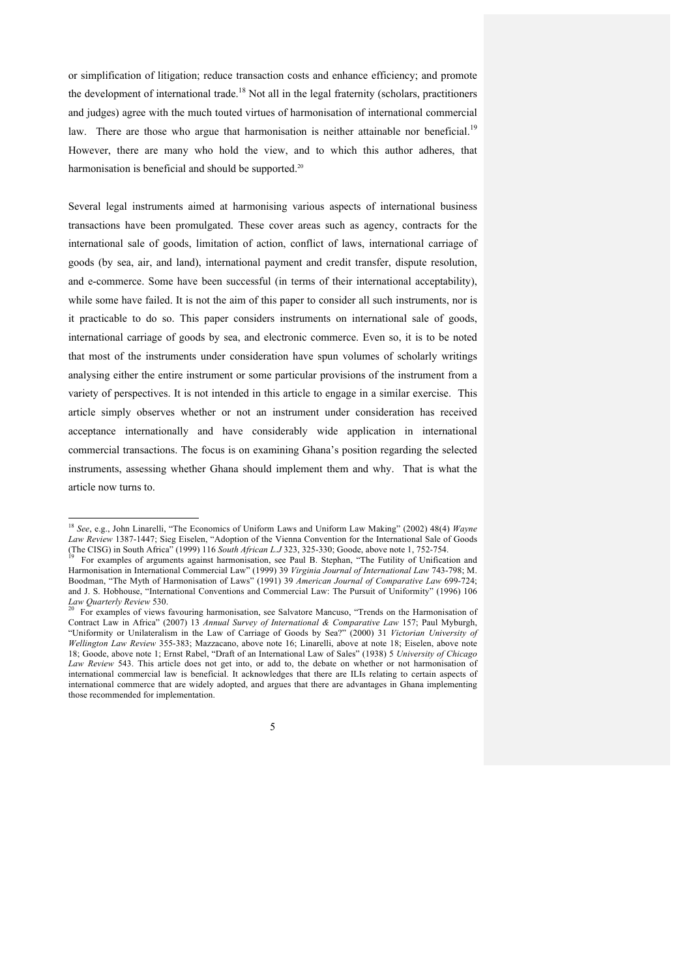or simplification of litigation; reduce transaction costs and enhance efficiency; and promote the development of international trade.<sup>18</sup> Not all in the legal fraternity (scholars, practitioners and judges) agree with the much touted virtues of harmonisation of international commercial law. There are those who argue that harmonisation is neither attainable nor beneficial.<sup>19</sup> However, there are many who hold the view, and to which this author adheres, that harmonisation is beneficial and should be supported.<sup>20</sup>

Several legal instruments aimed at harmonising various aspects of international business transactions have been promulgated. These cover areas such as agency, contracts for the international sale of goods, limitation of action, conflict of laws, international carriage of goods (by sea, air, and land), international payment and credit transfer, dispute resolution, and e-commerce. Some have been successful (in terms of their international acceptability), while some have failed. It is not the aim of this paper to consider all such instruments, nor is it practicable to do so. This paper considers instruments on international sale of goods, international carriage of goods by sea, and electronic commerce. Even so, it is to be noted that most of the instruments under consideration have spun volumes of scholarly writings analysing either the entire instrument or some particular provisions of the instrument from a variety of perspectives. It is not intended in this article to engage in a similar exercise. This article simply observes whether or not an instrument under consideration has received acceptance internationally and have considerably wide application in international commercial transactions. The focus is on examining Ghana's position regarding the selected instruments, assessing whether Ghana should implement them and why. That is what the article now turns to.

5

 <sup>18</sup> *See*, e.g., John Linarelli, "The Economics of Uniform Laws and Uniform Law Making" (2002) 48(4) *Wayne Law Review* 1387-1447; Sieg Eiselen, "Adoption of the Vienna Convention for the International Sale of Goods (The CISG) in South Africa" (1999) 116 *South African L.J* 323, 325-330; Goode, above note 1, 752-754.<br><sup>19</sup> For examples of arguments against harmonisation, see Paul B. Stephan, "The Futility of Unification and

Harmonisation in International Commercial Law" (1999) 39 *Virginia Journal of International Law* 743-798; M. Boodman, "The Myth of Harmonisation of Laws" (1991) 39 *American Journal of Comparative Law* 699-724; and J. S. Hobhouse, "International Conventions and Commercial Law: The Pursuit of Uniformity" (1996) 106<br>  $\frac{Law}{}$  Quarterly Review 530.

For examples of views favouring harmonisation, see Salvatore Mancuso, "Trends on the Harmonisation of Contract Law in Africa" (2007) 13 *Annual Survey of International & Comparative Law* 157; Paul Myburgh, "Uniformity or Unilateralism in the Law of Carriage of Goods by Sea?" (2000) 31 *Victorian University of Wellington Law Review* 355-383; Mazzacano, above note 16; Linarelli, above at note 18; Eiselen, above note 18; Goode, above note 1; Ernst Rabel, "Draft of an International Law of Sales" (1938) 5 *University of Chicago Law Review* 543. This article does not get into, or add to, the debate on whether or not harmonisation of international commercial law is beneficial. It acknowledges that there are ILIs relating to certain aspects of international commerce that are widely adopted, and argues that there are advantages in Ghana implementing those recommended for implementation.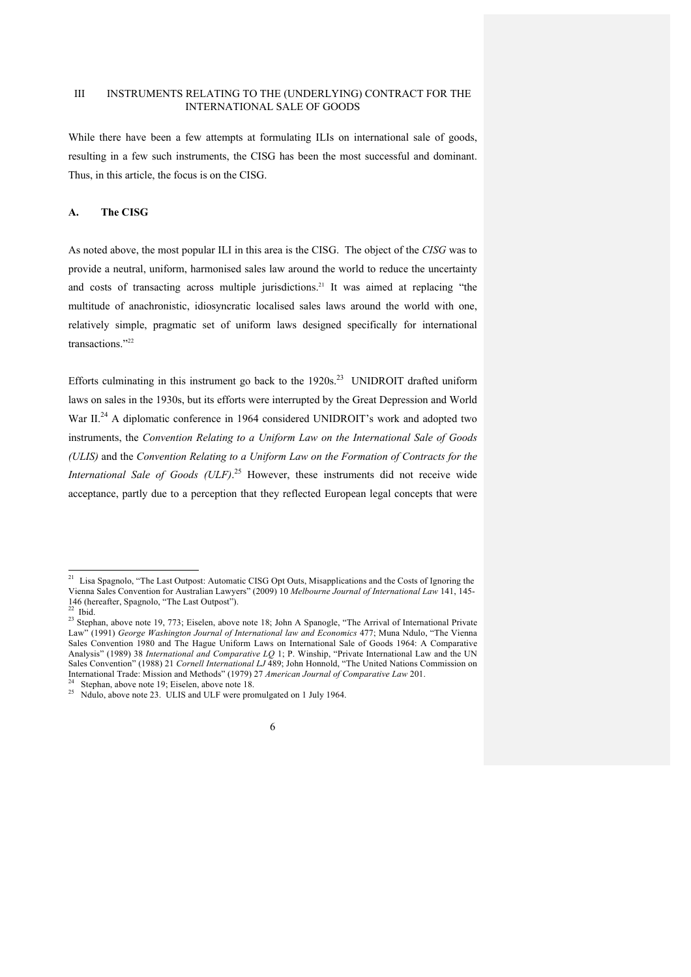### III INSTRUMENTS RELATING TO THE (UNDERLYING) CONTRACT FOR THE INTERNATIONAL SALE OF GOODS

While there have been a few attempts at formulating ILIs on international sale of goods, resulting in a few such instruments, the CISG has been the most successful and dominant. Thus, in this article, the focus is on the CISG.

# **A. The CISG**

As noted above, the most popular ILI in this area is the CISG. The object of the *CISG* was to provide a neutral, uniform, harmonised sales law around the world to reduce the uncertainty and costs of transacting across multiple jurisdictions.<sup>21</sup> It was aimed at replacing "the multitude of anachronistic, idiosyncratic localised sales laws around the world with one, relatively simple, pragmatic set of uniform laws designed specifically for international transactions<sup>"22</sup>

Efforts culminating in this instrument go back to the  $1920s$ <sup>23</sup> UNIDROIT drafted uniform laws on sales in the 1930s, but its efforts were interrupted by the Great Depression and World War II.<sup>24</sup> A diplomatic conference in 1964 considered UNIDROIT's work and adopted two instruments, the *Convention Relating to a Uniform Law on the International Sale of Goods (ULIS)* and the *Convention Relating to a Uniform Law on the Formation of Contracts for the International Sale of Goods (ULF)*. <sup>25</sup> However, these instruments did not receive wide acceptance, partly due to a perception that they reflected European legal concepts that were

<sup>&</sup>lt;sup>21</sup> Lisa Spagnolo, "The Last Outpost: Automatic CISG Opt Outs, Misapplications and the Costs of Ignoring the Vienna Sales Convention for Australian Lawyers" (2009) 10 *Melbourne Journal of International Law* 141, 145- 146 (hereafter, Spagnolo, "The Last Outpost").

<sup>&</sup>lt;sup>22</sup> Ibid. <sup>23</sup> Stephan, above note 19, 773; Eiselen, above note 18; John A Spanogle, "The Arrival of International Private Law" (1991) *George Washington Journal of International law and Economics* 477; Muna Ndulo, "The Vienna Sales Convention 1980 and The Hague Uniform Laws on International Sale of Goods 1964: A Comparative Analysis" (1989) 38 *International and Comparative LQ* 1; P. Winship, "Private International Law and the UN Sales Convention" (1988) 21 *Cornell International LJ* 489; John Honnold, "The United Nations Commission on International Trade: Mission and Methods" (1979) 27 *American Journal of Comparative Law* 201.<br><sup>24</sup> Stephan, above note 19; Eiselen, above note 18.<br><sup>25</sup> Ndulo, above note 23. ULIS and ULF were promulgated on 1 July 1964.

<sup>6</sup>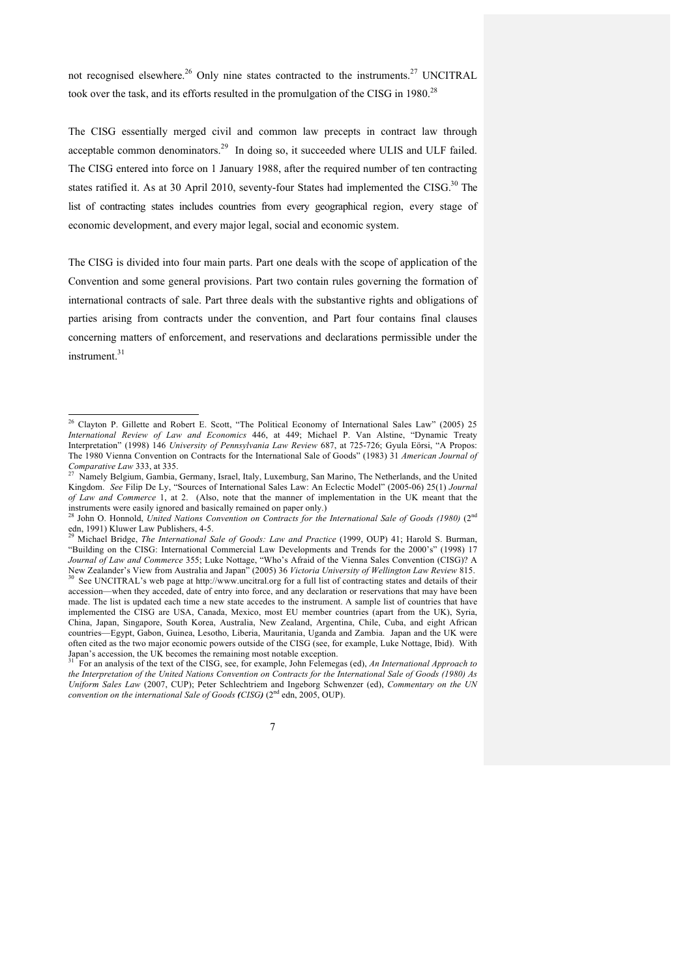not recognised elsewhere.<sup>26</sup> Only nine states contracted to the instruments.<sup>27</sup> UNCITRAL took over the task, and its efforts resulted in the promulgation of the CISG in 1980.<sup>28</sup>

The CISG essentially merged civil and common law precepts in contract law through acceptable common denominators.<sup>29</sup> In doing so, it succeeded where ULIS and ULF failed. The CISG entered into force on 1 January 1988, after the required number of ten contracting states ratified it. As at 30 April 2010, seventy-four States had implemented the CISG.<sup>30</sup> The list of contracting states includes countries from every geographical region, every stage of economic development, and every major legal, social and economic system.

The CISG is divided into four main parts. Part one deals with the scope of application of the Convention and some general provisions. Part two contain rules governing the formation of international contracts of sale. Part three deals with the substantive rights and obligations of parties arising from contracts under the convention, and Part four contains final clauses concerning matters of enforcement, and reservations and declarations permissible under the instrument. 31

For an analysis of the text of the CISG, see, for example, John Felemegas (ed), *An International Approach to the Interpretation of the United Nations Convention on Contracts for the International Sale of Goods (1980) As Uniform Sales Law* (2007, CUP); Peter Schlechtriem and Ingeborg Schwenzer (ed), *Commentary on the UN convention on the international Sale of Goods*  $(CISG)$  *(* $2<sup>nd</sup>$  *edn, 2005, OUP).* 



<sup>&</sup>lt;sup>26</sup> Clayton P. Gillette and Robert E. Scott, "The Political Economy of International Sales Law" (2005) 25 *International Review of Law and Economics* 446, at 449; Michael P. Van Alstine, "Dynamic Treaty Interpretation" (1998) 146 *University of Pennsylvania Law Review* 687, at 725-726; Gyula Eörsi, "A Propos: The 1980 Vienna Convention on Contracts for the International Sale of Goods" (1983) 31 *American Journal of Comparative Law* 333, at 335.<br><sup>27</sup> Namely Belgium, Gambia, Germany, Israel, Italy, Luxemburg, San Marino, The Netherlands, and the United

Kingdom. *See* Filip De Ly, "Sources of International Sales Law: An Eclectic Model" (2005-06) 25(1) *Journal of Law and Commerce* 1, at 2. (Also, note that the manner of implementation in the UK meant that the instruments were easily ignored and basically remained on paper only.)

<sup>&</sup>lt;sup>28</sup> John O. Honnold, *United Nations Convention on Contracts for the International Sale of Goods (1980)* (2<sup>nd</sup> edn, 1991) Kluwer Law Publishers, 4-5.<br>
<sup>29</sup> Michael Bridge, *The International Sale of Goods: Law and Practice* (1999, OUP) 41; Harold S. Burman,

<sup>&</sup>quot;Building on the CISG: International Commercial Law Developments and Trends for the 2000's" (1998) 17 *Journal of Law and Commerce* 355; Luke Nottage, "Who's Afraid of the Vienna Sales Convention (CISG)? A New Zealander's View from Australia and Japan" (2005) 36 *Victoria University of Wellington Law Review* 815.

See UNCITRAL's web page at http://www.uncitral.org for a full list of contracting states and details of their accession—when they acceded, date of entry into force, and any declaration or reservations that may have been made. The list is updated each time a new state accedes to the instrument. A sample list of countries that have implemented the CISG are USA, Canada, Mexico, most EU member countries (apart from the UK), Syria, China, Japan, Singapore, South Korea, Australia, New Zealand, Argentina, Chile, Cuba, and eight African countries—Egypt, Gabon, Guinea, Lesotho, Liberia, Mauritania, Uganda and Zambia. Japan and the UK were often cited as the two major economic powers outside of the CISG (see, for example, Luke Nottage, Ibid). With Japan's accession, the UK becomes the remaining most notable exception.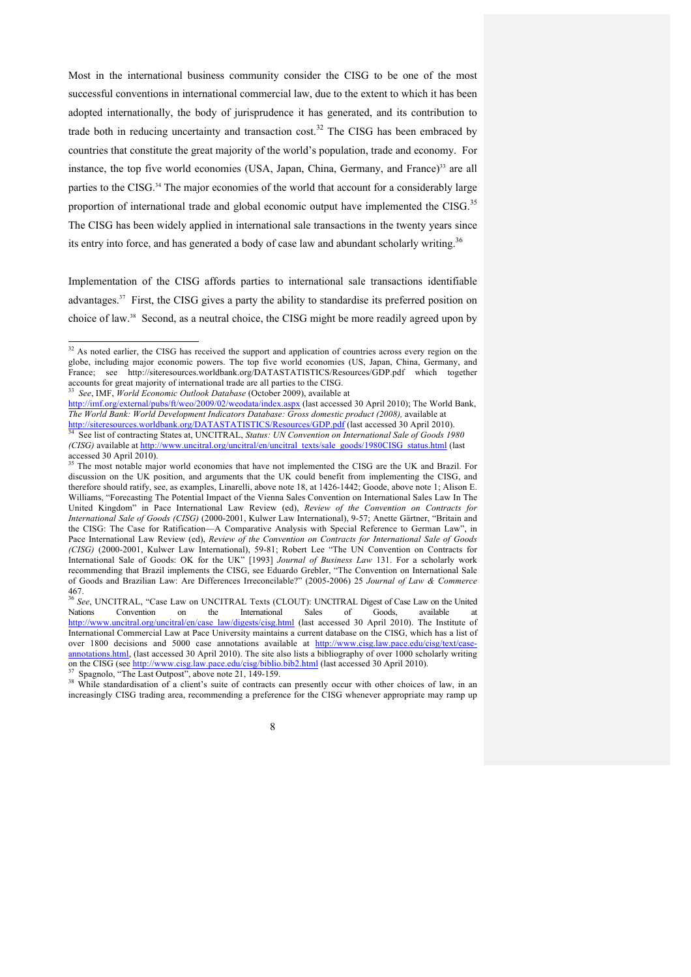Most in the international business community consider the CISG to be one of the most successful conventions in international commercial law, due to the extent to which it has been adopted internationally, the body of jurisprudence it has generated, and its contribution to trade both in reducing uncertainty and transaction cost.<sup>32</sup> The CISG has been embraced by countries that constitute the great majority of the world's population, trade and economy. For instance, the top five world economies (USA, Japan, China, Germany, and France)<sup>33</sup> are all parties to the CISG.<sup>34</sup> The major economies of the world that account for a considerably large proportion of international trade and global economic output have implemented the CISG.<sup>35</sup> The CISG has been widely applied in international sale transactions in the twenty years since its entry into force, and has generated a body of case law and abundant scholarly writing.<sup>36</sup>

Implementation of the CISG affords parties to international sale transactions identifiable advantages.<sup>37</sup> First, the CISG gives a party the ability to standardise its preferred position on choice of law.38 Second, as a neutral choice, the CISG might be more readily agreed upon by

increasingly CISG trading area, recommending a preference for the CISG whenever appropriate may ramp up

<sup>&</sup>lt;sup>32</sup> As noted earlier, the CISG has received the support and application of countries across every region on the globe, including major economic powers. The top five world economies (US, Japan, China, Germany, and France; see http://siteresources.worldbank.org/DATASTATISTICS/Resources/GDP.pdf which together accounts for great majority of international trade are all parties to the CISG. 33 *See*, IMF, *World Economic Outlook Database* (October 2009), available at

http://imf.org/external/pubs/ft/weo/2009/02/weodata/index.aspx (last accessed 30 April 2010); The World Bank, *The World Bank: World Development Indicators Database: Gross domestic product (2008),* available at http://siteresources.worldbank.org/DATASTATISTICS/Resources/GDP.pdf (last accessed 30 April 2010). 34 See list of contracting States at, UNCITRAL, *Status: UN Convention on International Sale of Goods 1980* 

*<sup>(</sup>CISG)* available at http://www.uncitral.org/uncitral/en/uncitral\_texts/sale\_goods/1980CISG\_status.html (last accessed 30 April 2010).

<sup>&</sup>lt;sup>35</sup> The most notable major world economies that have not implemented the CISG are the UK and Brazil. For discussion on the UK position, and arguments that the UK could benefit from implementing the CISG, and therefore should ratify, see, as examples, Linarelli, above note 18, at 1426-1442; Goode, above note 1; Alison E. Williams, "Forecasting The Potential Impact of the Vienna Sales Convention on International Sales Law In The United Kingdom" in Pace International Law Review (ed), *Review of the Convention on Contracts for International Sale of Goods (CISG)* (2000-2001, Kulwer Law International), 9-57; Anette Gärtner, "Britain and the CISG: The Case for Ratification—A Comparative Analysis with Special Reference to German Law", in Pace International Law Review (ed), *Review of the Convention on Contracts for International Sale of Goods (CISG)* (2000-2001, Kulwer Law International), 59-81; Robert Lee "The UN Convention on Contracts for International Sale of Goods: OK for the UK" [1993] *Journal of Business Law* 131. For a scholarly work recommending that Brazil implements the CISG, see Eduardo Grebler, "The Convention on International Sale of Goods and Brazilian Law: Are Differences Irreconcilable?" (2005-2006) 25 *Journal of Law & Commerce* 467.

<sup>36</sup> *See*, UNCITRAL, "Case Law on UNCITRAL Texts (CLOUT): UNCITRAL Digest of Case Law on the United Nations Convention on the International Sales of Goods, available at http://www.uncitral.org/uncitral/en/case\_law/digests/cisg.html (last accessed 30 April 2010). The Institute of International Commercial Law at Pace University maintains a current database on the CISG, which has a list of over 1800 decisions and 5000 case annotations available at http://www.cisg.law.pace.edu/cisg/text/ annotations.html, (last accessed 30 April 2010). The site also lists a bibliography of over 1000 scholarly writing on the CISG (see http://www.cisg.law.pace.edu/cisg/biblio.bib2.html (last accessed 30 April 2010).<br><sup>37</sup> Spagnolo, "The Last Outpost", above note 21, 149-159.<br><sup>38</sup> While standardisation of a client's suite of contracts can

<sup>8</sup>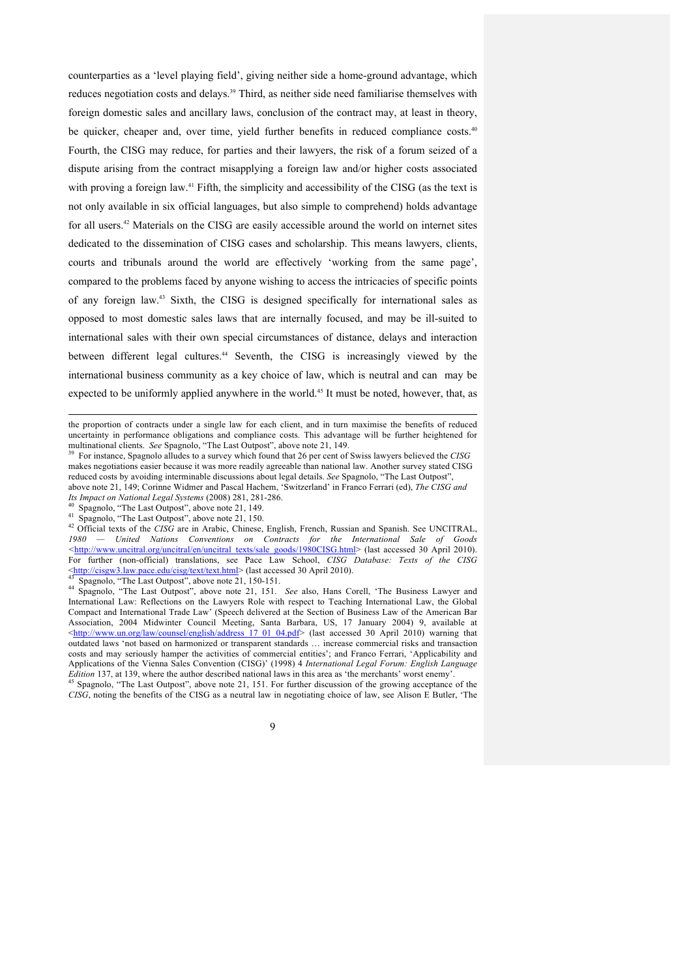counterparties as a 'level playing field', giving neither side a home-ground advantage, which reduces negotiation costs and delays.39 Third, as neither side need familiarise themselves with foreign domestic sales and ancillary laws, conclusion of the contract may, at least in theory, be quicker, cheaper and, over time, yield further benefits in reduced compliance costs.<sup>40</sup> Fourth, the CISG may reduce, for parties and their lawyers, the risk of a forum seized of a dispute arising from the contract misapplying a foreign law and/or higher costs associated with proving a foreign law.<sup>41</sup> Fifth, the simplicity and accessibility of the CISG (as the text is not only available in six official languages, but also simple to comprehend) holds advantage for all users. <sup>42</sup> Materials on the CISG are easily accessible around the world on internet sites dedicated to the dissemination of CISG cases and scholarship. This means lawyers, clients, courts and tribunals around the world are effectively 'working from the same page', compared to the problems faced by anyone wishing to access the intricacies of specific points of any foreign law.43 Sixth, the CISG is designed specifically for international sales as opposed to most domestic sales laws that are internally focused, and may be ill-suited to international sales with their own special circumstances of distance, delays and interaction between different legal cultures.<sup>44</sup> Seventh, the CISG is increasingly viewed by the international business community as a key choice of law, which is neutral and can may be expected to be uniformly applied anywhere in the world.<sup>45</sup> It must be noted, however, that, as

above note 21, 149; Corinne Widmer and Pascal Hachem, 'Switzerland' in Franco Ferrari (ed), *The CISG and* 

*Its Impact on National Legal Systems* (2008) 281, 281-286.<br>
<sup>40</sup> Spagnolo, "The Last Outpost", above note 21, 149.<br>
<sup>41</sup> Spagnolo, "The Last Outpost", above note 21, 150.<br>
<sup>42</sup> Official texts of the *CISG* are in Arabic, United Nations Conventions on Contracts for the International Sale of Goods *<*http://www.uncitral.org/uncitral/en/uncitral\_texts/sale\_goods/1980CISG.html> (last accessed 30 April 2010). For further (non-official) translations, see Pace Law School, *CISG Database: Texts of the CISG*<br>  $\frac{\text{http://cisgw3.law.pace.edu/cisg/text/text/text.html>}}{43}$  (last accessed 30 April 2010).

<sup>44</sup> Spagnolo, "The Last Outpost", above note 21, 150-151.<br><sup>44</sup> Spagnolo, "The Last Outpost", above note 21, 150-151.<br><sup>44</sup> Spagnolo, "The Last Outpost", above note 21, 151. *See* also, Hans Corell, 'The Business Lawyer and International Law: Reflections on the Lawyers Role with respect to Teaching International Law, the Global Compact and International Trade Law' (Speech delivered at the Section of Business Law of the American Bar Association, 2004 Midwinter Council Meeting, Santa Barbara, US, 17 January 2004) 9, available at <http://www.un.org/law/counsel/english/address\_17\_01\_04.pdf> (last accessed 30 April 2010) warning that outdated laws 'not based on harmonized or transparent standards … increase commercial risks and transaction costs and may seriously hamper the activities of commercial entities'; and Franco Ferrari, 'Applicability and Applications of the Vienna Sales Convention (CISG)' (1998) 4 *International Legal Forum: English Language Edition* 137, at 139, where the author described national laws in this area as 'the merchants' worst enemy'. <sup>45</sup> Spagnolo, "The Last Outpost", above note 21, 151. For further discussion of the growing acceptance of the

*CISG*, noting the benefits of the CISG as a neutral law in negotiating choice of law, see Alison E Butler, 'The

the proportion of contracts under a single law for each client, and in turn maximise the benefits of reduced uncertainty in performance obligations and compliance costs. This advantage will be further heightened for multinational clients. See Spagnolo, "The Last Outpost", above note 21, 149.

For instance, Spagnolo alludes to a survey which found that 26 per cent of Swiss lawyers believed the *CISG* makes negotiations easier because it was more readily agreeable than national law. Another survey stated CISG reduced costs by avoiding interminable discussions about legal details. *See* Spagnolo, "The Last Outpost",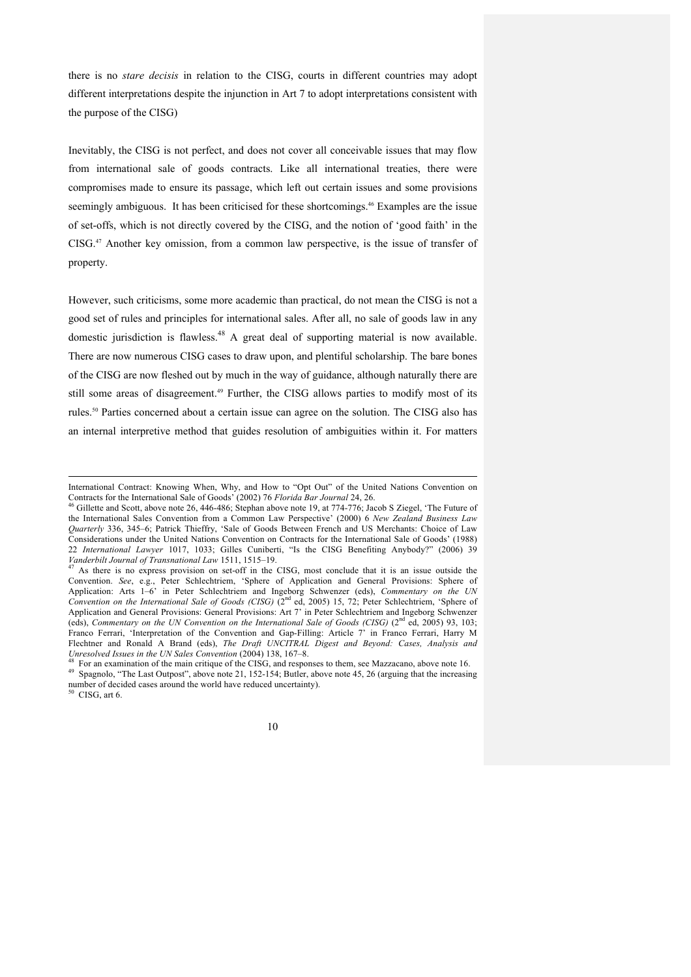there is no *stare decisis* in relation to the CISG, courts in different countries may adopt different interpretations despite the injunction in Art 7 to adopt interpretations consistent with the purpose of the CISG)

Inevitably, the CISG is not perfect, and does not cover all conceivable issues that may flow from international sale of goods contracts. Like all international treaties, there were compromises made to ensure its passage, which left out certain issues and some provisions seemingly ambiguous. It has been criticised for these shortcomings. <sup>46</sup> Examples are the issue of set-offs, which is not directly covered by the CISG, and the notion of 'good faith' in the  $CISG<sup>47</sup>$  Another key omission, from a common law perspective, is the issue of transfer of property.

However, such criticisms, some more academic than practical, do not mean the CISG is not a good set of rules and principles for international sales. After all, no sale of goods law in any domestic jurisdiction is flawless.<sup>48</sup> A great deal of supporting material is now available. There are now numerous CISG cases to draw upon, and plentiful scholarship. The bare bones of the CISG are now fleshed out by much in the way of guidance, although naturally there are still some areas of disagreement.<sup>49</sup> Further, the CISG allows parties to modify most of its rules.50 Parties concerned about a certain issue can agree on the solution. The CISG also has an internal interpretive method that guides resolution of ambiguities within it. For matters

 $\overline{a}$ 

International Contract: Knowing When, Why, and How to "Opt Out" of the United Nations Convention on Contracts for the International Sale of Goods' (2002) 76 Florida Bar Journal 24, 26.

<sup>&</sup>lt;sup>46</sup> Gillette and Scott, above note 26, 446-486; Stephan above note 19, at 774-776; Jacob S Ziegel, 'The Future of the International Sales Convention from a Common Law Perspective' (2000) 6 *New Zealand Business Law Quarterly* 336, 345–6; Patrick Thieffry, 'Sale of Goods Between French and US Merchants: Choice of Law Considerations under the United Nations Convention on Contracts for the International Sale of Goods' (1988) 22 *International Lawyer* 1017, 1033; Gilles Cuniberti, "Is the CISG Benefiting Anybody?" (2006) 39 *Vanderbilt Journal of Transnational Law* 1511, 1515–19.<br><sup>47</sup> As there is no express provision on set-off in the CISG, most conclude that it is an issue outside the

Convention. *See*, e.g., Peter Schlechtriem, 'Sphere of Application and General Provisions: Sphere of Application: Arts 1–6' in Peter Schlechtriem and Ingeborg Schwenzer (eds), *Commentary on the UN Convention on the International Sale of Goods (CISG)* (2nd ed, 2005) 15, 72; Peter Schlechtriem, 'Sphere of Application and General Provisions: General Provisions: Art 7' in Peter Schlechtriem and Ingeborg Schwenzer (eds), *Commentary on the UN Convention on the International Sale of Goods (CISG)* (2nd ed, 2005) 93, 103; Franco Ferrari, 'Interpretation of the Convention and Gap-Filling: Article 7' in Franco Ferrari, Harry M Flechtner and Ronald A Brand (eds), *The Draft UNCITRAL Digest and Beyond: Cases, Analysis and* 

<sup>&</sup>lt;sup>48</sup> For an examination of the main critique of the CISG, and responses to them, see Mazzacano, above note 16.<br><sup>49</sup> Spagnolo, "The Last Outpost", above note 21, 152-154; Butler, above note 45, 26 (arguing that the increas number of decided cases around the world have reduced uncertainty). <sup>50</sup>CISG, art 6.

<sup>10</sup>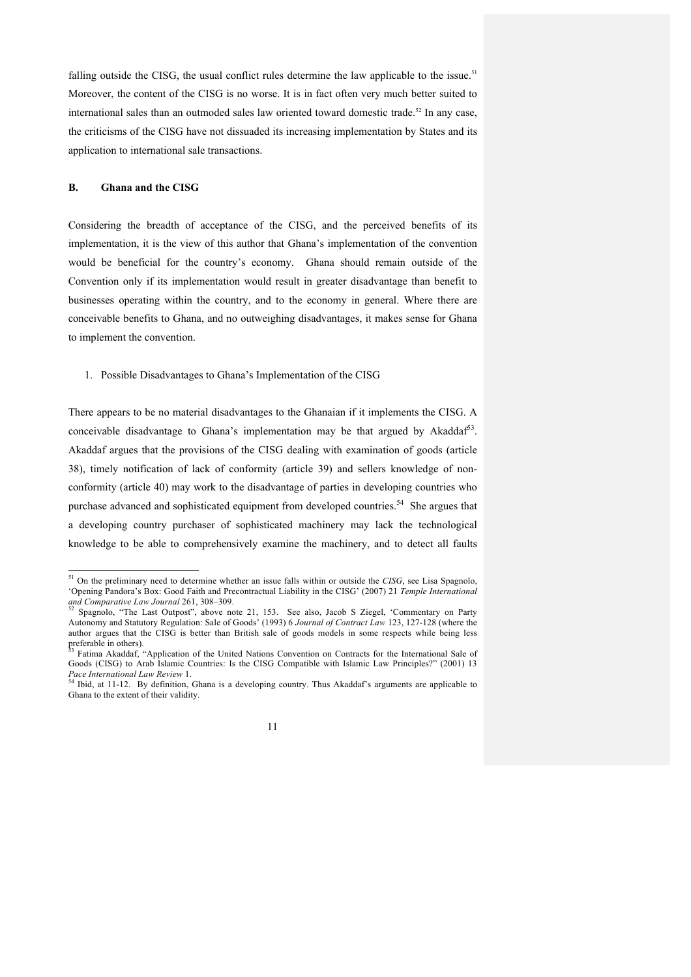falling outside the CISG, the usual conflict rules determine the law applicable to the issue.<sup>51</sup> Moreover, the content of the CISG is no worse. It is in fact often very much better suited to international sales than an outmoded sales law oriented toward domestic trade.<sup>52</sup> In any case, the criticisms of the CISG have not dissuaded its increasing implementation by States and its application to international sale transactions.

#### **B. Ghana and the CISG**

Considering the breadth of acceptance of the CISG, and the perceived benefits of its implementation, it is the view of this author that Ghana's implementation of the convention would be beneficial for the country's economy. Ghana should remain outside of the Convention only if its implementation would result in greater disadvantage than benefit to businesses operating within the country, and to the economy in general. Where there are conceivable benefits to Ghana, and no outweighing disadvantages, it makes sense for Ghana to implement the convention.

1. Possible Disadvantages to Ghana's Implementation of the CISG

There appears to be no material disadvantages to the Ghanaian if it implements the CISG. A conceivable disadvantage to Ghana's implementation may be that argued by Akaddaf $^{53}$ . Akaddaf argues that the provisions of the CISG dealing with examination of goods (article 38), timely notification of lack of conformity (article 39) and sellers knowledge of nonconformity (article 40) may work to the disadvantage of parties in developing countries who purchase advanced and sophisticated equipment from developed countries.<sup>54</sup> She argues that a developing country purchaser of sophisticated machinery may lack the technological knowledge to be able to comprehensively examine the machinery, and to detect all faults

 <sup>51</sup> On the preliminary need to determine whether an issue falls within or outside the *CISG*, see Lisa Spagnolo, 'Opening Pandora's Box: Good Faith and Precontractual Liability in the CISG' (2007) 21 *Temple International* 

*and Comparative Law Journal* 261, 308–309. <sup>52</sup> Spagnolo, "The Last Outpost", above note 21, 153. See also, Jacob S Ziegel, 'Commentary on Party Autonomy and Statutory Regulation: Sale of Goods' (1993) 6 *Journal of Contract Law* 123, 127-128 (where the author argues that the CISG is better than British sale of goods models in some respects while being less

Fatima Akaddaf, "Application of the United Nations Convention on Contracts for the International Sale of Goods (CISG) to Arab Islamic Countries: Is the CISG Compatible with Islamic Law Principles?" (2001) 13 *Pace International Law Review* 1.<br><sup>54</sup> Ibid, at 11-12. By definition, Ghana is a developing country. Thus Akaddaf's arguments are applicable to

Ghana to the extent of their validity.

<sup>11</sup>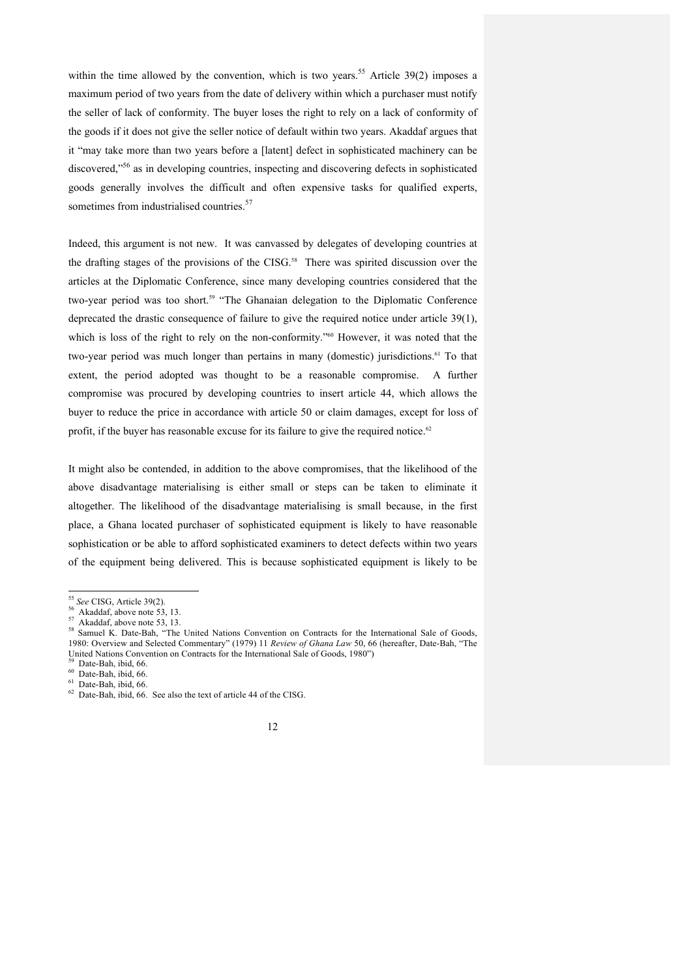within the time allowed by the convention, which is two years.<sup>55</sup> Article 39(2) imposes a maximum period of two years from the date of delivery within which a purchaser must notify the seller of lack of conformity. The buyer loses the right to rely on a lack of conformity of the goods if it does not give the seller notice of default within two years. Akaddaf argues that it "may take more than two years before a [latent] defect in sophisticated machinery can be discovered,<sup> $56$ </sup> as in developing countries, inspecting and discovering defects in sophisticated goods generally involves the difficult and often expensive tasks for qualified experts, sometimes from industrialised countries.<sup>57</sup>

Indeed, this argument is not new. It was canvassed by delegates of developing countries at the drafting stages of the provisions of the CISG.<sup>58</sup> There was spirited discussion over the articles at the Diplomatic Conference, since many developing countries considered that the two-year period was too short.<sup>59</sup> "The Ghanaian delegation to the Diplomatic Conference deprecated the drastic consequence of failure to give the required notice under article 39(1), which is loss of the right to rely on the non-conformity.<sup>760</sup> However, it was noted that the two-year period was much longer than pertains in many (domestic) jurisdictions.<sup>61</sup> To that extent, the period adopted was thought to be a reasonable compromise. A further compromise was procured by developing countries to insert article 44, which allows the buyer to reduce the price in accordance with article 50 or claim damages, except for loss of profit, if the buyer has reasonable excuse for its failure to give the required notice.<sup>62</sup>

It might also be contended, in addition to the above compromises, that the likelihood of the above disadvantage materialising is either small or steps can be taken to eliminate it altogether. The likelihood of the disadvantage materialising is small because, in the first place, a Ghana located purchaser of sophisticated equipment is likely to have reasonable sophistication or be able to afford sophisticated examiners to detect defects within two years of the equipment being delivered. This is because sophisticated equipment is likely to be



<sup>&</sup>lt;sup>55</sup> *See* CISG, Article 39(2).<br><sup>56</sup> Akaddaf, above note 53, 13.<br><sup>57</sup> Akaddaf, above note 53, 13.<br><sup>58</sup> Samuel K. Date-Bah, "The United Nations Convention on Contracts for the International Sale of Goods, 1980: Overview and Selected Commentary" (1979) 11 *Review of Ghana Law* 50, 66 (hereafter, Date-Bah, "The United Nations Convention on Contracts for the International Sale of Goods, 1980")  $^{59}$  Date-Bah, ibid, 66. 60 Date-Bah, ibid, 66. 62 Date-Bah, ibid, 66. See also the text of article 44 of the CISG.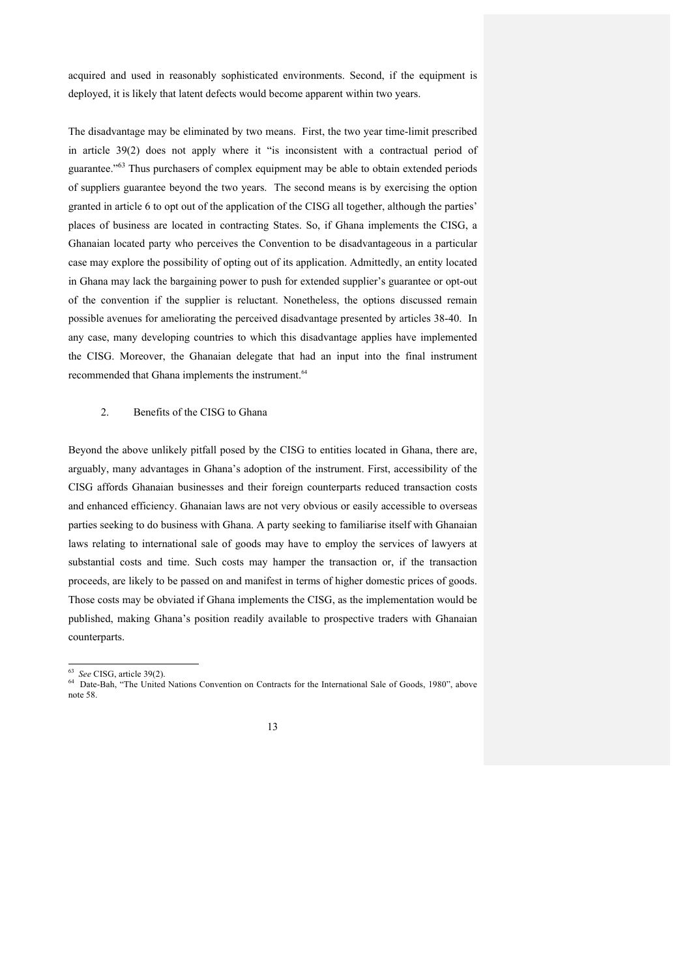acquired and used in reasonably sophisticated environments. Second, if the equipment is deployed, it is likely that latent defects would become apparent within two years.

The disadvantage may be eliminated by two means. First, the two year time-limit prescribed in article 39(2) does not apply where it "is inconsistent with a contractual period of guarantee."<sup>63</sup> Thus purchasers of complex equipment may be able to obtain extended periods of suppliers guarantee beyond the two years. The second means is by exercising the option granted in article 6 to opt out of the application of the CISG all together, although the parties' places of business are located in contracting States. So, if Ghana implements the CISG, a Ghanaian located party who perceives the Convention to be disadvantageous in a particular case may explore the possibility of opting out of its application. Admittedly, an entity located in Ghana may lack the bargaining power to push for extended supplier's guarantee or opt-out of the convention if the supplier is reluctant. Nonetheless, the options discussed remain possible avenues for ameliorating the perceived disadvantage presented by articles 38-40. In any case, many developing countries to which this disadvantage applies have implemented the CISG. Moreover, the Ghanaian delegate that had an input into the final instrument recommended that Ghana implements the instrument.<sup>64</sup>

# 2. Benefits of the CISG to Ghana

Beyond the above unlikely pitfall posed by the CISG to entities located in Ghana, there are, arguably, many advantages in Ghana's adoption of the instrument. First, accessibility of the CISG affords Ghanaian businesses and their foreign counterparts reduced transaction costs and enhanced efficiency. Ghanaian laws are not very obvious or easily accessible to overseas parties seeking to do business with Ghana. A party seeking to familiarise itself with Ghanaian laws relating to international sale of goods may have to employ the services of lawyers at substantial costs and time. Such costs may hamper the transaction or, if the transaction proceeds, are likely to be passed on and manifest in terms of higher domestic prices of goods. Those costs may be obviated if Ghana implements the CISG, as the implementation would be published, making Ghana's position readily available to prospective traders with Ghanaian counterparts.

<sup>&</sup>lt;sup>63</sup> See CISG, article 39(2).<br><sup>64</sup> Date-Bah, "The United Nations Convention on Contracts for the International Sale of Goods, 1980", above note 58.

<sup>13</sup>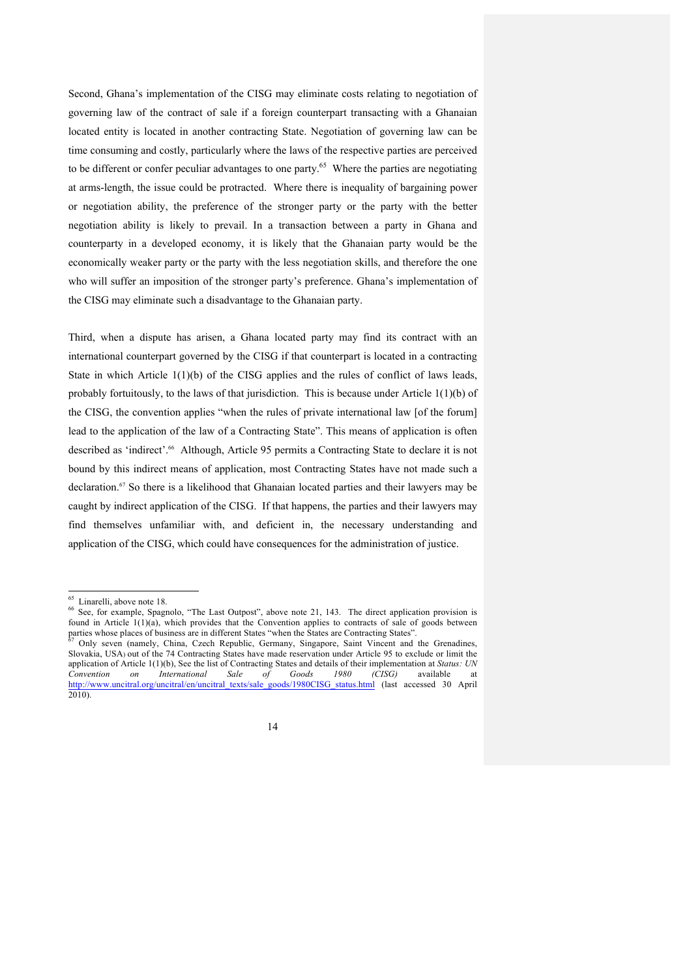Second, Ghana's implementation of the CISG may eliminate costs relating to negotiation of governing law of the contract of sale if a foreign counterpart transacting with a Ghanaian located entity is located in another contracting State. Negotiation of governing law can be time consuming and costly, particularly where the laws of the respective parties are perceived to be different or confer peculiar advantages to one party.<sup>65</sup> Where the parties are negotiating at arms-length, the issue could be protracted. Where there is inequality of bargaining power or negotiation ability, the preference of the stronger party or the party with the better negotiation ability is likely to prevail. In a transaction between a party in Ghana and counterparty in a developed economy, it is likely that the Ghanaian party would be the economically weaker party or the party with the less negotiation skills, and therefore the one who will suffer an imposition of the stronger party's preference. Ghana's implementation of the CISG may eliminate such a disadvantage to the Ghanaian party.

Third, when a dispute has arisen, a Ghana located party may find its contract with an international counterpart governed by the CISG if that counterpart is located in a contracting State in which Article 1(1)(b) of the CISG applies and the rules of conflict of laws leads, probably fortuitously, to the laws of that jurisdiction. This is because under Article  $1(1)(b)$  of the CISG, the convention applies "when the rules of private international law [of the forum] lead to the application of the law of a Contracting State". This means of application is often described as 'indirect'.<sup>66</sup> Although, Article 95 permits a Contracting State to declare it is not bound by this indirect means of application, most Contracting States have not made such a declaration. <sup>67</sup> So there is a likelihood that Ghanaian located parties and their lawyers may be caught by indirect application of the CISG. If that happens, the parties and their lawyers may find themselves unfamiliar with, and deficient in, the necessary understanding and application of the CISG, which could have consequences for the administration of justice.

 $<sup>65</sup>$  Linarelli, above note 18.<br><sup>66</sup> See, for example, Spagnolo, "The Last Outpost", above note 21, 143. The direct application provision is</sup> found in Article  $1(1)(a)$ , which provides that the Convention applies to contracts of sale of goods between parties whose places of business are in different States "when the States are Contracting States".

<sup>67</sup> Only seven (namely, China, Czech Republic, Germany, Singapore, Saint Vincent and the Grenadines, Slovakia, USA) out of the 74 Contracting States have made reservation under Article 95 to exclude or limit the application of Article 1(1)(b), See the list of Contracting States and details of their implementation at *Status: UN Convention on International Sale of Goods 1980 (CISG)* available at http://www.uncitral.org/uncitral/en/uncitral\_texts/sale\_goods/1980CISG\_status.html (last accessed 30 April 2010).

<sup>14</sup>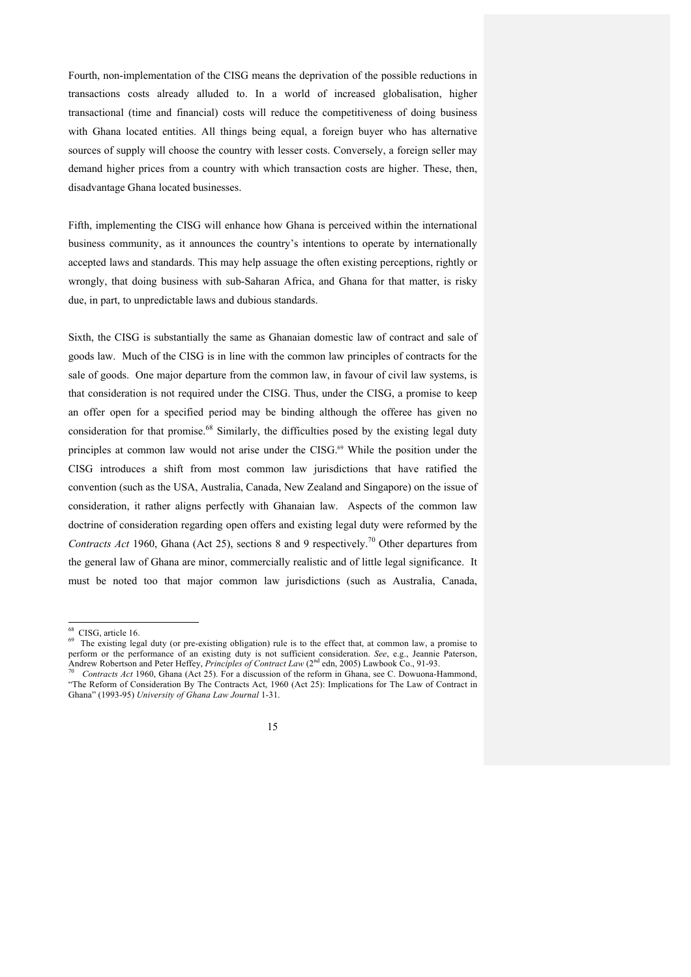Fourth, non-implementation of the CISG means the deprivation of the possible reductions in transactions costs already alluded to. In a world of increased globalisation, higher transactional (time and financial) costs will reduce the competitiveness of doing business with Ghana located entities. All things being equal, a foreign buyer who has alternative sources of supply will choose the country with lesser costs. Conversely, a foreign seller may demand higher prices from a country with which transaction costs are higher. These, then, disadvantage Ghana located businesses.

Fifth, implementing the CISG will enhance how Ghana is perceived within the international business community, as it announces the country's intentions to operate by internationally accepted laws and standards. This may help assuage the often existing perceptions, rightly or wrongly, that doing business with sub-Saharan Africa, and Ghana for that matter, is risky due, in part, to unpredictable laws and dubious standards.

Sixth, the CISG is substantially the same as Ghanaian domestic law of contract and sale of goods law. Much of the CISG is in line with the common law principles of contracts for the sale of goods. One major departure from the common law, in favour of civil law systems, is that consideration is not required under the CISG. Thus, under the CISG, a promise to keep an offer open for a specified period may be binding although the offeree has given no consideration for that promise.<sup>68</sup> Similarly, the difficulties posed by the existing legal duty principles at common law would not arise under the CISG.<sup>69</sup> While the position under the CISG introduces a shift from most common law jurisdictions that have ratified the convention (such as the USA, Australia, Canada, New Zealand and Singapore) on the issue of consideration, it rather aligns perfectly with Ghanaian law. Aspects of the common law doctrine of consideration regarding open offers and existing legal duty were reformed by the *Contracts Act* 1960, Ghana (Act 25), sections 8 and 9 respectively.<sup>70</sup> Other departures from the general law of Ghana are minor, commercially realistic and of little legal significance. It must be noted too that major common law jurisdictions (such as Australia, Canada,

<sup>&</sup>lt;sup>68</sup> CISG, article 16.  $\frac{69}{9}$  The existing legal duty (or pre-existing obligation) rule is to the effect that, at common law, a promise to perform or the performance of an existing duty is not sufficient consideration. *See*, e.g., Jeannie Paterson, Andrew Robertson and Peter Heffey, *Principles of Contract Law* (2<sup>nd</sup> edn, 2005) Lawbook Co., 91-93.<br><sup>70</sup> *Contracts Act* 1960, Ghana (Act 25). For a discussion of the reform in Ghana, see C. Dowuona-Hammond,

<sup>&</sup>quot;The Reform of Consideration By The Contracts Act, 1960 (Act 25): Implications for The Law of Contract in Ghana" (1993-95) *University of Ghana Law Journal* 1-31.

<sup>15</sup>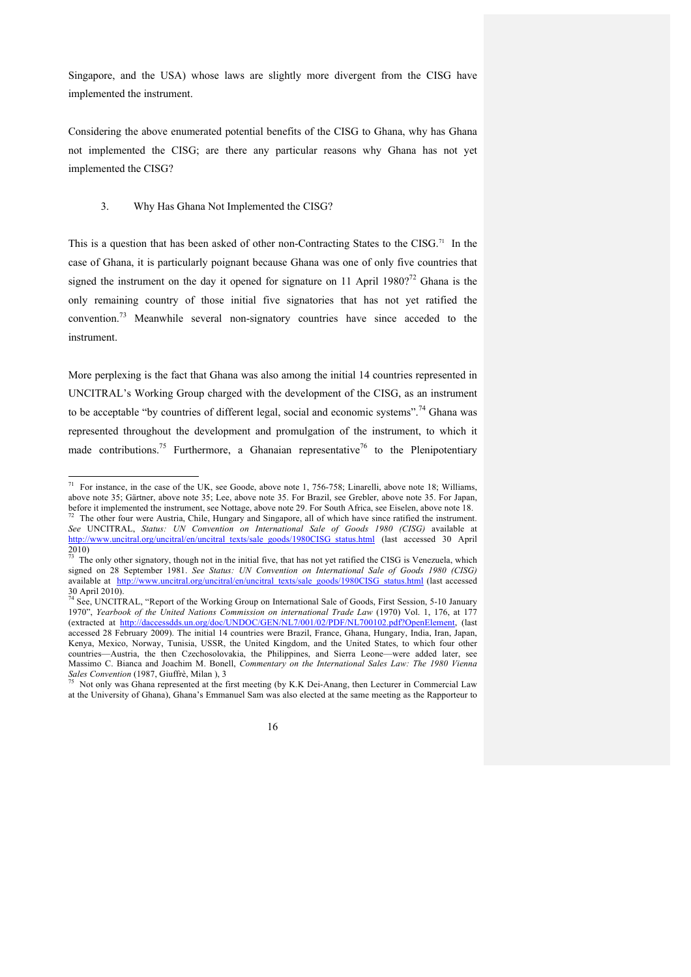Singapore, and the USA) whose laws are slightly more divergent from the CISG have implemented the instrument.

Considering the above enumerated potential benefits of the CISG to Ghana, why has Ghana not implemented the CISG; are there any particular reasons why Ghana has not yet implemented the CISG?

### 3. Why Has Ghana Not Implemented the CISG?

This is a question that has been asked of other non-Contracting States to the CISG.<sup>71</sup> In the case of Ghana, it is particularly poignant because Ghana was one of only five countries that signed the instrument on the day it opened for signature on 11 April 1980?<sup>72</sup> Ghana is the only remaining country of those initial five signatories that has not yet ratified the convention.<sup>73</sup> Meanwhile several non-signatory countries have since acceded to the instrument.

More perplexing is the fact that Ghana was also among the initial 14 countries represented in UNCITRAL's Working Group charged with the development of the CISG, as an instrument to be acceptable "by countries of different legal, social and economic systems".<sup>74</sup> Ghana was represented throughout the development and promulgation of the instrument, to which it made contributions.<sup>75</sup> Furthermore, a Ghanaian representative<sup>76</sup> to the Plenipotentiary

Not only was Ghana represented at the first meeting (by K.K. Dei-Anang, then Lecturer in Commercial Law at the University of Ghana), Ghana's Emmanuel Sam was also elected at the same meeting as the Rapporteur to



 <sup>71</sup> For instance, in the case of the UK, see Goode, above note 1, 756-758; Linarelli, above note 18; Williams, above note 35; Gärtner, above note 35; Lee, above note 35. For Brazil, see Grebler, above note 35. For Japan, before it implemented the instrument, see Nottage, above note 29. For South Africa, see Eiselen, above note 18.<br><sup>72</sup> The other four were Austria, Chile, Hungary and Singapore, all of which have since ratified the instrumen

*See* UNCITRAL, *Status: UN Convention on International Sale of Goods 1980 (CISG)* available at http://www.uncitral.org/uncitral/en/uncitral\_texts/sale\_goods/1980CISG\_status.html (last accessed 30 April 2010)

The only other signatory, though not in the initial five, that has not yet ratified the CISG is Venezuela, which signed on 28 September 1981. *See Status: UN Convention on International Sale of Goods 1980 (CISG)* available at http://www.uncitral.org/uncitral/en/uncitral\_texts/sale\_goods/1980CISG\_status.html (last accessed 30 April 2010). <sup>74</sup> See, UNCITRAL, "Report of the Working Group on International Sale of Goods, First Session, 5-10 January

<sup>1970&</sup>quot;, *Yearbook of the United Nations Commission on international Trade Law* (1970) Vol. 1, 176, at 177 (extracted at http://daccessdds.un.org/doc/UNDOC/GEN/NL7/001/02/PDF/NL700102.pdf?OpenElement, (last accessed 28 February 2009). The initial 14 countries were Brazil, France, Ghana, Hungary, India, Iran, Japan, Kenya, Mexico, Norway, Tunisia, USSR, the United Kingdom, and the United States, to which four other countries—Austria, the then Czechosolovakia, the Philippines, and Sierra Leone—were added later, see Massimo C. Bianca and Joachim M. Bonell, *Commentary on the International Sales Law: The 1980 Vienna*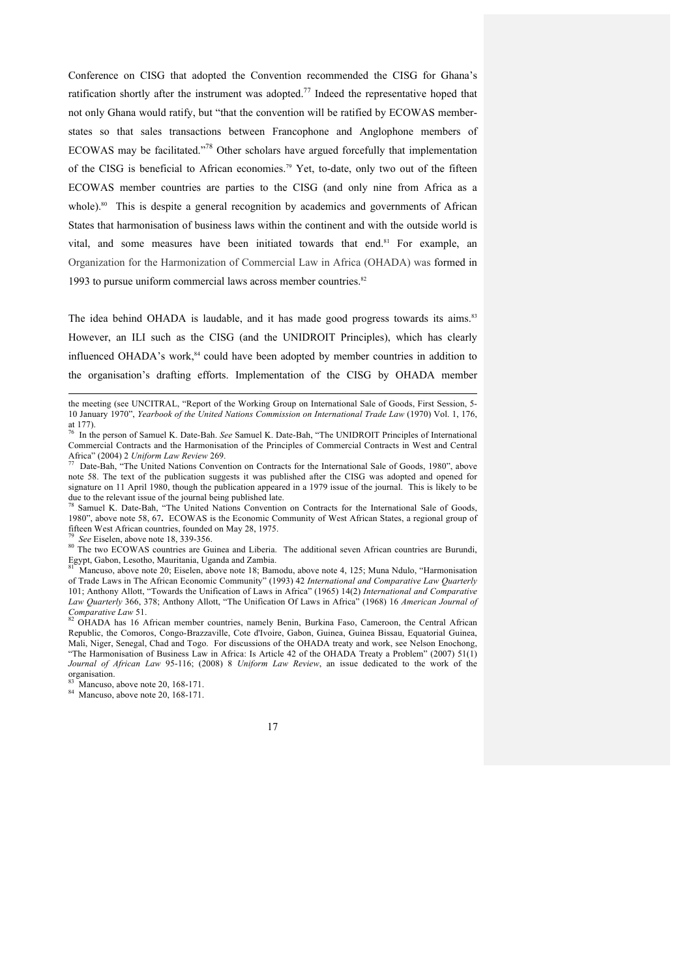Conference on CISG that adopted the Convention recommended the CISG for Ghana's ratification shortly after the instrument was adopted.<sup>77</sup> Indeed the representative hoped that not only Ghana would ratify, but "that the convention will be ratified by ECOWAS memberstates so that sales transactions between Francophone and Anglophone members of ECOWAS may be facilitated."78 Other scholars have argued forcefully that implementation of the CISG is beneficial to African economies.79 Yet, to-date, only two out of the fifteen ECOWAS member countries are parties to the CISG (and only nine from Africa as a whole).<sup>80</sup> This is despite a general recognition by academics and governments of African States that harmonisation of business laws within the continent and with the outside world is vital, and some measures have been initiated towards that end. $81$  For example, an Organization for the Harmonization of Commercial Law in Africa (OHADA) was formed in 1993 to pursue uniform commercial laws across member countries. 82

The idea behind OHADA is laudable, and it has made good progress towards its aims.<sup>83</sup> However, an ILI such as the CISG (and the UNIDROIT Principles), which has clearly influenced OHADA's work,<sup>84</sup> could have been adopted by member countries in addition to the organisation's drafting efforts. Implementation of the CISG by OHADA member

<sup>78</sup> Samuel K. Date-Bah, "The United Nations Convention on Contracts for the International Sale of Goods, 1980", above note 58, 67**.** ECOWAS is the Economic Community of West African States, a regional group of fifteen West African countries, founded on May 28, 1975.

 $\overline{a}$ 

<sup>79</sup> See Eiselen, above note 18, 339-356.<br><sup>80</sup> The two ECOWAS countries are Guinea and Liberia. The additional seven African countries are Burundi, Egypt, Gabon, Lesotho, Mauritania, Uganda and Zambia.

Mancuso, above note 20; Eiselen, above note 18; Bamodu, above note 4, 125; Muna Ndulo, "Harmonisation of Trade Laws in The African Economic Community" (1993) 42 *International and Comparative Law Quarterly* 101; Anthony Allott, "Towards the Unification of Laws in Africa" (1965) 14(2) *International and Comparative Law Quarterly* 366, 378; Anthony Allott, "The Unification Of Laws in Africa" (1968) 16 *American Journal of Comparative Law 51*. **82 OHADA** has 16 African member countries, namely Benin, Burkina Faso, Cameroon, the Central African

Republic, the Comoros, Congo-Brazzaville, Cote d'Ivoire, Gabon, Guinea, Guinea Bissau, Equatorial Guinea, Mali, Niger, Senegal, Chad and Togo. For discussions of the OHADA treaty and work, see Nelson Enochong, "The Harmonisation of Business Law in Africa: Is Article 42 of the OHADA Treaty a Problem" (2007) 51(1) *Journal of African Law* 95-116; (2008) 8 *Uniform Law Review*, an issue dedicated to the work of the organisation.<br><sup>83</sup> Mancuso, above note 20, 168-171.

 $84$  Mancuso, above note 20, 168-171.

17

the meeting (see UNCITRAL, "Report of the Working Group on International Sale of Goods, First Session, 5- 10 January 1970", *Yearbook of the United Nations Commission on International Trade Law* (1970) Vol. 1, 176, at 177).

<sup>76</sup> In the person of Samuel K. Date-Bah. *See* Samuel K. Date-Bah, "The UNIDROIT Principles of International Commercial Contracts and the Harmonisation of the Principles of Commercial Contracts in West and Central Africa" (2004) 2 *Uniform Law Review* 269.<br>
<sup>77</sup> Date-Bah, "The United Nations Convention on Contracts for the International Sale of Goods, 1980", above

note 58. The text of the publication suggests it was published after the CISG was adopted and opened for signature on 11 April 1980, though the publication appeared in a 1979 issue of the journal. This is likely to be due to the relevant issue of the journal being published late.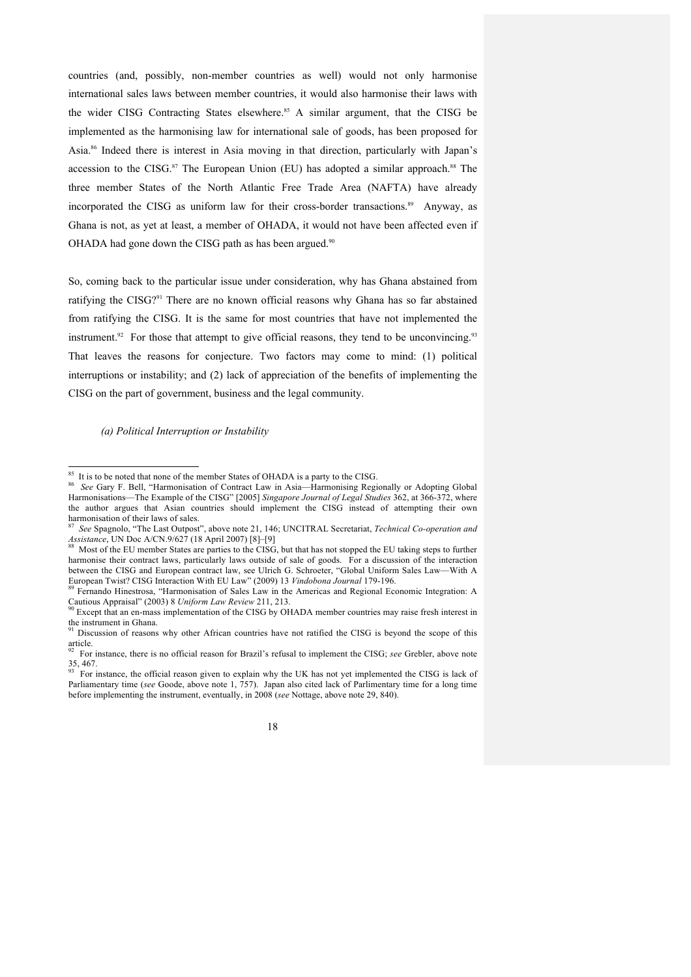countries (and, possibly, non-member countries as well) would not only harmonise international sales laws between member countries, it would also harmonise their laws with the wider CISG Contracting States elsewhere.<sup>85</sup> A similar argument, that the CISG be implemented as the harmonising law for international sale of goods, has been proposed for Asia.86 Indeed there is interest in Asia moving in that direction, particularly with Japan's accession to the CISG. $^{87}$  The European Union (EU) has adopted a similar approach. $^{88}$  The three member States of the North Atlantic Free Trade Area (NAFTA) have already incorporated the CISG as uniform law for their cross-border transactions.<sup>89</sup> Anyway, as Ghana is not, as yet at least, a member of OHADA, it would not have been affected even if OHADA had gone down the CISG path as has been argued.<sup>90</sup>

So, coming back to the particular issue under consideration, why has Ghana abstained from ratifying the CISG?<sup>91</sup> There are no known official reasons why Ghana has so far abstained from ratifying the CISG. It is the same for most countries that have not implemented the instrument.<sup>92</sup> For those that attempt to give official reasons, they tend to be unconvincing.<sup>93</sup> That leaves the reasons for conjecture. Two factors may come to mind: (1) political interruptions or instability; and (2) lack of appreciation of the benefits of implementing the CISG on the part of government, business and the legal community.

*(a) Political Interruption or Instability*

Parliamentary time (*see* Goode, above note 1, 757). Japan also cited lack of Parlimentary time for a long time before implementing the instrument, eventually, in 2008 (*see* Nottage, above note 29, 840).



<sup>&</sup>lt;sup>85</sup> It is to be noted that none of the member States of OHADA is a party to the CISG.<br><sup>86</sup> *See* Gary F. Bell, "Harmonisation of Contract Law in Asia—Harmonising Regionally or Adopting Global Harmonisations—The Example of the CISG" [2005] *Singapore Journal of Legal Studies* 362, at 366-372, where the author argues that Asian countries should implement the CISG instead of attempting their own harmonisation of their laws of sales.

<sup>87</sup> *See* Spagnolo, "The Last Outpost", above note 21, 146; UNCITRAL Secretariat, *Technical Co-operation and* 

Most of the EU member States are parties to the CISG, but that has not stopped the EU taking steps to further harmonise their contract laws, particularly laws outside of sale of goods. For a discussion of the interaction between the CISG and European contract law, see Ulrich G. Schroeter, "Global Uniform Sales Law—With A European Twist? CISG Interaction With EU Law" (2009) 13 Vindobona Journal 179-196.

European Twist. CISG Interaction With EU Law Regional Collection With European Technology of *Vindobona Journal* 179-196.<br>
Cautions Appraisal? (2003) 8 *Uniform Law Review* 211, 213.<br>
<sup>90</sup> Fernando Hinestrosa, "Harmonisati

Except that an en-mass implementation of the CISG by OHADA member countries may raise fresh interest in the instrument in Ghana.

Discussion of reasons why other African countries have not ratified the CISG is beyond the scope of this  $\arctan 92$ 

<sup>92</sup> For instance, there is no official reason for Brazil's refusal to implement the CISG; *see* Grebler, above note 35, 467. <sup>93</sup> For instance, the official reason given to explain why the UK has not yet implemented the CISG is lack of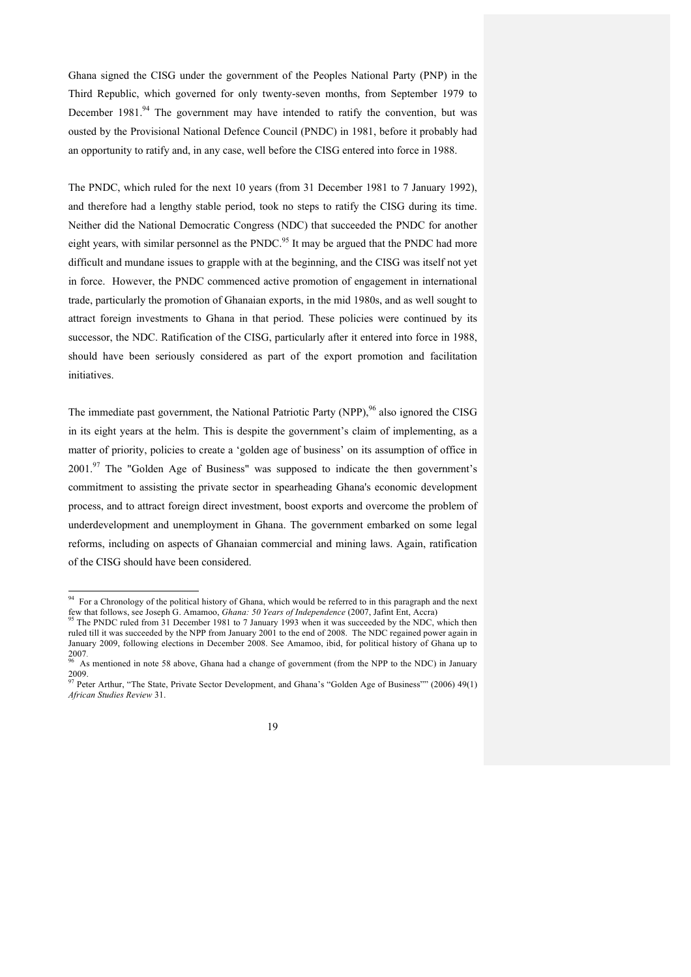Ghana signed the CISG under the government of the Peoples National Party (PNP) in the Third Republic, which governed for only twenty-seven months, from September 1979 to December  $1981<sup>94</sup>$  The government may have intended to ratify the convention, but was ousted by the Provisional National Defence Council (PNDC) in 1981, before it probably had an opportunity to ratify and, in any case, well before the CISG entered into force in 1988.

The PNDC, which ruled for the next 10 years (from 31 December 1981 to 7 January 1992), and therefore had a lengthy stable period, took no steps to ratify the CISG during its time. Neither did the National Democratic Congress (NDC) that succeeded the PNDC for another eight years, with similar personnel as the PNDC.<sup>95</sup> It may be argued that the PNDC had more difficult and mundane issues to grapple with at the beginning, and the CISG was itself not yet in force. However, the PNDC commenced active promotion of engagement in international trade, particularly the promotion of Ghanaian exports, in the mid 1980s, and as well sought to attract foreign investments to Ghana in that period. These policies were continued by its successor, the NDC. Ratification of the CISG, particularly after it entered into force in 1988, should have been seriously considered as part of the export promotion and facilitation initiatives.

The immediate past government, the National Patriotic Party (NPP),<sup>96</sup> also ignored the CISG in its eight years at the helm. This is despite the government's claim of implementing, as a matter of priority, policies to create a 'golden age of business' on its assumption of office in  $2001$ .<sup>97</sup> The "Golden Age of Business" was supposed to indicate the then government's commitment to assisting the private sector in spearheading Ghana's economic development process, and to attract foreign direct investment, boost exports and overcome the problem of underdevelopment and unemployment in Ghana. The government embarked on some legal reforms, including on aspects of Ghanaian commercial and mining laws. Again, ratification of the CISG should have been considered.

<sup>&</sup>lt;sup>94</sup> For a Chronology of the political history of Ghana, which would be referred to in this paragraph and the next few that follows, see Joseph G. Amamoo, *Ghana: 50 Years of Independence* (2007, Jafint Ent, Accra) <sup>95</sup> The PNDC ruled from 31 December 1981 to 7 January 1993 when it was succeeded by the NDC, which then

ruled till it was succeeded by the NPP from January 2001 to the end of 2008. The NDC regained power again in January 2009, following elections in December 2008. See Amamoo, ibid, for political history of Ghana up to 2007.<br><sup>96</sup> As mentioned in note 58 shows. Ghana had a change of government (from the NDB to the NDC) is **1**-wave-

As mentioned in note 58 above, Ghana had a change of government (from the NPP to the NDC) in January 2009.<br><sup>97</sup> Peter Arthur, "The State, Private Sector Development, and Ghana's "Golden Age of Business"" (2006) 49(1)

*African Studies Review* 31.

<sup>19</sup>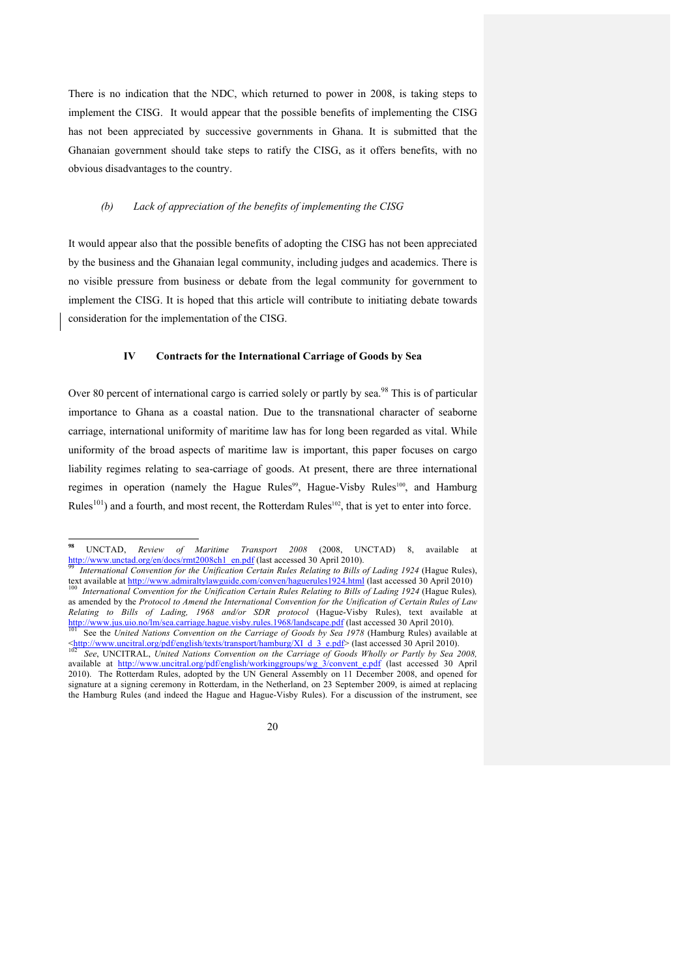There is no indication that the NDC, which returned to power in 2008, is taking steps to implement the CISG. It would appear that the possible benefits of implementing the CISG has not been appreciated by successive governments in Ghana. It is submitted that the Ghanaian government should take steps to ratify the CISG, as it offers benefits, with no obvious disadvantages to the country.

### *(b) Lack of appreciation of the benefits of implementing the CISG*

It would appear also that the possible benefits of adopting the CISG has not been appreciated by the business and the Ghanaian legal community, including judges and academics. There is no visible pressure from business or debate from the legal community for government to implement the CISG. It is hoped that this article will contribute to initiating debate towards consideration for the implementation of the CISG.

#### **IV Contracts for the International Carriage of Goods by Sea**

Over 80 percent of international cargo is carried solely or partly by sea.<sup>98</sup> This is of particular importance to Ghana as a coastal nation. Due to the transnational character of seaborne carriage, international uniformity of maritime law has for long been regarded as vital. While uniformity of the broad aspects of maritime law is important, this paper focuses on cargo liability regimes relating to sea-carriage of goods. At present, there are three international regimes in operation (namely the Hague Rules<sup>99</sup>, Hague-Visby Rules<sup>100</sup>, and Hamburg Rules<sup>101</sup>) and a fourth, and most recent, the Rotterdam Rules<sup>102</sup>, that is yet to enter into force.

Shttp://www.uncitral.org/pdf/english/texts/transport/hamburg/XI\_d\_3\_e.pdf> (last accessed 30 April 2010).<br><sup>102</sup> See, UNCITRAL, *United Nations Convention on the Carriage of Goods Wholly or Partly by Sea 2008*, available at http://www.uncitral.org/pdf/english/workinggroups/wg\_3/convent\_e.pdf (last accessed 30 April 2010). The Rotterdam Rules, adopted by the UN General Assembly on 11 December 2008, and opened for signature at a signing ceremony in Rotterdam, in the Netherland, on 23 September 2009, is aimed at replacing the Hamburg Rules (and indeed the Hague and Hague-Visby Rules). For a discussion of the instrument, see



**<sup>98</sup>** UNCTAD, *Review of Maritime Transport 2008* (2008, UNCTAD) 8, available at

International Convention for the Unification Certain Rules Relating to Bills of Lading 1924 (Hague Rules), text available at http://www.admiraltylawguide.com/conven/haguerules1924.html (last accessed 30 April 2010)<br><sup>100</sup> International Convention for the Unification Certain Rules Relating to Bills of Lading 1924 (Hague Rules), as amended by the *Protocol to Amend the International Convention for the Unification of Certain Rules of Law* 

*Relating to Bills of Lading, 1968 and/or SDR protocol* (Hague-Visby Rules), text available at http://www.jus.uio.no/lm/sea.carriage.hague.visby.rules.1968/landscape.pdf (last accessed 30 April 2010).<br><sup>101</sup> See the *United Nations Convention on the Carriage of Goods by Sea 1978* (Hamburg Rules) available at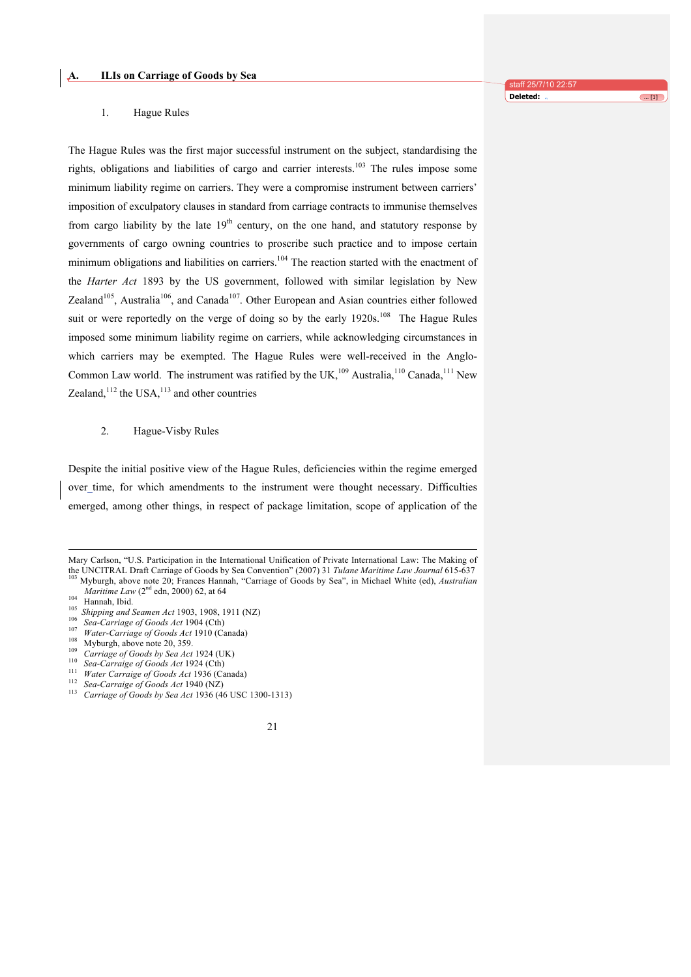### 1. Hague Rules

The Hague Rules was the first major successful instrument on the subject, standardising the rights, obligations and liabilities of cargo and carrier interests.<sup>103</sup> The rules impose some minimum liability regime on carriers. They were a compromise instrument between carriers' imposition of exculpatory clauses in standard from carriage contracts to immunise themselves from cargo liability by the late  $19<sup>th</sup>$  century, on the one hand, and statutory response by governments of cargo owning countries to proscribe such practice and to impose certain minimum obligations and liabilities on carriers.<sup>104</sup> The reaction started with the enactment of the *Harter Act* 1893 by the US government, followed with similar legislation by New Zealand<sup>105</sup>, Australia<sup>106</sup>, and Canada<sup>107</sup>. Other European and Asian countries either followed suit or were reportedly on the verge of doing so by the early 1920s.<sup>108</sup> The Hague Rules imposed some minimum liability regime on carriers, while acknowledging circumstances in which carriers may be exempted. The Hague Rules were well-received in the Anglo-Common Law world. The instrument was ratified by the UK,<sup>109</sup> Australia,<sup>110</sup> Canada,<sup>111</sup> New Zealand, $112$  the USA, $113$  and other countries

### 2. Hague-Visby Rules

Despite the initial positive view of the Hague Rules, deficiencies within the regime emerged over time, for which amendments to the instrument were thought necessary. Difficulties emerged, among other things, in respect of package limitation, scope of application of the

- 
- 
- 
- 
- 
- 
- 
- 

Hannah, Ibid.<br>
<sup>104</sup> Hannah, Ibid.<br>
<sup>105</sup> Shipping and Seamen Act 1903, 1908, 1911 (NZ)<br>
<sup>106</sup> Sea-Carriage of Goods Act 1904 (Cth)<br>
<sup>107</sup> Water-Carriage of Goods Act 1910 (Canada)<br>
<sup>109</sup> Myburgh, above note 20, 359.<br> *Ca* 



Mary Carlson, "U.S. Participation in the International Unification of Private International Law: The Making of the UNCITRAL Draft Carriage of Goods by Sea Convention" (2007) 31 Tulane Maritime Law Journal 615-637 Myburgh, above note 20; Frances Hannah, "Carriage of Goods by Sea", in Michael White (ed), *Australian Maritime Law* (2<sup>nd</sup> edn, 2000) 62, at 64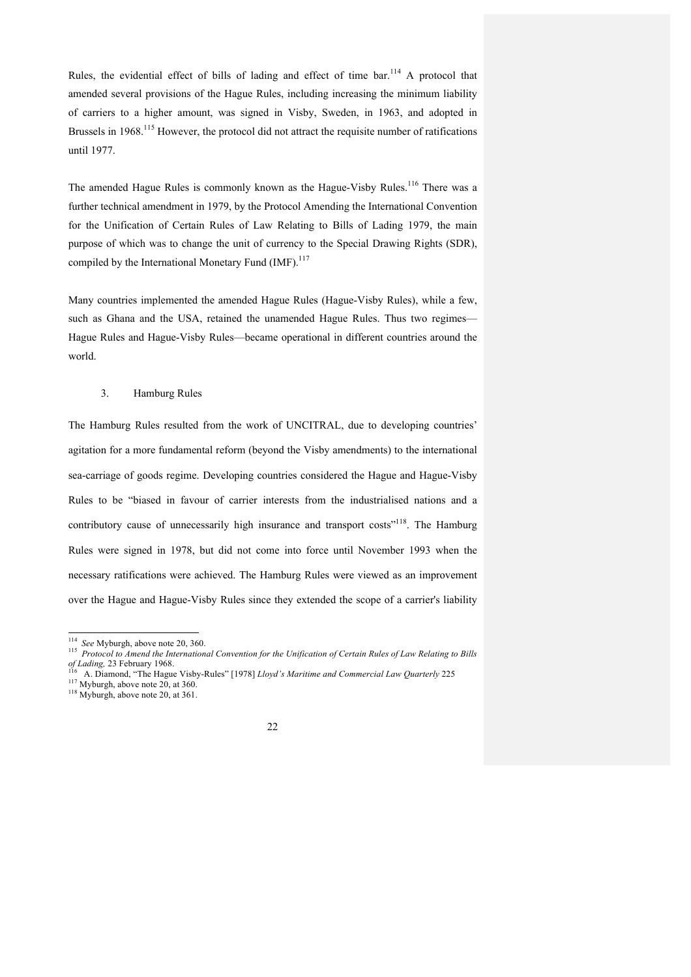Rules, the evidential effect of bills of lading and effect of time bar.<sup>114</sup> A protocol that amended several provisions of the Hague Rules, including increasing the minimum liability of carriers to a higher amount, was signed in Visby, Sweden, in 1963, and adopted in Brussels in 1968.<sup>115</sup> However, the protocol did not attract the requisite number of ratifications until 1977.

The amended Hague Rules is commonly known as the Hague-Visby Rules.<sup>116</sup> There was a further technical amendment in 1979, by the Protocol Amending the International Convention for the Unification of Certain Rules of Law Relating to Bills of Lading 1979, the main purpose of which was to change the unit of currency to the Special Drawing Rights (SDR), compiled by the International Monetary Fund (IMF).<sup>117</sup>

Many countries implemented the amended Hague Rules (Hague-Visby Rules), while a few, such as Ghana and the USA, retained the unamended Hague Rules. Thus two regimes— Hague Rules and Hague-Visby Rules—became operational in different countries around the world.

### 3. Hamburg Rules

The Hamburg Rules resulted from the work of UNCITRAL, due to developing countries' agitation for a more fundamental reform (beyond the Visby amendments) to the international sea-carriage of goods regime. Developing countries considered the Hague and Hague-Visby Rules to be "biased in favour of carrier interests from the industrialised nations and a contributory cause of unnecessarily high insurance and transport costs"<sup>118</sup>. The Hamburg Rules were signed in 1978, but did not come into force until November 1993 when the necessary ratifications were achieved. The Hamburg Rules were viewed as an improvement over the Hague and Hague-Visby Rules since they extended the scope of a carrier's liability

<sup>&</sup>lt;sup>114</sup> See Myburgh, above note 20, 360.<br><sup>115</sup> Protocol to Amend the International Convention for the Unification of Certain Rules of Law Relating to Bills of Lading, 23 February 1968.

<sup>&</sup>lt;sup>216</sup> A. Diamond, "The Hague Visby-Rules" [1978] *Lloyd's Maritime and Commercial Law Quarterly* 225 <sup>117</sup> Myburgh, above note 20, at 360. <sup>118</sup> Myburgh, above note 20, at 361.

<sup>22</sup>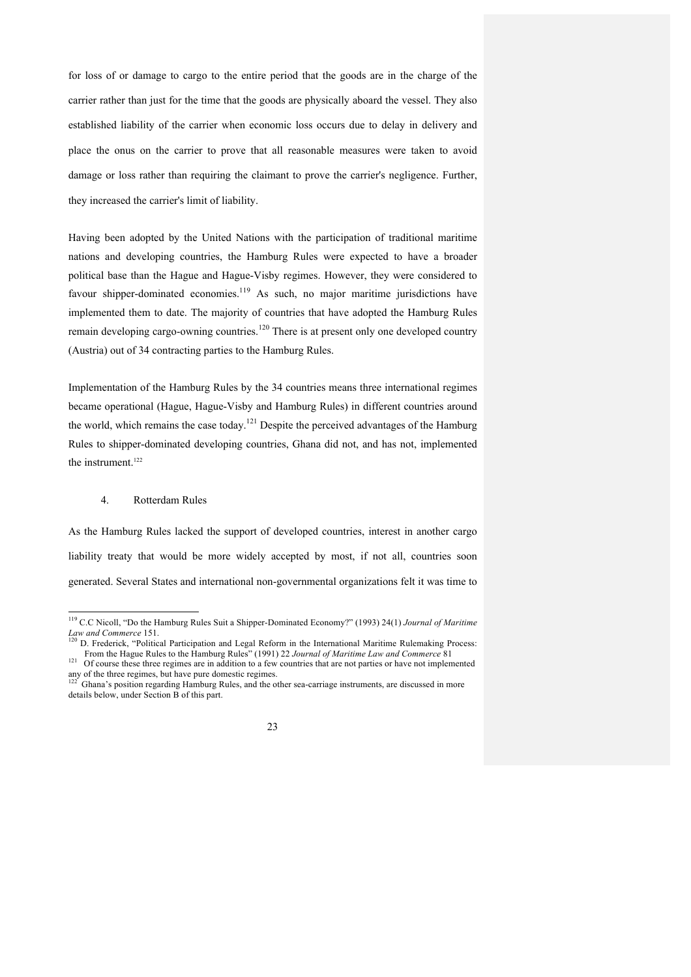for loss of or damage to cargo to the entire period that the goods are in the charge of the carrier rather than just for the time that the goods are physically aboard the vessel. They also established liability of the carrier when economic loss occurs due to delay in delivery and place the onus on the carrier to prove that all reasonable measures were taken to avoid damage or loss rather than requiring the claimant to prove the carrier's negligence. Further, they increased the carrier's limit of liability.

Having been adopted by the United Nations with the participation of traditional maritime nations and developing countries, the Hamburg Rules were expected to have a broader political base than the Hague and Hague-Visby regimes. However, they were considered to favour shipper-dominated economies.<sup>119</sup> As such, no major maritime jurisdictions have implemented them to date. The majority of countries that have adopted the Hamburg Rules remain developing cargo-owning countries.<sup>120</sup> There is at present only one developed country (Austria) out of 34 contracting parties to the Hamburg Rules.

Implementation of the Hamburg Rules by the 34 countries means three international regimes became operational (Hague, Hague-Visby and Hamburg Rules) in different countries around the world, which remains the case today.<sup>121</sup> Despite the perceived advantages of the Hamburg Rules to shipper-dominated developing countries, Ghana did not, and has not, implemented the instrument.<sup>122</sup>

# 4. Rotterdam Rules

As the Hamburg Rules lacked the support of developed countries, interest in another cargo liability treaty that would be more widely accepted by most, if not all, countries soon generated. Several States and international non-governmental organizations felt it was time to

<sup>119</sup> C.C Nicoll, "Do the Hamburg Rules Suit a Shipper-Dominated Economy?" (1993) 24(1) *Journal of Maritime*<br>Law and Commerce 151.<br><sup>120</sup> D. Frederick: "Delities l. Butities"

D. Frederick, "Political Participation and Legal Reform in the International Maritime Rulemaking Process: From the Hague Rules to the Hamburg Rules" (1991) 22 *Journal of Maritime Law and Commerce* 81<sup>21</sup> Of course these three regimes are in addition to a few countries that are not parties or have not implemented

any of the three regimes, but have pure domestic regimes.<br><sup>122</sup> Ghana's position regarding Hamburg Rules, and the other sea-carriage instruments, are discussed in more

details below, under Section B of this part.

<sup>23</sup>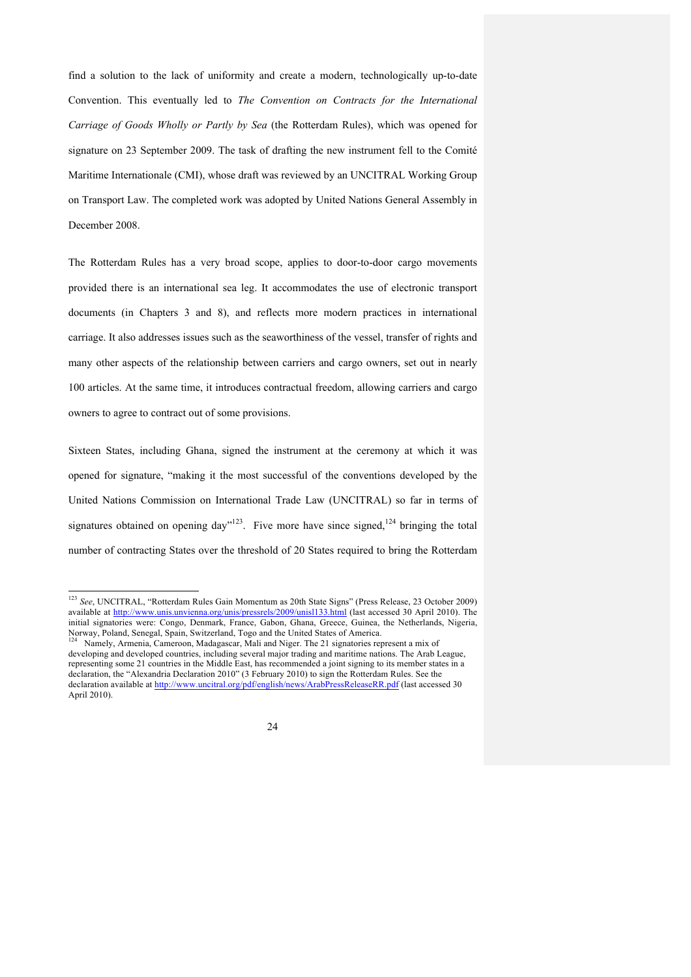find a solution to the lack of uniformity and create a modern, technologically up-to-date Convention. This eventually led to *The Convention on Contracts for the International Carriage of Goods Wholly or Partly by Sea* (the Rotterdam Rules), which was opened for signature on 23 September 2009. The task of drafting the new instrument fell to the Comité Maritime Internationale (CMI), whose draft was reviewed by an UNCITRAL Working Group on Transport Law. The completed work was adopted by United Nations General Assembly in December 2008.

The Rotterdam Rules has a very broad scope, applies to door-to-door cargo movements provided there is an international sea leg. It accommodates the use of electronic transport documents (in Chapters 3 and 8), and reflects more modern practices in international carriage. It also addresses issues such as the seaworthiness of the vessel, transfer of rights and many other aspects of the relationship between carriers and cargo owners, set out in nearly 100 articles. At the same time, it introduces contractual freedom, allowing carriers and cargo owners to agree to contract out of some provisions.

Sixteen States, including Ghana, signed the instrument at the ceremony at which it was opened for signature, "making it the most successful of the conventions developed by the United Nations Commission on International Trade Law (UNCITRAL) so far in terms of signatures obtained on opening day"<sup>123</sup>. Five more have since signed,<sup>124</sup> bringing the total number of contracting States over the threshold of 20 States required to bring the Rotterdam

developing and developed countries, including several major trading and maritime nations. The Arab League, representing some 21 countries in the Middle East, has recommended a joint signing to its member states in a declaration, the "Alexandria Declaration 2010" (3 February 2010) to sign the Rotterdam Rules. See the declaration available at http://www.uncitral.org/pdf/english/news/ArabPressReleaseRR.pdf (last accessed 30 April 2010).



 <sup>123</sup> *See*, UNCITRAL, "Rotterdam Rules Gain Momentum as 20th State Signs" (Press Release, 23 October 2009) available at http://www.unis.unvienna.org/unis/pressrels/2009/unisl133.html (last accessed 30 April 2010). The initial signatories were: Congo, Denmark, France, Gabon, Ghana, Greece, Guinea, the Netherlands, Nigeria, Norway, Poland, Senegal, Spain, Switzerland, Togo and the United States of America.<br><sup>124</sup> Namely, Armenia, Cameroon, Madagascar, Mali and Niger. The 21 signatories represent a mix of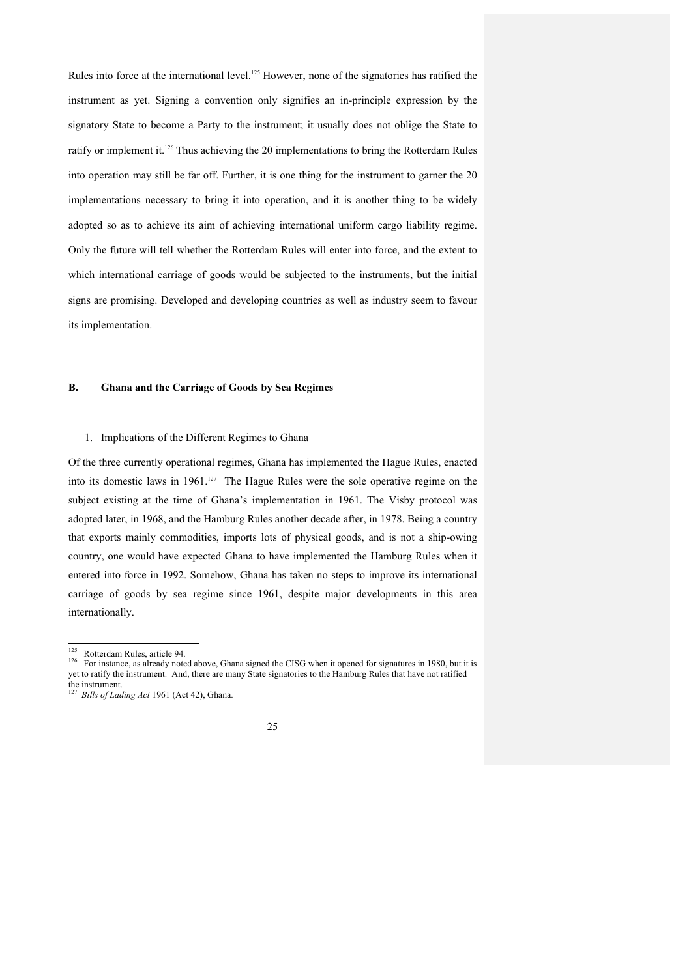Rules into force at the international level.<sup>125</sup> However, none of the signatories has ratified the instrument as yet. Signing a convention only signifies an in-principle expression by the signatory State to become a Party to the instrument; it usually does not oblige the State to ratify or implement it.<sup>126</sup> Thus achieving the 20 implementations to bring the Rotterdam Rules into operation may still be far off. Further, it is one thing for the instrument to garner the 20 implementations necessary to bring it into operation, and it is another thing to be widely adopted so as to achieve its aim of achieving international uniform cargo liability regime. Only the future will tell whether the Rotterdam Rules will enter into force, and the extent to which international carriage of goods would be subjected to the instruments, but the initial signs are promising. Developed and developing countries as well as industry seem to favour its implementation.

## **B. Ghana and the Carriage of Goods by Sea Regimes**

## 1. Implications of the Different Regimes to Ghana

Of the three currently operational regimes, Ghana has implemented the Hague Rules, enacted into its domestic laws in 1961.<sup>127</sup> The Hague Rules were the sole operative regime on the subject existing at the time of Ghana's implementation in 1961. The Visby protocol was adopted later, in 1968, and the Hamburg Rules another decade after, in 1978. Being a country that exports mainly commodities, imports lots of physical goods, and is not a ship-owing country, one would have expected Ghana to have implemented the Hamburg Rules when it entered into force in 1992. Somehow, Ghana has taken no steps to improve its international carriage of goods by sea regime since 1961, despite major developments in this area internationally.

<sup>127</sup> *Bills of Lading Act* 1961 (Act 42), Ghana.



<sup>&</sup>lt;sup>125</sup> Rotterdam Rules, article 94.<br><sup>126</sup> For instance, as already noted above, Ghana signed the CISG when it opened for signatures in 1980, but it is yet to ratify the instrument. And, there are many State signatories to the Hamburg Rules that have not ratified the instrument.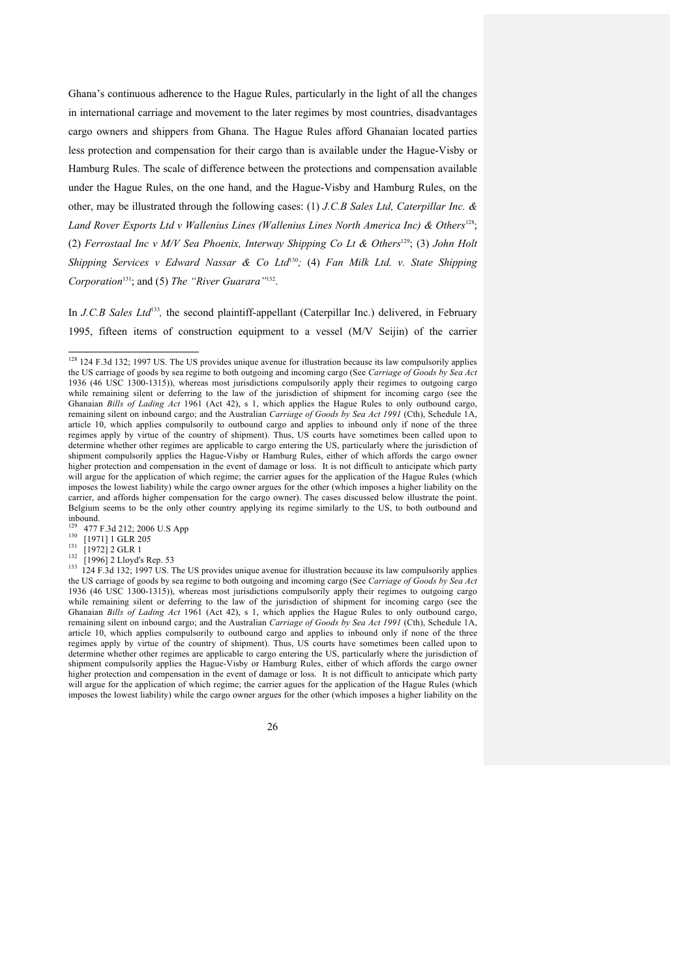Ghana's continuous adherence to the Hague Rules, particularly in the light of all the changes in international carriage and movement to the later regimes by most countries, disadvantages cargo owners and shippers from Ghana. The Hague Rules afford Ghanaian located parties less protection and compensation for their cargo than is available under the Hague-Visby or Hamburg Rules. The scale of difference between the protections and compensation available under the Hague Rules, on the one hand, and the Hague-Visby and Hamburg Rules, on the other, may be illustrated through the following cases: (1) *J.C.B Sales Ltd, Caterpillar Inc. &*  Land Rover Exports Ltd v Wallenius Lines (Wallenius Lines North America Inc) & Others<sup>128</sup>; (2) *Ferrostaal Inc v M/V Sea Phoenix, Interway Shipping Co Lt & Others*129; (3) *John Holt Shipping Services v Edward Nassar & Co Ltd*<sup>130</sup>*;* (4) *Fan Milk Ltd. v. State Shipping Corporation*131; and (5) *The "River Guarara"*132.

In *J.C.B Sales Ltd*<sup>133</sup>, the second plaintiff-appellant (Caterpillar Inc.) delivered, in February 1995, fifteen items of construction equipment to a vessel (M/V Seijin) of the carrier

<sup>&</sup>lt;sup>128</sup> 124 F.3d 132; 1997 US. The US provides unique avenue for illustration because its law compulsorily applies the US carriage of goods by sea regime to both outgoing and incoming cargo (See *Carriage of Goods by Sea Act* 1936 (46 USC 1300-1315)), whereas most jurisdictions compulsorily apply their regimes to outgoing cargo while remaining silent or deferring to the law of the jurisdiction of shipment for incoming cargo (see the Ghanaian *Bills of Lading Act* 1961 (Act 42), s 1, which applies the Hague Rules to only outbound cargo, remaining silent on inbound cargo; and the Australian *Carriage of Goods by Sea Act 1991* (Cth), Schedule 1A, article 10, which applies compulsorily to outbound cargo and applies to inbound only if none of the three regimes apply by virtue of the country of shipment). Thus, US courts have sometimes been called upon to determine whether other regimes are applicable to cargo entering the US, particularly where the jurisdiction of shipment compulsorily applies the Hague-Visby or Hamburg Rules, either of which affords the cargo owner higher protection and compensation in the event of damage or loss. It is not difficult to anticipate which party will argue for the application of which regime; the carrier agues for the application of the Hague Rules (which imposes the lowest liability) while the cargo owner argues for the other (which imposes a higher liability on the carrier, and affords higher compensation for the cargo owner). The cases discussed below illustrate the point. Belgium seems to be the only other country applying its regime similarly to the US, to both outbound and inbound.<br><sup>129</sup> 477 F.3d 212; 2006 U.S App

 $^{477}$  F.3d 212, 2006 U.S App<br>
130 [1971] 1 GLR 205<br>
131 [1972] 2 GLR 1<br>
132 [1996] 2 Lloyd's Rep. 53<br>
124 F.3d 132; 1997 US. The US provides unique avenue for illustration because its law compulsorily applies the US carriage of goods by sea regime to both outgoing and incoming cargo (See *Carriage of Goods by Sea Act* 1936 (46 USC 1300-1315)), whereas most jurisdictions compulsorily apply their regimes to outgoing cargo while remaining silent or deferring to the law of the jurisdiction of shipment for incoming cargo (see the Ghanaian *Bills of Lading Act* 1961 (Act 42), s 1, which applies the Hague Rules to only outbound cargo, remaining silent on inbound cargo; and the Australian *Carriage of Goods by Sea Act 1991* (Cth), Schedule 1A, article 10, which applies compulsorily to outbound cargo and applies to inbound only if none of the three regimes apply by virtue of the country of shipment). Thus, US courts have sometimes been called upon to determine whether other regimes are applicable to cargo entering the US, particularly where the jurisdiction of shipment compulsorily applies the Hague-Visby or Hamburg Rules, either of which affords the cargo owner higher protection and compensation in the event of damage or loss. It is not difficult to anticipate which party will argue for the application of which regime; the carrier agues for the application of the Hague Rules (which imposes the lowest liability) while the cargo owner argues for the other (which imposes a higher liability on the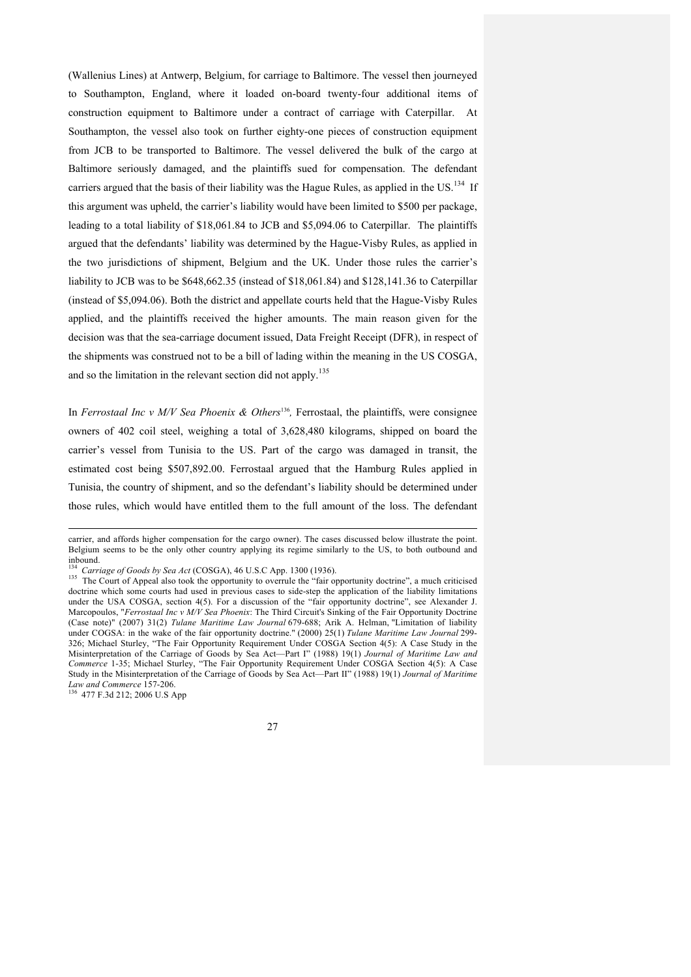(Wallenius Lines) at Antwerp, Belgium, for carriage to Baltimore. The vessel then journeyed to Southampton, England, where it loaded on-board twenty-four additional items of construction equipment to Baltimore under a contract of carriage with Caterpillar. At Southampton, the vessel also took on further eighty-one pieces of construction equipment from JCB to be transported to Baltimore. The vessel delivered the bulk of the cargo at Baltimore seriously damaged, and the plaintiffs sued for compensation. The defendant carriers argued that the basis of their liability was the Hague Rules, as applied in the US.<sup>134</sup> If this argument was upheld, the carrier's liability would have been limited to \$500 per package, leading to a total liability of \$18,061.84 to JCB and \$5,094.06 to Caterpillar. The plaintiffs argued that the defendants' liability was determined by the Hague-Visby Rules, as applied in the two jurisdictions of shipment, Belgium and the UK. Under those rules the carrier's liability to JCB was to be \$648,662.35 (instead of \$18,061.84) and \$128,141.36 to Caterpillar (instead of \$5,094.06). Both the district and appellate courts held that the Hague-Visby Rules applied, and the plaintiffs received the higher amounts. The main reason given for the decision was that the sea-carriage document issued, Data Freight Receipt (DFR), in respect of the shipments was construed not to be a bill of lading within the meaning in the US COSGA, and so the limitation in the relevant section did not apply.<sup>135</sup>

In *Ferrostaal Inc v M/V Sea Phoenix & Others*<sup>136</sup>, Ferrostaal, the plaintiffs, were consignee owners of 402 coil steel, weighing a total of 3,628,480 kilograms, shipped on board the carrier's vessel from Tunisia to the US. Part of the cargo was damaged in transit, the estimated cost being \$507,892.00. Ferrostaal argued that the Hamburg Rules applied in Tunisia, the country of shipment, and so the defendant's liability should be determined under those rules, which would have entitled them to the full amount of the loss. The defendant

*Law and Commerce* 157-206. 136 477 F.3d 212; 2006 U.S App



carrier, and affords higher compensation for the cargo owner). The cases discussed below illustrate the point. Belgium seems to be the only other country applying its regime similarly to the US, to both outbound and inbound.

<sup>&</sup>lt;sup>134</sup> Carriage of Goods by Sea Act (COSGA), 46 U.S.C App. 1300 (1936).<br><sup>135</sup> The Court of Appeal also took the opportunity to overrule the "fair opportunity doctrine", a much criticised doctrine which some courts had used in previous cases to side-step the application of the liability limitations under the USA COSGA, section 4(5). For a discussion of the "fair opportunity doctrine", see Alexander J. Marcopoulos, "*Ferrostaal Inc v M/V Sea Phoenix*: The Third Circuit's Sinking of the Fair Opportunity Doctrine (Case note)" (2007) 31(2) *Tulane Maritime Law Journal* 679-688; Arik A. Helman, "Limitation of liability under COGSA: in the wake of the fair opportunity doctrine." (2000) 25(1) *Tulane Maritime Law Journal* 299- 326; Michael Sturley, "The Fair Opportunity Requirement Under COSGA Section 4(5): A Case Study in the Misinterpretation of the Carriage of Goods by Sea Act—Part I" (1988) 19(1) *Journal of Maritime Law and Commerce* 1-35; Michael Sturley, "The Fair Opportunity Requirement Under COSGA Section 4(5): A Case Study in the Misinterpretation of the Carriage of Goods by Sea Act—Part II" (1988) 19(1) *Journal of Maritime*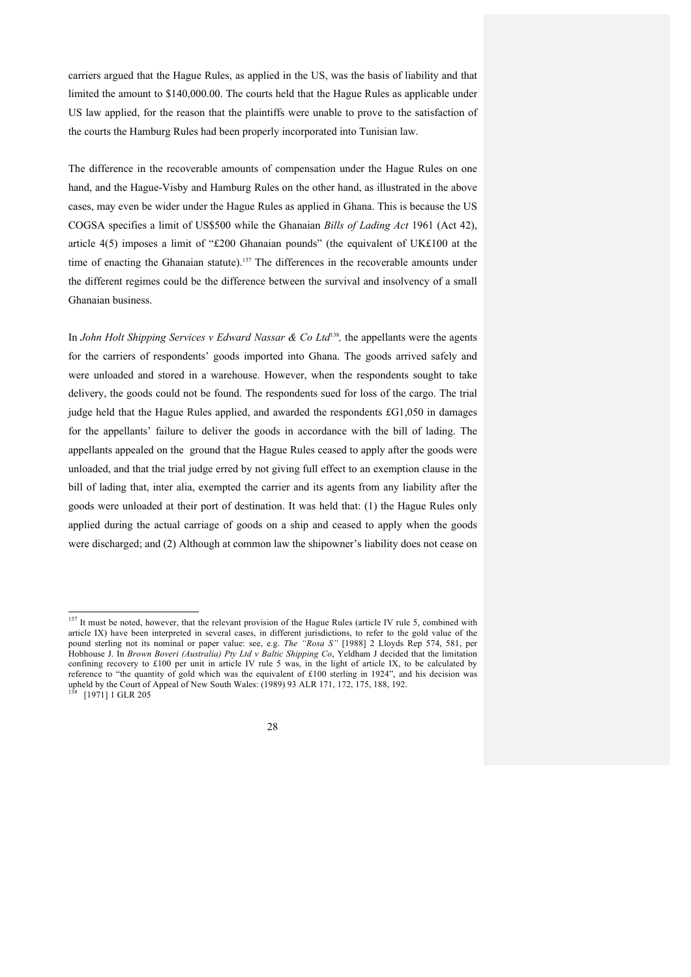carriers argued that the Hague Rules, as applied in the US, was the basis of liability and that limited the amount to \$140,000.00. The courts held that the Hague Rules as applicable under US law applied, for the reason that the plaintiffs were unable to prove to the satisfaction of the courts the Hamburg Rules had been properly incorporated into Tunisian law.

The difference in the recoverable amounts of compensation under the Hague Rules on one hand, and the Hague-Visby and Hamburg Rules on the other hand, as illustrated in the above cases, may even be wider under the Hague Rules as applied in Ghana. This is because the US COGSA specifies a limit of US\$500 while the Ghanaian *Bills of Lading Act* 1961 (Act 42), article 4(5) imposes a limit of "£200 Ghanaian pounds" (the equivalent of UK£100 at the time of enacting the Ghanaian statute).<sup>137</sup> The differences in the recoverable amounts under the different regimes could be the difference between the survival and insolvency of a small Ghanaian business.

In *John Holt Shipping Services v Edward Nassar & Co Ltd*<sup>138</sup>*,* the appellants were the agents for the carriers of respondents' goods imported into Ghana. The goods arrived safely and were unloaded and stored in a warehouse. However, when the respondents sought to take delivery, the goods could not be found. The respondents sued for loss of the cargo. The trial judge held that the Hague Rules applied, and awarded the respondents £G1,050 in damages for the appellants' failure to deliver the goods in accordance with the bill of lading. The appellants appealed on the ground that the Hague Rules ceased to apply after the goods were unloaded, and that the trial judge erred by not giving full effect to an exemption clause in the bill of lading that, inter alia, exempted the carrier and its agents from any liability after the goods were unloaded at their port of destination. It was held that: (1) the Hague Rules only applied during the actual carriage of goods on a ship and ceased to apply when the goods were discharged; and (2) Although at common law the shipowner's liability does not cease on

<sup>&</sup>lt;sup>137</sup> It must be noted, however, that the relevant provision of the Hague Rules (article IV rule 5, combined with article IX) have been interpreted in several cases, in different jurisdictions, to refer to the gold value of the pound sterling not its nominal or paper value: see, e.g. *The "Rosa S"* [1988] 2 Lloyds Rep 574, 581, per Hobhouse J. In *Brown Boveri (Australia) Pty Ltd v Baltic Shipping Co*, Yeldham J decided that the limitation confining recovery to £100 per unit in article IV rule 5 was, in the light of article IX, to be calculated by reference to "the quantity of gold which was the equivalent of £100 sterling in 1924", and his decision was upheld by the Court of Appeal of New South Wales: (1989) 93 ALR 171, 172, 175, 188, 192.<br><sup>138</sup> [1971] 1 GLR 205

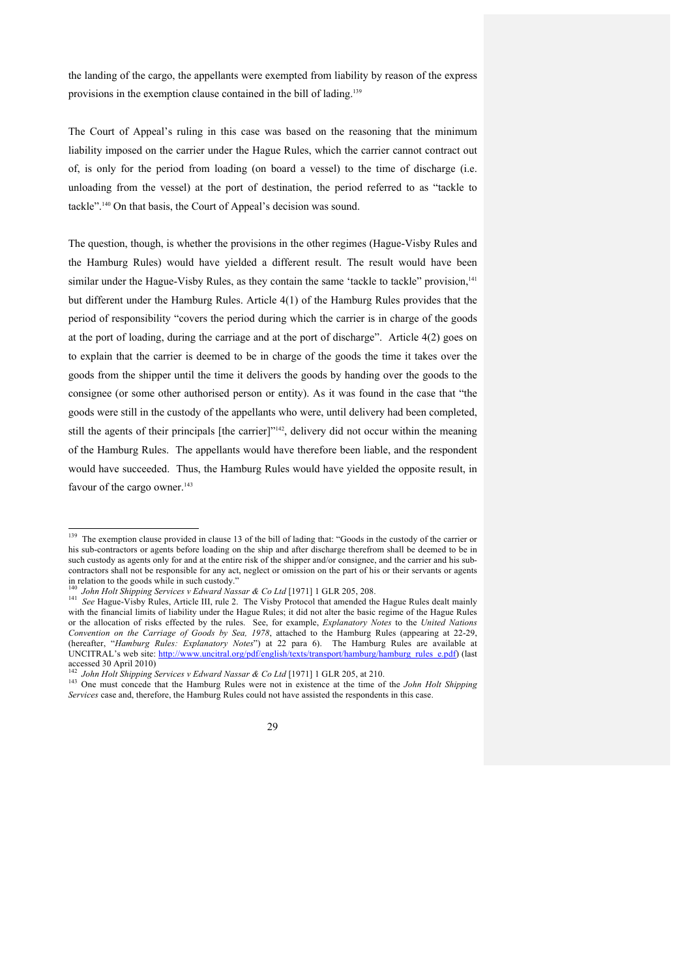the landing of the cargo, the appellants were exempted from liability by reason of the express provisions in the exemption clause contained in the bill of lading.<sup>139</sup>

The Court of Appeal's ruling in this case was based on the reasoning that the minimum liability imposed on the carrier under the Hague Rules, which the carrier cannot contract out of, is only for the period from loading (on board a vessel) to the time of discharge (i.e. unloading from the vessel) at the port of destination, the period referred to as "tackle to tackle". <sup>140</sup> On that basis, the Court of Appeal's decision was sound.

The question, though, is whether the provisions in the other regimes (Hague-Visby Rules and the Hamburg Rules) would have yielded a different result. The result would have been similar under the Hague-Visby Rules, as they contain the same 'tackle to tackle'' provision,<sup>141</sup> but different under the Hamburg Rules. Article 4(1) of the Hamburg Rules provides that the period of responsibility "covers the period during which the carrier is in charge of the goods at the port of loading, during the carriage and at the port of discharge". Article 4(2) goes on to explain that the carrier is deemed to be in charge of the goods the time it takes over the goods from the shipper until the time it delivers the goods by handing over the goods to the consignee (or some other authorised person or entity). As it was found in the case that "the goods were still in the custody of the appellants who were, until delivery had been completed, still the agents of their principals [the carrier]"<sup>142</sup>, delivery did not occur within the meaning of the Hamburg Rules. The appellants would have therefore been liable, and the respondent would have succeeded. Thus, the Hamburg Rules would have yielded the opposite result, in favour of the cargo owner.<sup>143</sup>

<sup>&</sup>lt;sup>142</sup> John Holt Shipping Services v Edward Nassar & Co Ltd [1971] 1 GLR 205, at 210.<br><sup>143</sup> One must concede that the Hamburg Rules were not in existence at the time of the *John Holt Shipping Services* case and, therefore, the Hamburg Rules could not have assisted the respondents in this case.



<sup>&</sup>lt;sup>139</sup> The exemption clause provided in clause 13 of the bill of lading that: "Goods in the custody of the carrier or his sub-contractors or agents before loading on the ship and after discharge therefrom shall be deemed to be in such custody as agents only for and at the entire risk of the shipper and/or consignee, and the carrier and his subcontractors shall not be responsible for any act, neglect or omission on the part of his or their servants or agents in relation to the goods while in such custody."<br>  $\frac{140}{140}$  John Holt Shipping Services v Edward Nassar & Co Ltd [1971] 1 GLR 205, 208.

<sup>&</sup>lt;sup>141</sup> *See Hague-Visby Rules, Article III, rule 2.* The Visby Protocol that amended the Hague Rules dealt mainly with the financial limits of liability under the Hague Rules; it did not alter the basic regime of the Hague Rules or the allocation of risks effected by the rules. See, for example, *Explanatory Notes* to the *United Nations Convention on the Carriage of Goods by Sea, 1978*, attached to the Hamburg Rules (appearing at 22-29, (hereafter, "*Hamburg Rules: Explanatory Notes*") at 22 para 6). The Hamburg Rules are available at UNCITRAL's web site: http://www.uncitral.org/pdf/english/texts/transport/hamburg/hamburg\_rules\_e.pdf) (last<br>accessed 30 April 2010)<br><sup>142</sup> John Holt Shipping Services u. Edward M.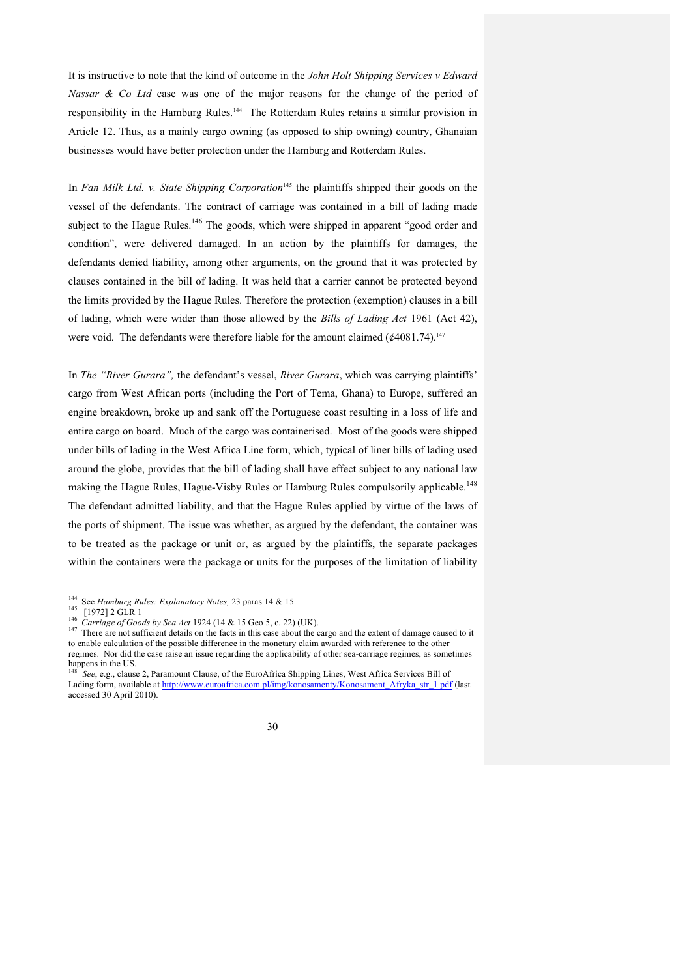It is instructive to note that the kind of outcome in the *John Holt Shipping Services v Edward Nassar & Co Ltd* case was one of the major reasons for the change of the period of responsibility in the Hamburg Rules.144 The Rotterdam Rules retains a similar provision in Article 12. Thus, as a mainly cargo owning (as opposed to ship owning) country, Ghanaian businesses would have better protection under the Hamburg and Rotterdam Rules.

In *Fan Milk Ltd. v. State Shipping Corporation*<sup>145</sup> the plaintiffs shipped their goods on the vessel of the defendants. The contract of carriage was contained in a bill of lading made subject to the Hague Rules.<sup>146</sup> The goods, which were shipped in apparent "good order and condition", were delivered damaged. In an action by the plaintiffs for damages, the defendants denied liability, among other arguments, on the ground that it was protected by clauses contained in the bill of lading. It was held that a carrier cannot be protected beyond the limits provided by the Hague Rules. Therefore the protection (exemption) clauses in a bill of lading, which were wider than those allowed by the *Bills of Lading Act* 1961 (Act 42), were void. The defendants were therefore liable for the amount claimed  $(64081.74)$ .<sup>147</sup>

In *The "River Gurara",* the defendant's vessel, *River Gurara*, which was carrying plaintiffs' cargo from West African ports (including the Port of Tema, Ghana) to Europe, suffered an engine breakdown, broke up and sank off the Portuguese coast resulting in a loss of life and entire cargo on board. Much of the cargo was containerised. Most of the goods were shipped under bills of lading in the West Africa Line form, which, typical of liner bills of lading used around the globe, provides that the bill of lading shall have effect subject to any national law making the Hague Rules, Hague-Visby Rules or Hamburg Rules compulsorily applicable.<sup>148</sup> The defendant admitted liability, and that the Hague Rules applied by virtue of the laws of the ports of shipment. The issue was whether, as argued by the defendant, the container was to be treated as the package or unit or, as argued by the plaintiffs, the separate packages within the containers were the package or units for the purposes of the limitation of liability

<sup>&</sup>lt;sup>144</sup> See Hamburg Rules: Explanatory Notes, 23 paras 14 & 15.<br>
<sup>145</sup> [1972] 2 GLR 1<br>
<sup>146</sup> Carriage of Goods by Sea Act 1924 (14 & 15 Geo 5, c. 22) (UK).<br>
<sup>147</sup> There are not sufficient details on the facts in this case a to enable calculation of the possible difference in the monetary claim awarded with reference to the other regimes. Nor did the case raise an issue regarding the applicability of other sea-carriage regimes, as sometimes happens in the US.

<sup>148</sup> *See*, e.g., clause 2, Paramount Clause, of the EuroAfrica Shipping Lines, West Africa Services Bill of Lading form, available at http://www.euroafrica.com.pl/img/konosamenty/Konosament Afryka\_str\_1.pdf (last accessed 30 April 2010).

<sup>30</sup>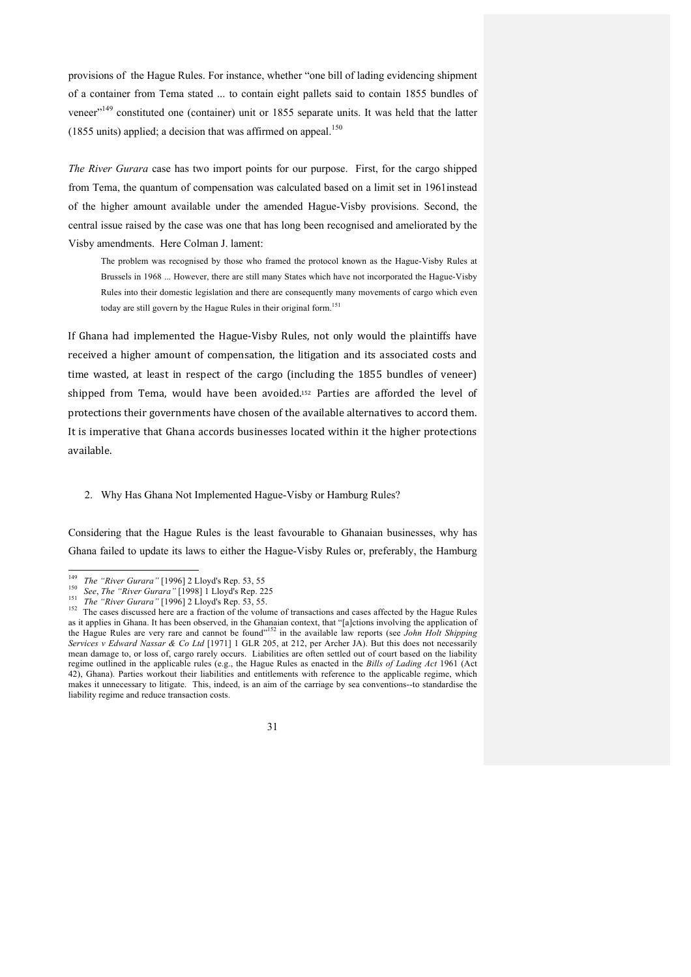provisions of the Hague Rules. For instance, whether "one bill of lading evidencing shipment of a container from Tema stated ... to contain eight pallets said to contain 1855 bundles of veneer"<sup>149</sup> constituted one (container) unit or 1855 separate units. It was held that the latter (1855 units) applied; a decision that was affirmed on appeal.<sup>150</sup>

*The River Gurara* case has two import points for our purpose. First, for the cargo shipped from Tema, the quantum of compensation was calculated based on a limit set in 1961instead of the higher amount available under the amended Hague-Visby provisions. Second, the central issue raised by the case was one that has long been recognised and ameliorated by the Visby amendments. Here Colman J. lament:

The problem was recognised by those who framed the protocol known as the Hague-Visby Rules at Brussels in 1968 ... However, there are still many States which have not incorporated the Hague-Visby Rules into their domestic legislation and there are consequently many movements of cargo which even today are still govern by the Hague Rules in their original form.<sup>151</sup>

If Ghana had implemented the Hague-Visby Rules, not only would the plaintiffs have received a higher amount of compensation, the litigation and its associated costs and time wasted, at least in respect of the cargo (including the 1855 bundles of veneer) shipped from Tema, would have been avoided.<sup>152</sup> Parties are afforded the level of protections their governments have chosen of the available alternatives to accord them. It is imperative that Ghana accords businesses located within it the higher protections available.#

### 2. Why Has Ghana Not Implemented Hague-Visby or Hamburg Rules?

Considering that the Hague Rules is the least favourable to Ghanaian businesses, why has Ghana failed to update its laws to either the Hague-Visby Rules or, preferably, the Hamburg

<sup>&</sup>lt;sup>149</sup> The "River Gurara" [1996] 2 Lloyd's Rep. 53, 55<br><sup>150</sup> See, The "River Gurara" [1998] 1 Lloyd's Rep. 225<br><sup>151</sup> The "River Gurara" [1996] 2 Lloyd's Rep. 53, 55.<br><sup>152</sup> The cases discussed here are a fraction of the vol as it applies in Ghana. It has been observed, in the Ghanaian context, that "[a]ctions involving the application of the Hague Rules are very rare and cannot be found<sup>"152</sup> in the available law reports (see *John Holt Shipp Services v Edward Nassar & Co Ltd* [1971] 1 GLR 205, at 212, per Archer JA). But this does not necessarily mean damage to, or loss of, cargo rarely occurs. Liabilities are often settled out of court based on the liability regime outlined in the applicable rules (e.g., the Hague Rules as enacted in the *Bills of Lading Act* 1961 (Act 42), Ghana). Parties workout their liabilities and entitlements with reference to the applicable regime, which makes it unnecessary to litigate. This, indeed, is an aim of the carriage by sea conventions--to standardise the liability regime and reduce transaction costs.

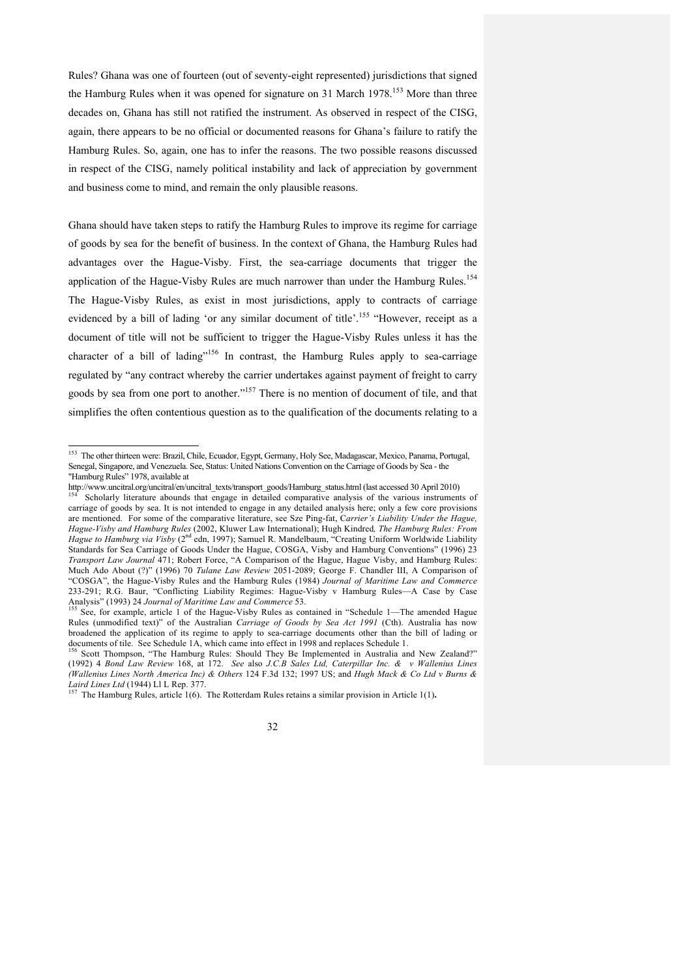Rules? Ghana was one of fourteen (out of seventy-eight represented) jurisdictions that signed the Hamburg Rules when it was opened for signature on 31 March 1978.<sup>153</sup> More than three decades on, Ghana has still not ratified the instrument. As observed in respect of the CISG, again, there appears to be no official or documented reasons for Ghana's failure to ratify the Hamburg Rules. So, again, one has to infer the reasons. The two possible reasons discussed in respect of the CISG, namely political instability and lack of appreciation by government and business come to mind, and remain the only plausible reasons.

Ghana should have taken steps to ratify the Hamburg Rules to improve its regime for carriage of goods by sea for the benefit of business. In the context of Ghana, the Hamburg Rules had advantages over the Hague-Visby. First, the sea-carriage documents that trigger the application of the Hague-Visby Rules are much narrower than under the Hamburg Rules.<sup>154</sup> The Hague-Visby Rules, as exist in most jurisdictions, apply to contracts of carriage evidenced by a bill of lading 'or any similar document of title'.<sup>155</sup> "However, receipt as a document of title will not be sufficient to trigger the Hague-Visby Rules unless it has the character of a bill of lading"<sup>156</sup> In contrast, the Hamburg Rules apply to sea-carriage regulated by "any contract whereby the carrier undertakes against payment of freight to carry goods by sea from one port to another."<sup>157</sup> There is no mention of document of tile, and that simplifies the often contentious question as to the qualification of the documents relating to a

 $\frac{2577}{157}$  The Hamburg Rules, article 1(6). The Rotterdam Rules retains a similar provision in Article 1(1).



<sup>&</sup>lt;sup>153</sup> The other thirteen were: Brazil, Chile, Ecuador, Egypt, Germany, Holy See, Madagascar, Mexico, Panama, Portugal, Senegal, Singapore, and Venezuela. See, Status: United Nations Convention on the Carriage of Goods by Sea - the "Hamburg Rules" 1978, available at

http://www.uncitral.org/uncitral/en/uncitral\_texts/transport\_goods/Hamburg\_status.html (last accessed 30 April 2010) 154 Scholarly literature abounds that engage in detailed comparative analysis of the various instruments carriage of goods by sea. It is not intended to engage in any detailed analysis here; only a few core provisions are mentioned. For some of the comparative literature, see Sze Ping-fat, C*arrier's Liability Under the Hague, Hague-Visby and Hamburg Rules* (2002, Kluwer Law International); Hugh Kindred*, The Hamburg Rules: From Hague to Hamburg via Visby* (2nd edn, 1997); Samuel R. Mandelbaum, "Creating Uniform Worldwide Liability Standards for Sea Carriage of Goods Under the Hague, COSGA, Visby and Hamburg Conventions" (1996) 23 *Transport Law Journal* 471; Robert Force, "A Comparison of the Hague, Hague Visby, and Hamburg Rules: Much Ado About (?)" (1996) 70 *Tulane Law Review* 2051-2089; George F. Chandler III, A Comparison of "COSGA", the Hague-Visby Rules and the Hamburg Rules (1984) *Journal of Maritime Law and Commerce* 233-291; R.G. Baur, "Conflicting Liability Regimes: Hague-Visby v Hamburg Rules—A Case by Case<br>Analysis" (1993) 24 Journal of Maritime Law and Commerce 53.

See, for example, article 1 of the Hague-Visby Rules as contained in "Schedule 1—The amended Hague Rules (unmodified text)" of the Australian *Carriage of Goods by Sea Act 1991* (Cth). Australia has now broadened the application of its regime to apply to sea-carriage documents other than the bill of lading or

documents of tile. See Schedule 1A, which came into effect in 1998 and replaces Schedule 1.<br><sup>156</sup> Scott Thompson, "The Hamburg Rules: Should They Be Implemented in Australia and New Zealand?" (1992) 4 *Bond Law Review* 168, at 172. *See* also *J.C.B Sales Ltd, Caterpillar Inc. & v Wallenius Lines (Wallenius Lines North America Inc) & Others* 124 F.3d 132; 1997 US; and *Hugh Mack & Co Ltd v Burns &*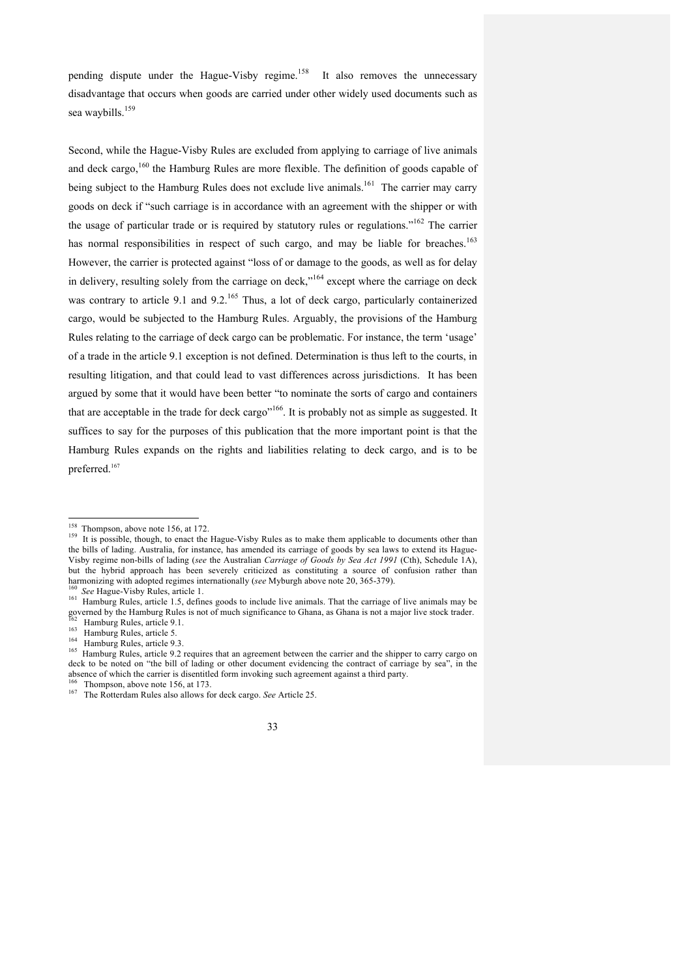pending dispute under the Hague-Visby regime.<sup>158</sup> It also removes the unnecessary disadvantage that occurs when goods are carried under other widely used documents such as sea waybills.<sup>159</sup>

Second, while the Hague-Visby Rules are excluded from applying to carriage of live animals and deck cargo,<sup>160</sup> the Hamburg Rules are more flexible. The definition of goods capable of being subject to the Hamburg Rules does not exclude live animals.<sup>161</sup> The carrier may carry goods on deck if "such carriage is in accordance with an agreement with the shipper or with the usage of particular trade or is required by statutory rules or regulations."<sup>162</sup> The carrier has normal responsibilities in respect of such cargo, and may be liable for breaches.<sup>163</sup> However, the carrier is protected against "loss of or damage to the goods, as well as for delay in delivery, resulting solely from the carriage on deck,"<sup>164</sup> except where the carriage on deck was contrary to article 9.1 and 9.2.<sup>165</sup> Thus, a lot of deck cargo, particularly containerized cargo, would be subjected to the Hamburg Rules. Arguably, the provisions of the Hamburg Rules relating to the carriage of deck cargo can be problematic. For instance, the term 'usage' of a trade in the article 9.1 exception is not defined. Determination is thus left to the courts, in resulting litigation, and that could lead to vast differences across jurisdictions. It has been argued by some that it would have been better "to nominate the sorts of cargo and containers that are acceptable in the trade for deck cargo"<sup>166</sup>. It is probably not as simple as suggested. It suffices to say for the purposes of this publication that the more important point is that the Hamburg Rules expands on the rights and liabilities relating to deck cargo, and is to be preferred.<sup>167</sup>

<sup>&</sup>lt;sup>158</sup> Thompson, above note 156, at 172.<br><sup>159</sup> It is possible, though, to enact the Hague-Visby Rules as to make them applicable to documents other than the bills of lading. Australia, for instance, has amended its carriage of goods by sea laws to extend its Hague-Visby regime non-bills of lading (*see* the Australian *Carriage of Goods by Sea Act 1991* (Cth), Schedule 1A), but the hybrid approach has been severely criticized as constituting a source of confusion rather than harmonizing with adopted regimes internationally (see Myburgh above note 20, 365-379).

<sup>&</sup>lt;sup>160</sup> See Hague-Visby Rules, article 1.<br><sup>161</sup> Hamburg Rules, article 1.5, defines goods to include live animals. That the carriage of live animals may be governed by the Hamburg Rules is not of much significance to Ghana, as Ghana is not a major live stock trader.

<sup>&</sup>lt;sup>162</sup> Hamburg Rules, article 9.1.<br><sup>163</sup> Hamburg Rules, article 9.3.<br><sup>164</sup> Hamburg Rules, article 9.2 requires that an agreement between the carrier and the shipper to carry cargo on<br><sup>165</sup> Hamburg Rules, article 9.2 require deck to be noted on "the bill of lading or other document evidencing the contract of carriage by sea", in the absence of which the carrier is disentitled form invoking such agreement against a third party.<br><sup>166</sup> Thompson, above note 156, at 173.

<sup>&</sup>lt;sup>167</sup> The Rotterdam Rules also allows for deck cargo. *See* Article 25.

<sup>33</sup>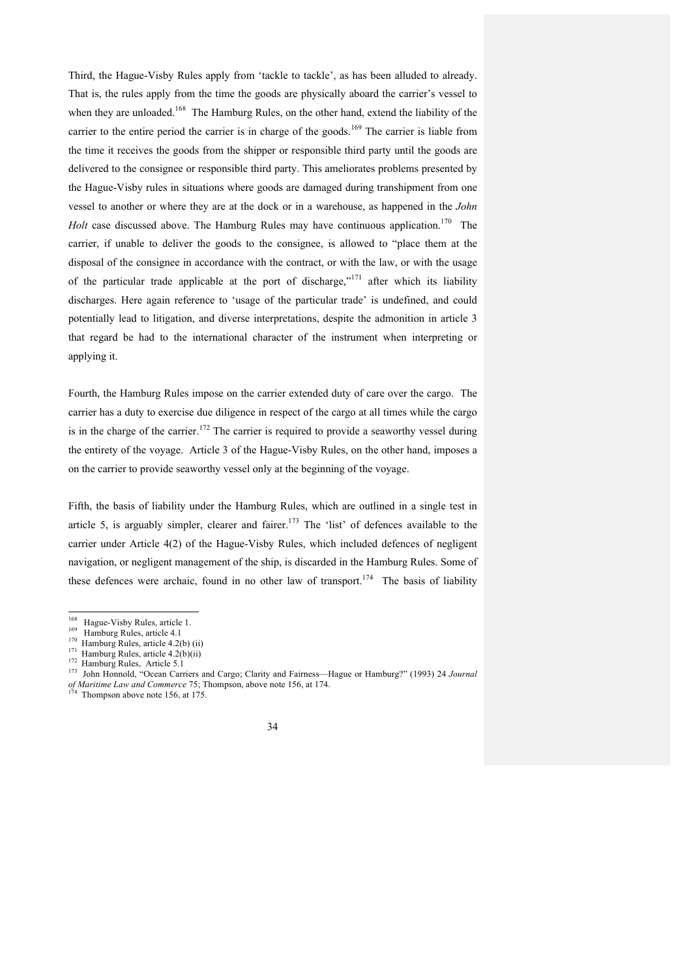Third, the Hague-Visby Rules apply from 'tackle to tackle', as has been alluded to already. That is, the rules apply from the time the goods are physically aboard the carrier's vessel to when they are unloaded.<sup>168</sup> The Hamburg Rules, on the other hand, extend the liability of the carrier to the entire period the carrier is in charge of the goods.<sup>169</sup> The carrier is liable from the time it receives the goods from the shipper or responsible third party until the goods are delivered to the consignee or responsible third party. This ameliorates problems presented by the Hague-Visby rules in situations where goods are damaged during transhipment from one vessel to another or where they are at the dock or in a warehouse, as happened in the *John Holt* case discussed above. The Hamburg Rules may have continuous application.<sup>170</sup> The carrier, if unable to deliver the goods to the consignee, is allowed to "place them at the disposal of the consignee in accordance with the contract, or with the law, or with the usage of the particular trade applicable at the port of discharge,"<sup>171</sup> after which its liability discharges. Here again reference to 'usage of the particular trade' is undefined, and could potentially lead to litigation, and diverse interpretations, despite the admonition in article 3 that regard be had to the international character of the instrument when interpreting or applying it.

Fourth, the Hamburg Rules impose on the carrier extended duty of care over the cargo. The carrier has a duty to exercise due diligence in respect of the cargo at all times while the cargo is in the charge of the carrier.<sup>172</sup> The carrier is required to provide a seaworthy vessel during the entirety of the voyage. Article 3 of the Hague-Visby Rules, on the other hand, imposes a on the carrier to provide seaworthy vessel only at the beginning of the voyage.

Fifth, the basis of liability under the Hamburg Rules, which are outlined in a single test in article 5, is arguably simpler, clearer and fairer.<sup>173</sup> The 'list' of defences available to the carrier under Article 4(2) of the Hague-Visby Rules, which included defences of negligent navigation, or negligent management of the ship, is discarded in the Hamburg Rules. Some of these defences were archaic, found in no other law of transport.<sup>174</sup> The basis of liability



<sup>&</sup>lt;sup>168</sup> Hague-Visby Rules, article 1.<br>
<sup>169</sup> Hamburg Rules, article 4.1<br>
<sup>170</sup> Hamburg Rules, article 4.2(b) (ii)<br>
<sup>171</sup> Hamburg Rules, article 4.2(b)(ii)<br>
<sup>172</sup> Hamburg Rules, Article 5.1<br>
<sup>172</sup> John Honnold, "Ocean Carrie *of Maritime Law and Commerce* 75; Thompson, above note 156, at 174.<br><sup>174</sup> Thompson above note 156, at 175.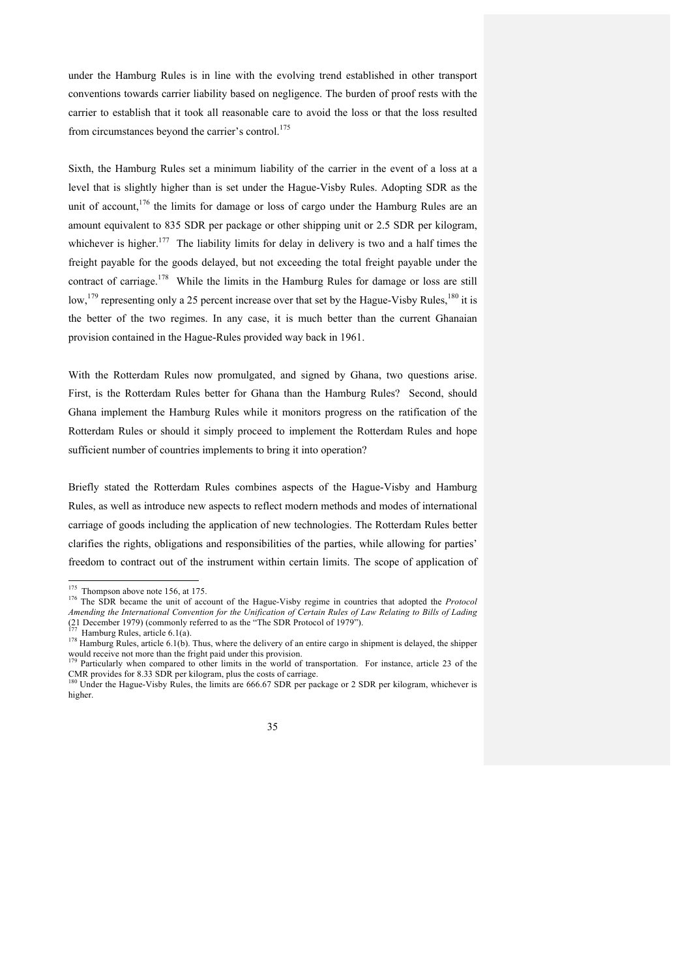under the Hamburg Rules is in line with the evolving trend established in other transport conventions towards carrier liability based on negligence. The burden of proof rests with the carrier to establish that it took all reasonable care to avoid the loss or that the loss resulted from circumstances beyond the carrier's control.<sup>175</sup>

Sixth, the Hamburg Rules set a minimum liability of the carrier in the event of a loss at a level that is slightly higher than is set under the Hague-Visby Rules. Adopting SDR as the unit of account,  $176$  the limits for damage or loss of cargo under the Hamburg Rules are an amount equivalent to 835 SDR per package or other shipping unit or 2.5 SDR per kilogram, whichever is higher.<sup>177</sup> The liability limits for delay in delivery is two and a half times the freight payable for the goods delayed, but not exceeding the total freight payable under the contract of carriage.<sup>178</sup> While the limits in the Hamburg Rules for damage or loss are still low,<sup>179</sup> representing only a 25 percent increase over that set by the Hague-Visby Rules,<sup>180</sup> it is the better of the two regimes. In any case, it is much better than the current Ghanaian provision contained in the Hague-Rules provided way back in 1961.

With the Rotterdam Rules now promulgated, and signed by Ghana, two questions arise. First, is the Rotterdam Rules better for Ghana than the Hamburg Rules? Second, should Ghana implement the Hamburg Rules while it monitors progress on the ratification of the Rotterdam Rules or should it simply proceed to implement the Rotterdam Rules and hope sufficient number of countries implements to bring it into operation?

Briefly stated the Rotterdam Rules combines aspects of the Hague-Visby and Hamburg Rules, as well as introduce new aspects to reflect modern methods and modes of international carriage of goods including the application of new technologies. The Rotterdam Rules better clarifies the rights, obligations and responsibilities of the parties, while allowing for parties' freedom to contract out of the instrument within certain limits. The scope of application of

<sup>&</sup>lt;sup>175</sup> Thompson above note 156, at 175.<br><sup>176</sup> The SDR became the unit of account of the Hague-Visby regime in countries that adopted the *Protocol Amending the International Convention for the Unification of Certain Rules of Law Relating to Bills of Lading* (21 December 1979) (commonly referred to as the "The SDR Protocol of 1979").<br><sup>177</sup> Hamburg Rules, article 6.1(a).

 $178$  Hamburg Rules, article 6.1(b). Thus, where the delivery of an entire cargo in shipment is delayed, the shipper would receive not more than the fright paid under this provision.

Particularly when compared to other limits in the world of transportation. For instance, article 23 of the CMR provides for 8.33 SDR per kilogram, plus the costs of carriage.<br><sup>180</sup> Under the Hague-Visby Rules, the limits are 666.67 SDR per package or 2 SDR per kilogram, whichever is

higher.

<sup>35</sup>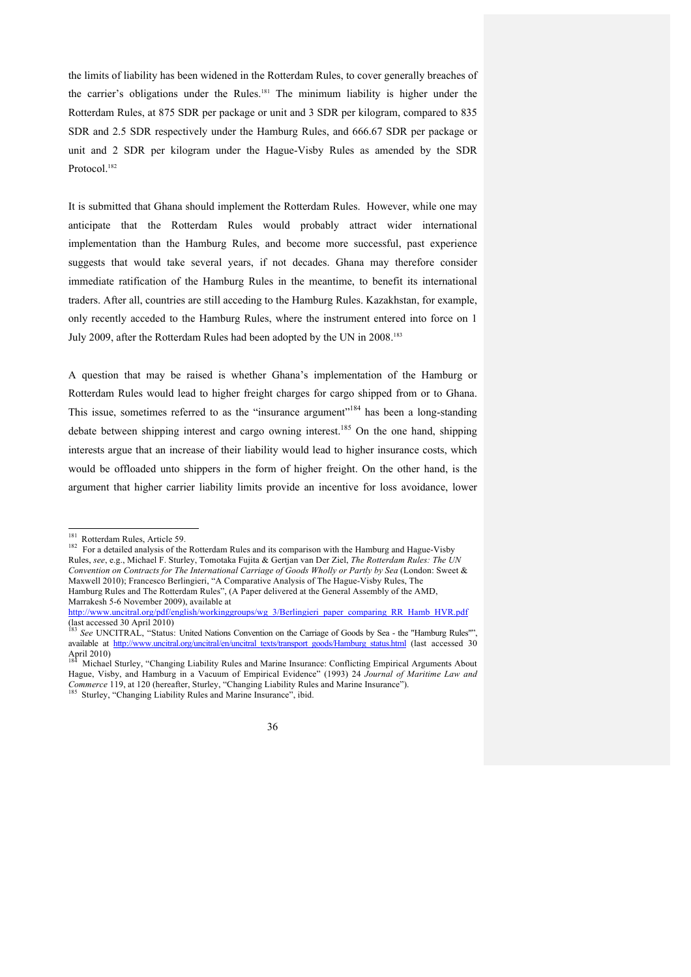the limits of liability has been widened in the Rotterdam Rules, to cover generally breaches of the carrier's obligations under the Rules. <sup>181</sup> The minimum liability is higher under the Rotterdam Rules, at 875 SDR per package or unit and 3 SDR per kilogram, compared to 835 SDR and 2.5 SDR respectively under the Hamburg Rules, and 666.67 SDR per package or unit and 2 SDR per kilogram under the Hague-Visby Rules as amended by the SDR Protocol.<sup>182</sup>

It is submitted that Ghana should implement the Rotterdam Rules. However, while one may anticipate that the Rotterdam Rules would probably attract wider international implementation than the Hamburg Rules, and become more successful, past experience suggests that would take several years, if not decades. Ghana may therefore consider immediate ratification of the Hamburg Rules in the meantime, to benefit its international traders. After all, countries are still acceding to the Hamburg Rules. Kazakhstan, for example, only recently acceded to the Hamburg Rules, where the instrument entered into force on 1 July 2009, after the Rotterdam Rules had been adopted by the UN in 2008.<sup>183</sup>

A question that may be raised is whether Ghana's implementation of the Hamburg or Rotterdam Rules would lead to higher freight charges for cargo shipped from or to Ghana. This issue, sometimes referred to as the "insurance argument"<sup>184</sup> has been a long-standing debate between shipping interest and cargo owning interest.<sup>185</sup> On the one hand, shipping interests argue that an increase of their liability would lead to higher insurance costs, which would be offloaded unto shippers in the form of higher freight. On the other hand, is the argument that higher carrier liability limits provide an incentive for loss avoidance, lower

<sup>&</sup>lt;sup>181</sup> Rotterdam Rules, Article 59.<br><sup>182</sup> For a detailed analysis of the Rotterdam Rules and its comparison with the Hamburg and Hague-Visby Rules, *see*, e.g., Michael F. Sturley, Tomotaka Fujita & Gertjan van Der Ziel, *The Rotterdam Rules: The UN Convention on Contracts for The International Carriage of Goods Wholly or Partly by Sea* (London: Sweet & Maxwell 2010); Francesco Berlingieri, "A Comparative Analysis of The Hague-Visby Rules, The Hamburg Rules and The Rotterdam Rules", (A Paper delivered at the General Assembly of the AMD, Marrakesh 5-6 November 2009), available at

http://www.uncitral.org/pdf/english/workinggroups/wg\_3/Berlingieri\_paper\_comparing\_RR\_Hamb\_HVR.pdf  $\frac{\mu}{183}$  See INIGER 17

<sup>183</sup> *See* UNCITRAL, "Status: United Nations Convention on the Carriage of Goods by Sea - the "Hamburg Rules"", available at http://www.uncitral.org/uncitral/en/uncitral\_texts/transport\_goods/Hamburg\_status.html (last\_accessed 30 April 2010)

<sup>184</sup> Michael Sturley, "Changing Liability Rules and Marine Insurance: Conflicting Empirical Arguments About Hague, Visby, and Hamburg in a Vacuum of Empirical Evidence" (1993) 24 *Journal of Maritime Law and*  <sup>185</sup> Sturley, "Changing Liability Rules and Marine Insurance", ibid.

<sup>36</sup>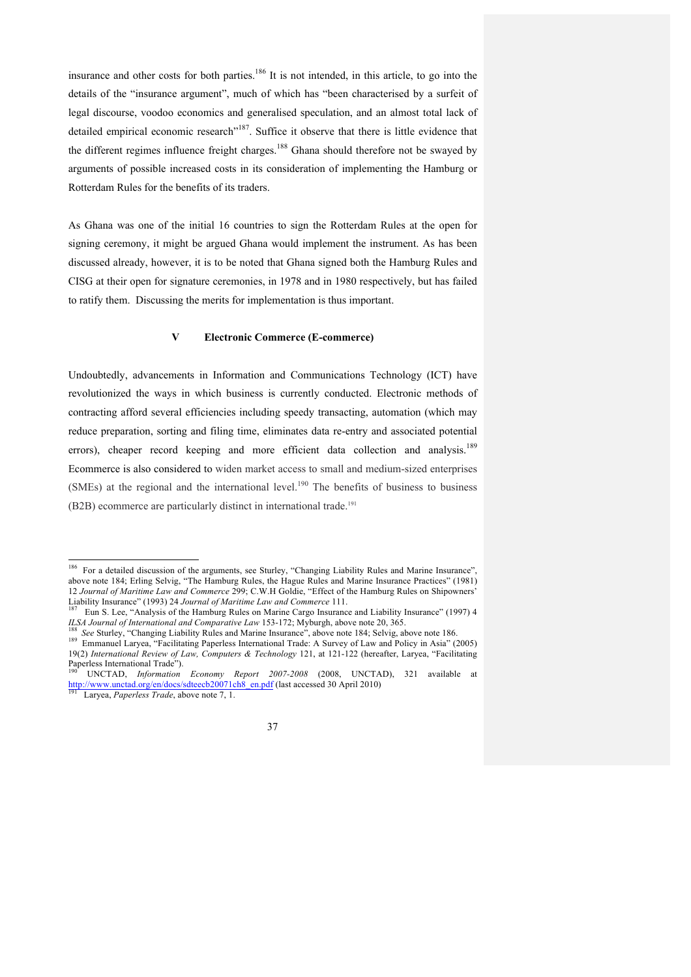insurance and other costs for both parties.<sup>186</sup> It is not intended, in this article, to go into the details of the "insurance argument", much of which has "been characterised by a surfeit of legal discourse, voodoo economics and generalised speculation, and an almost total lack of detailed empirical economic research"<sup>187</sup>. Suffice it observe that there is little evidence that the different regimes influence freight charges.<sup>188</sup> Ghana should therefore not be swaved by arguments of possible increased costs in its consideration of implementing the Hamburg or Rotterdam Rules for the benefits of its traders.

As Ghana was one of the initial 16 countries to sign the Rotterdam Rules at the open for signing ceremony, it might be argued Ghana would implement the instrument. As has been discussed already, however, it is to be noted that Ghana signed both the Hamburg Rules and CISG at their open for signature ceremonies, in 1978 and in 1980 respectively, but has failed to ratify them. Discussing the merits for implementation is thus important.

## **V Electronic Commerce (E-commerce)**

Undoubtedly, advancements in Information and Communications Technology (ICT) have revolutionized the ways in which business is currently conducted. Electronic methods of contracting afford several efficiencies including speedy transacting, automation (which may reduce preparation, sorting and filing time, eliminates data re-entry and associated potential errors), cheaper record keeping and more efficient data collection and analysis.<sup>189</sup> Ecommerce is also considered to widen market access to small and medium-sized enterprises (SMEs) at the regional and the international level.<sup>190</sup> The benefits of business to business (B2B) ecommerce are particularly distinct in international trade.191



<sup>&</sup>lt;sup>186</sup> For a detailed discussion of the arguments, see Sturley, "Changing Liability Rules and Marine Insurance", above note 184; Erling Selvig, "The Hamburg Rules, the Hague Rules and Marine Insurance Practices" (1981) 12 *Journal of Maritime Law and Commerce* 299; C.W.H Goldie, "Effect of the Hamburg Rules on Shipowners'<br>Liability Insurance" (1993) 24 *Journal of Maritime Law and Commerce* 111.

Eun S. Lee, "Analysis of the Hamburg Rules on Marine Cargo Insurance and Liability Insurance" (1997) 4

ILSA Journal of International and Comparative Law 153-172; Myburgh, above note 20, 365.<br><sup>188</sup> See Sturley, "Changing Liability Rules and Marine Insurance", above note 184; Selvig, above note 186.<br><sup>189</sup> Emmanuel Laryea, "Fa 19(2) *International Review of Law, Computers & Technology* 121, at 121-122 (hereafter, Laryea, "Facilitating Paperless International Trade").

UNCTAD, Information Economy Report 2007-2008 (2008, UNCTAD), 321 available at http://www.unctad.org/en/docs/sdteecb20071ch8\_en.pdf (last accessed 30 April 2010) 191 Laryea, *Paperless Trade*, above note 7, 1.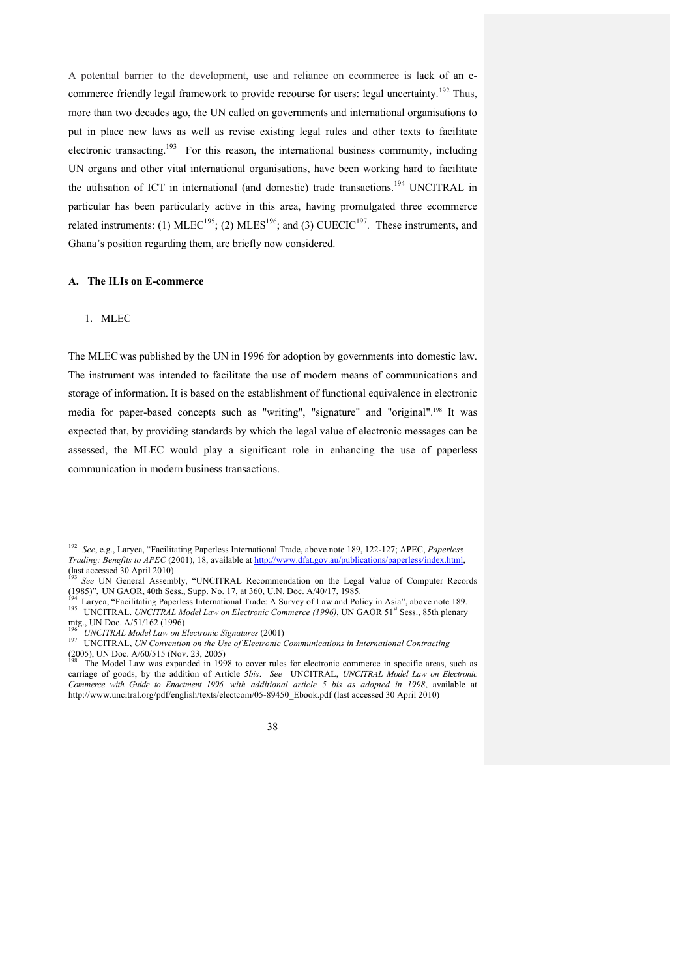A potential barrier to the development, use and reliance on ecommerce is lack of an ecommerce friendly legal framework to provide recourse for users: legal uncertainty.<sup>192</sup> Thus, more than two decades ago, the UN called on governments and international organisations to put in place new laws as well as revise existing legal rules and other texts to facilitate electronic transacting.<sup>193</sup> For this reason, the international business community, including UN organs and other vital international organisations, have been working hard to facilitate the utilisation of ICT in international (and domestic) trade transactions.<sup>194</sup> UNCITRAL in particular has been particularly active in this area, having promulgated three ecommerce related instruments: (1)  $MLEC^{195}$ ; (2)  $MLES^{196}$ ; and (3)  $CUECIC^{197}$ . These instruments, and Ghana's position regarding them, are briefly now considered.

#### **A. The ILIs on E-commerce**

### 1. MLEC

The MLEC was published by the UN in 1996 for adoption by governments into domestic law. The instrument was intended to facilitate the use of modern means of communications and storage of information. It is based on the establishment of functional equivalence in electronic media for paper-based concepts such as "writing", "signature" and "original".198 It was expected that, by providing standards by which the legal value of electronic messages can be assessed, the MLEC would play a significant role in enhancing the use of paperless communication in modern business transactions.

The Model Law was expanded in 1998 to cover rules for electronic commerce in specific areas, such as carriage of goods, by the addition of Article 5*bis*. *See* UNCITRAL, *UNCITRAL Model Law on Electronic Commerce with Guide to Enactment 1996, with additional article 5 bis as adopted in 1998*, available at http://www.uncitral.org/pdf/english/texts/electcom/05-89450\_Ebook.pdf (last accessed 30 April 2010)



 <sup>192</sup> *See*, e.g., Laryea, "Facilitating Paperless International Trade, above note 189, 122-127; APEC, *Paperless Trading: Benefits to APEC* (2001), 18, available at <u>http://www.dfat.gov.au/publications/paperless/index.html</u>, (last accessed 30 April 2010).

<sup>(</sup>a) See UN General Assembly, "UNCITRAL Recommendation on the Legal Value of Computer Records (1985)", UNGAOR, 40th Sess., Supp. No. 17, at 360, U.N. Doc. A/40/17, 1985.

<sup>&</sup>lt;sup>194</sup> Laryea, "Facilitating Paperless International Trade: A Survey of Law and Policy in Asia", above note 189.<br><sup>195</sup> UNCITRAL. *UNCITRAL Model Law on Electronic Commerce (1996)*, UN GAOR 51<sup>st</sup> Sess., 85th plenary mtg., UN Doc. A/51/162 (1996)<br><sup>196</sup> UNCITRAL Model Law on Electronic Signatures (2001)

<sup>197</sup> UNCITRAL, *UN Convention on the Use of Electronic Communications in International Contracting*<br>(2005), UN Doc. A/60/515 (Nov. 23, 2005)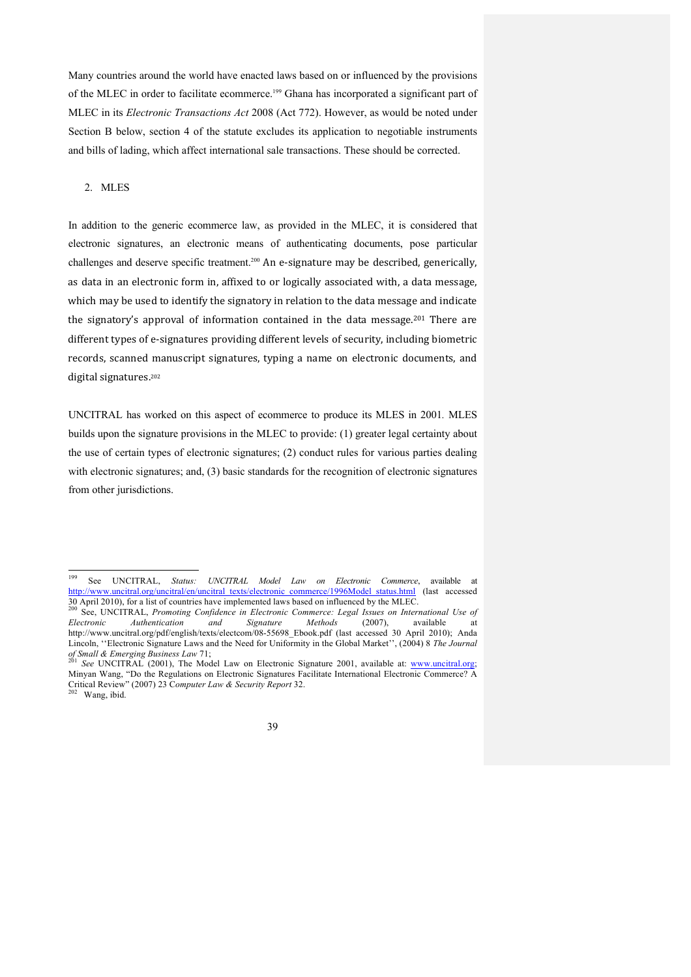Many countries around the world have enacted laws based on or influenced by the provisions of the MLEC in order to facilitate ecommerce. <sup>199</sup> Ghana has incorporated a significant part of MLEC in its *Electronic Transactions Act* 2008 (Act 772). However, as would be noted under Section B below, section 4 of the statute excludes its application to negotiable instruments and bills of lading, which affect international sale transactions. These should be corrected.

#### 2. MLES

In addition to the generic ecommerce law, as provided in the MLEC, it is considered that electronic signatures, an electronic means of authenticating documents, pose particular challenges and deserve specific treatment.<sup>200</sup> An e-signature may be described, generically, as data in an electronic form in, affixed to or logically associated with, a data message, which may be used to identify the signatory in relation to the data message and indicate the signatory's approval of information contained in the data message.<sup>201</sup> There are different types of e-signatures providing different levels of security, including biometric records, scanned manuscript signatures, typing a name on electronic documents, and digital signatures.<sup>202</sup>

UNCITRAL has worked on this aspect of ecommerce to produce its MLES in 2001*.* MLES builds upon the signature provisions in the MLEC to provide: (1) greater legal certainty about the use of certain types of electronic signatures; (2) conduct rules for various parties dealing with electronic signatures; and, (3) basic standards for the recognition of electronic signatures from other jurisdictions.

39

 <sup>199</sup> See UNCITRAL, *Status: UNCITRAL Model Law on Electronic Commerce*, available at http://www.uncitral.org/uncitral/en/uncitral\_texts/electronic\_commerce/1996Model\_status.html (last accessed 30 April 2010), for a list of countries have implemented laws based on influenced by the MLEC.<br><sup>200</sup> See, UNCITRAL, *Promoting Confidence in Electronic Commerce: Legal Issues on International Use of* 

*Electronic Authentication and Signature Methods* (2007), available at http://www.uncitral.org/pdf/english/texts/electcom/08-55698\_Ebook.pdf (last accessed 30 April 2010); Anda Lincoln, ''Electronic Signature Laws and the Need for Uniformity in the Global Market'', (2004) 8 *The Journal* 

*See* UNCITRAL (2001), The Model Law on Electronic Signature 2001, available at: www.uncitral.org; Minyan Wang, "Do the Regulations on Electronic Signatures Facilitate International Electronic Commerce? A Critical Review" (2007) 23 C*omputer Law & Security Report* 32. 202 Wang, ibid.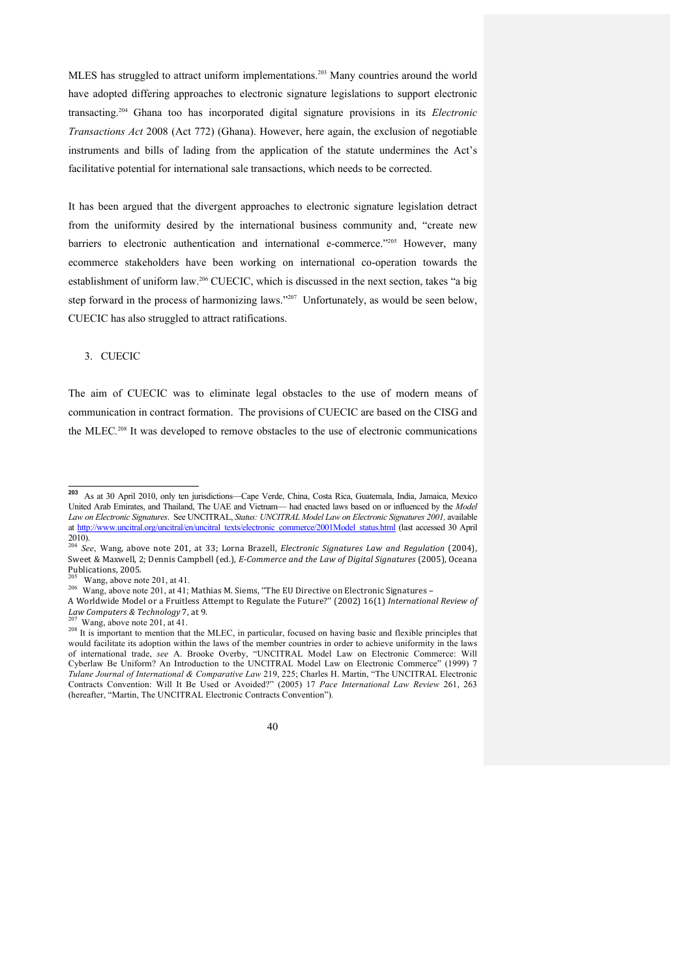MLES has struggled to attract uniform implementations. <sup>203</sup> Many countries around the world have adopted differing approaches to electronic signature legislations to support electronic transacting.204 Ghana too has incorporated digital signature provisions in its *Electronic Transactions Act* 2008 (Act 772) (Ghana). However, here again, the exclusion of negotiable instruments and bills of lading from the application of the statute undermines the Act's facilitative potential for international sale transactions, which needs to be corrected.

It has been argued that the divergent approaches to electronic signature legislation detract from the uniformity desired by the international business community and, "create new barriers to electronic authentication and international e-commerce."205 However, many ecommerce stakeholders have been working on international co-operation towards the establishment of uniform law.206 CUECIC, which is discussed in the next section, takes "a big step forward in the process of harmonizing laws."<sup>207</sup> Unfortunately, as would be seen below, CUECIC has also struggled to attract ratifications.

# 3. CUECIC

The aim of CUECIC was to eliminate legal obstacles to the use of modern means of communication in contract formation. The provisions of CUECIC are based on the CISG and the MLEC.<sup>208</sup> It was developed to remove obstacles to the use of electronic communications

<sup>&</sup>lt;sup>207</sup> Wang, above note 201, at 41. *Law 1. 208 It is important to mention that the MLEC*, in particular, focused on having basic and flexible principles that would facilitate its adoption within the laws of the member countries in order to achieve uniformity in the laws of international trade, *see* A. Brooke Overby, "UNCITRAL Model Law on Electronic Commerce: Will Cyberlaw Be Uniform? An Introduction to the UNCITRAL Model Law on Electronic Commerce" (1999) 7 *Tulane Journal of International & Comparative Law* 219, 225; Charles H. Martin, "The UNCITRAL Electronic Contracts Convention: Will It Be Used or Avoided?" (2005) 17 *Pace International Law Review* 261, 263 (hereafter, "Martin, The UNCITRAL Electronic Contracts Convention")*.*



**<sup>203</sup>** As at 30 April 2010, only ten jurisdictions—Cape Verde, China, Costa Rica, Guatemala, India, Jamaica, Mexico United Arab Emirates, and Thailand, The UAE and Vietnam— had enacted laws based on or influenced by the *Model*  Law on Electronic Signatures. See UNCITRAL, *Status: UNCITRAL Model Law on Electronic Signatures 2001*, available at http://www.uncitral.org/uncitral/en/uncitral\_texts/electronic\_commerce/2001Model\_status.html (last accessed 30 April

<sup>2010).&</sup>lt;br><sup>204</sup> *See*, Wang, above note 201, at 33; Lorna Brazell, *Electronic Signatures Law and Regulation* (2004), Sweet & Maxwell, 2; Dennis Campbell (ed.), *E-Commerce and the Law of Digital Signatures* (2005), Oceana Publications, 2005.

Wang, above note 201, at 41.

<sup>206</sup> Wang, above note 201, at 41; Mathias M. Siems, "The EU Directive on Electronic Signatures –

A Worldwide Model or a Fruitless Attempt to Regulate the Future?'' (2002) 16(1) *International Review of*<br>*Law Computers & Technology* 7, at 9.<br><sup>207</sup> Wang shave note 201, at 11.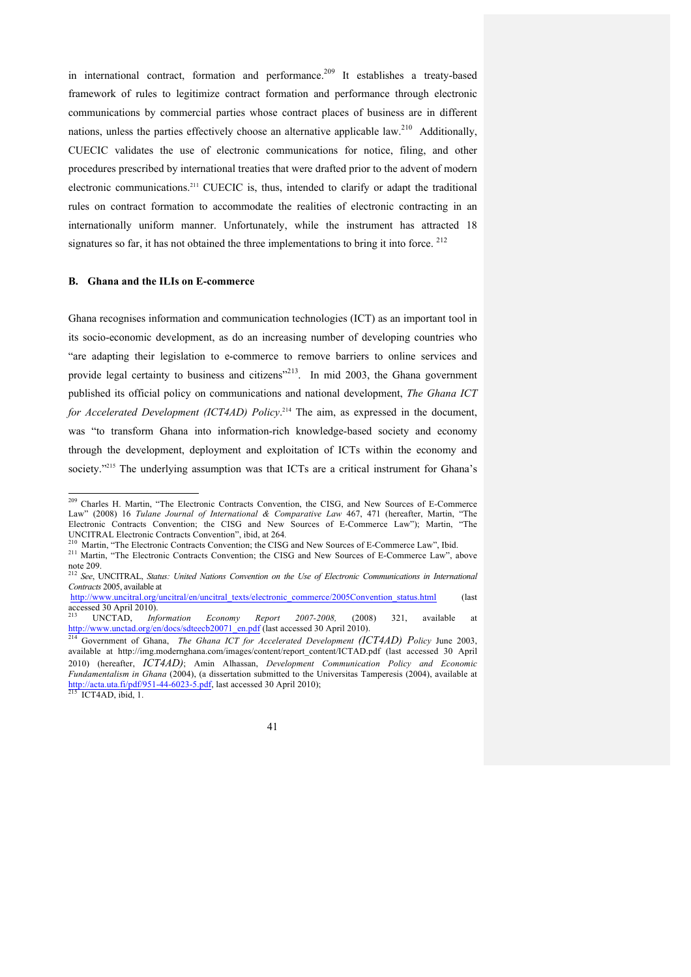in international contract, formation and performance.<sup>209</sup> It establishes a treaty-based framework of rules to legitimize contract formation and performance through electronic communications by commercial parties whose contract places of business are in different nations, unless the parties effectively choose an alternative applicable law.<sup>210</sup> Additionally, CUECIC validates the use of electronic communications for notice, filing, and other procedures prescribed by international treaties that were drafted prior to the advent of modern electronic communications.211 CUECIC is, thus, intended to clarify or adapt the traditional rules on contract formation to accommodate the realities of electronic contracting in an internationally uniform manner. Unfortunately, while the instrument has attracted 18 signatures so far, it has not obtained the three implementations to bring it into force.  $^{212}$ 

#### **B. Ghana and the ILIs on E-commerce**

Ghana recognises information and communication technologies (ICT) as an important tool in its socio-economic development, as do an increasing number of developing countries who "are adapting their legislation to e-commerce to remove barriers to online services and provide legal certainty to business and citizens"<sup>213</sup>. In mid 2003, the Ghana government published its official policy on communications and national development, *The Ghana ICT for Accelerated Development (ICT4AD) Policy*. <sup>214</sup> The aim, as expressed in the document, was "to transform Ghana into information-rich knowledge-based society and economy through the development, deployment and exploitation of ICTs within the economy and society."<sup>215</sup> The underlying assumption was that ICTs are a critical instrument for Ghana's

41

<sup>&</sup>lt;sup>209</sup> Charles H. Martin, "The Electronic Contracts Convention, the CISG, and New Sources of E-Commerce Law" (2008) 16 *Tulane Journal of International & Comparative Law* 467, 471 (hereafter, Martin, "The Electronic Contracts Convention; the CISG and New Sources of E-Commerce Law"); Martin, "The UNCITRAL Electronic Contracts Convention", ibid, at 264.

 $^{210}$  Martin, "The Electronic Contracts Convention; the CISG and New Sources of E-Commerce Law", Ibid.<br> $^{211}$  Martin, "The Electronic Contracts Convention; the CISG and New Sources of E-Commerce Law", above note 209. 212 *See*, UNCITRAL, *Status: United Nations Convention on the Use of Electronic Communications in International* 

*Contracts* 2005, available at

http://www.uncitral.org/uncitral/en/uncitral\_texts/electronic\_commerce/2005Convention\_status.html (last

accessed 30 April 2010).<br>
<sup>213</sup> UNCTAD, *Information Economy Report 2007-2008*, (2008) 321, available at<br>
http://www.unctad.org/en/docs/sdteecb20071 en.pdf (last accessed 30 April 2010).

Government of Ghana, *The Ghana ICT for Accelerated Development (ICT4AD) Policy June 2003*, available at http://img.modernghana.com/images/content/report\_content/ICTAD.pdf (last accessed 30 April 2010) (hereafter, *ICT4AD)*; Amin Alhassan, *Development Communication Policy and Economic Fundamentalism in Ghana* (2004), (a dissertation submitted to the Universitas Tamperesis (2004), available at http://acta.uta.fi/pdf/951-44-6023-5.pdf, last accessed 30 April 2010);<br><sup>215</sup> ICT4AD, ibid, 1.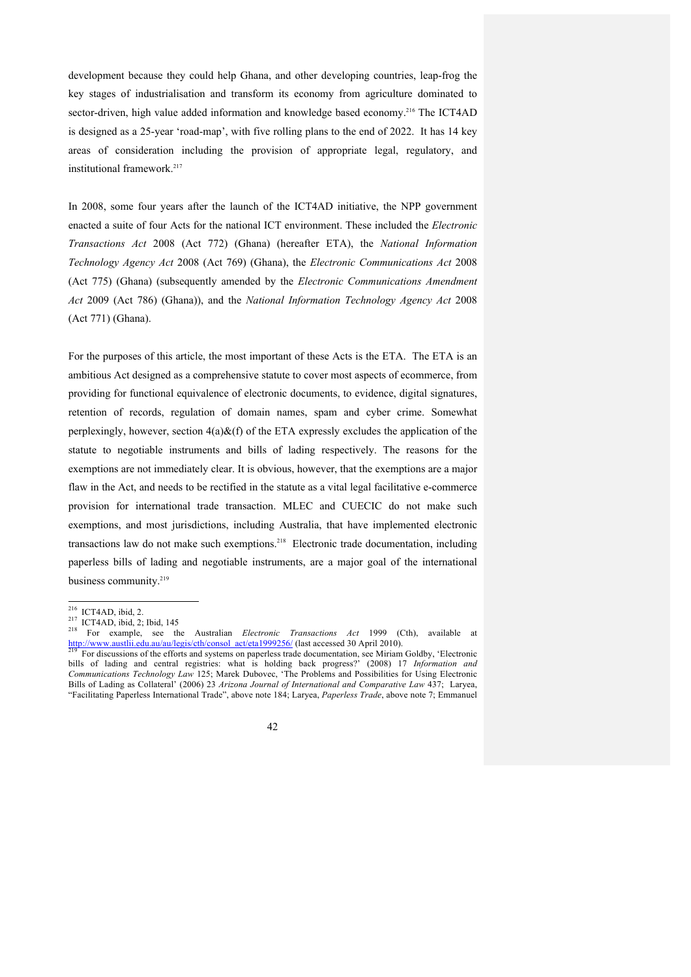development because they could help Ghana, and other developing countries, leap-frog the key stages of industrialisation and transform its economy from agriculture dominated to sector-driven, high value added information and knowledge based economy.<sup>216</sup> The ICT4AD is designed as a 25-year 'road-map', with five rolling plans to the end of 2022. It has 14 key areas of consideration including the provision of appropriate legal, regulatory, and institutional framework.<sup>217</sup>

In 2008, some four years after the launch of the ICT4AD initiative, the NPP government enacted a suite of four Acts for the national ICT environment. These included the *Electronic Transactions Act* 2008 (Act 772) (Ghana) (hereafter ETA), the *National Information Technology Agency Act* 2008 (Act 769) (Ghana), the *Electronic Communications Act* 2008 (Act 775) (Ghana) (subsequently amended by the *Electronic Communications Amendment Act* 2009 (Act 786) (Ghana)), and the *National Information Technology Agency Act* 2008 (Act 771) (Ghana).

For the purposes of this article, the most important of these Acts is the ETA. The ETA is an ambitious Act designed as a comprehensive statute to cover most aspects of ecommerce, from providing for functional equivalence of electronic documents, to evidence, digital signatures, retention of records, regulation of domain names, spam and cyber crime. Somewhat perplexingly, however, section  $4(a)\&(f)$  of the ETA expressly excludes the application of the statute to negotiable instruments and bills of lading respectively. The reasons for the exemptions are not immediately clear. It is obvious, however, that the exemptions are a major flaw in the Act, and needs to be rectified in the statute as a vital legal facilitative e-commerce provision for international trade transaction. MLEC and CUECIC do not make such exemptions, and most jurisdictions, including Australia, that have implemented electronic transactions law do not make such exemptions.<sup>218</sup> Electronic trade documentation, including paperless bills of lading and negotiable instruments, are a major goal of the international business community.<sup>219</sup>

42

<sup>&</sup>lt;sup>216</sup> ICT4AD, ibid, 2.<br><sup>217</sup> ICT4AD, ibid, 2; Ibid, 145<br><sup>218</sup> For example, see the Australian *Electronic Transactions Act* 1999 (Cth), available at http://www.austlii.edu.au/au/legis/cth/consol\_act/eta1999256/ (last accessed 30 April 2010).<br><sup>219</sup> For discussions of the efforts and systems on paperless trade documentation, see Miriam Goldby, 'Electronic

bills of lading and central registries: what is holding back progress?' (2008) 17 *Information and Communications Technology Law* 125; Marek Dubovec, 'The Problems and Possibilities for Using Electronic Bills of Lading as Collateral' (2006) 23 *Arizona Journal of International and Comparative Law* 437; Laryea, "Facilitating Paperless International Trade", above note 184; Laryea, *Paperless Trade*, above note 7; Emmanuel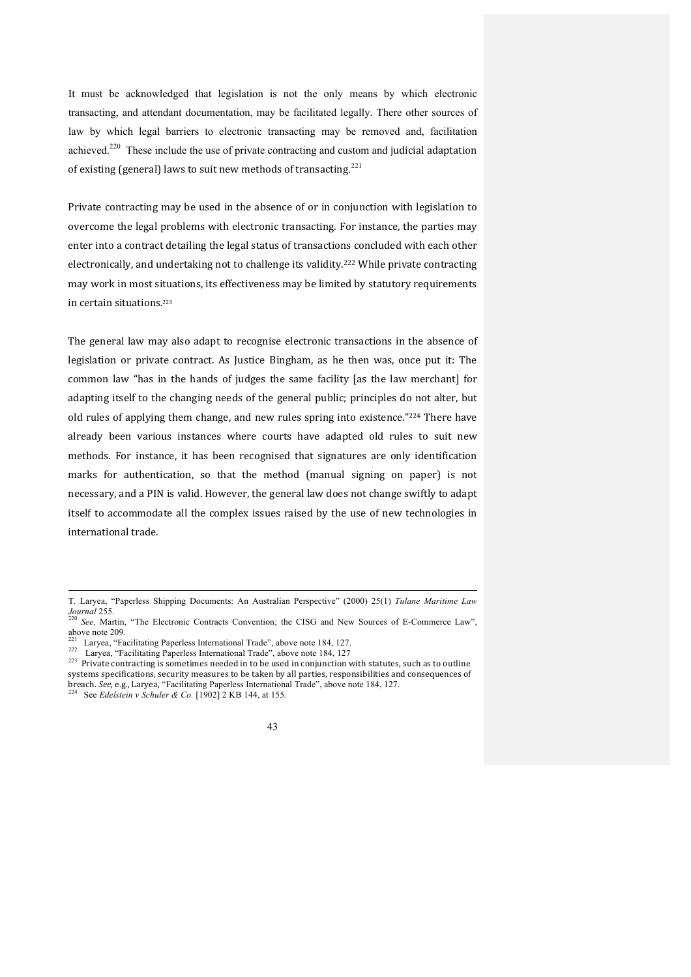It must be acknowledged that legislation is not the only means by which electronic transacting, and attendant documentation, may be facilitated legally. There other sources of law by which legal barriers to electronic transacting may be removed and, facilitation achieved.<sup>220</sup> These include the use of private contracting and custom and judicial adaptation of existing (general) laws to suit new methods of transacting.<sup>221</sup>

Private contracting may be used in the absence of or in conjunction with legislation to overcome the legal problems with electronic transacting. For instance, the parties may enter into a contract detailing the legal status of transactions concluded with each other electronically, and undertaking not to challenge its validity.<sup>222</sup> While private contracting may work in most situations, its effectiveness may be limited by statutory requirements in certain situations.<sup>223</sup>

The general law may also adapt to recognise electronic transactions in the absence of legislation or private contract. As Justice Bingham, as he then was, once put it: The common law "has in the hands of judges the same facility [as the law merchant] for adapting itself to the changing needs of the general public; principles do not alter, but old rules of applying them change, and new rules spring into existence." $^{224}$  There have already been various instances where courts have adapted old rules to suit new methods. For instance, it has been recognised that signatures are only identification marks for authentication, so that the method (manual signing on paper) is not necessary, and a PIN is valid. However, the general law does not change swiftly to adapt itself to accommodate all the complex issues raised by the use of new technologies in international trade.



T. Laryea, "Paperless Shipping Documents: An Australian Perspective" (2000) 25(1) *Tulane Maritime Law* 

<sup>&</sup>lt;sup>220</sup> *See*, Martin, "The Electronic Contracts Convention; the CISG and New Sources of E-Commerce Law", above note 209.

<sup>221</sup> Laryea, "Facilitating Paperless International Trade", above note 184, 127.<br>
<sup>222</sup> Laryea, "Facilitating Paperless International Trade", above note 184, 127.<br>
<sup>223</sup> Private contracting is sometimes needed in to be used systems specifications, security measures to be taken by all parties, responsibilities and consequences of breach. See, e.g., Larvea, "Facilitating Paperless International Trade", above note 184, 127.  $\frac{224}{224}$  See *Edelstein v Schuler & Co.* [1902] 2 KB 144, at 155.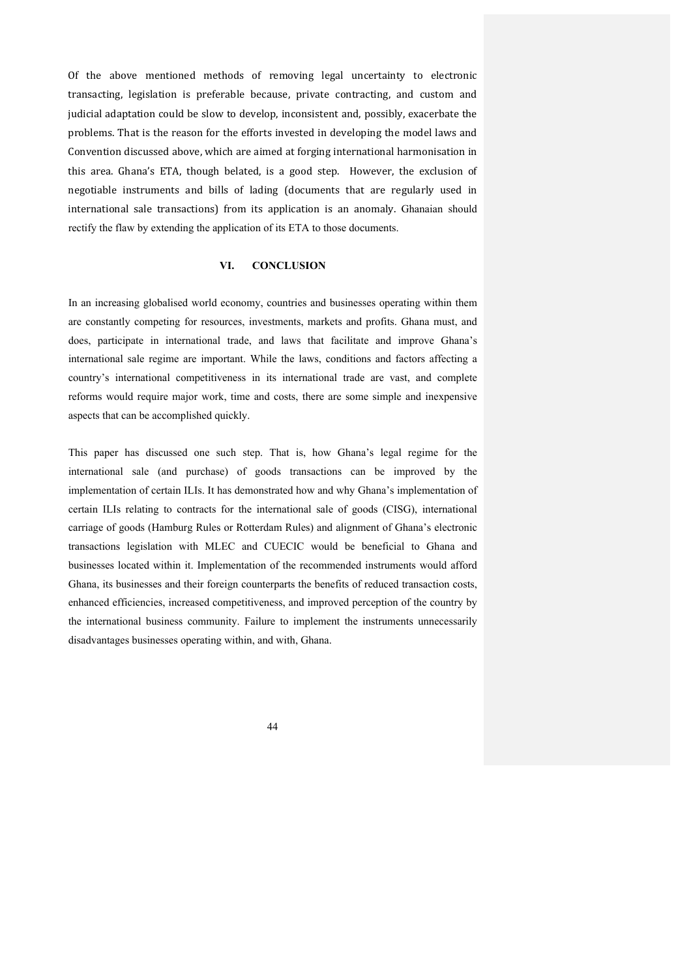Of the above mentioned methods of removing legal uncertainty to electronic transacting, legislation is preferable because, private contracting, and custom and judicial adaptation could be slow to develop, inconsistent and, possibly, exacerbate the problems. That is the reason for the efforts invested in developing the model laws and Convention discussed above, which are aimed at forging international harmonisation in this area. Ghana's ETA, though belated, is a good step. However, the exclusion of negotiable instruments and bills of lading (documents that are regularly used in international sale transactions) from its application is an anomaly. Ghanaian should rectify the flaw by extending the application of its ETA to those documents.

### **VI. CONCLUSION**

In an increasing globalised world economy, countries and businesses operating within them are constantly competing for resources, investments, markets and profits. Ghana must, and does, participate in international trade, and laws that facilitate and improve Ghana's international sale regime are important. While the laws, conditions and factors affecting a country's international competitiveness in its international trade are vast, and complete reforms would require major work, time and costs, there are some simple and inexpensive aspects that can be accomplished quickly.

This paper has discussed one such step. That is, how Ghana's legal regime for the international sale (and purchase) of goods transactions can be improved by the implementation of certain ILIs. It has demonstrated how and why Ghana's implementation of certain ILIs relating to contracts for the international sale of goods (CISG), international carriage of goods (Hamburg Rules or Rotterdam Rules) and alignment of Ghana's electronic transactions legislation with MLEC and CUECIC would be beneficial to Ghana and businesses located within it. Implementation of the recommended instruments would afford Ghana, its businesses and their foreign counterparts the benefits of reduced transaction costs, enhanced efficiencies, increased competitiveness, and improved perception of the country by the international business community. Failure to implement the instruments unnecessarily disadvantages businesses operating within, and with, Ghana.

44